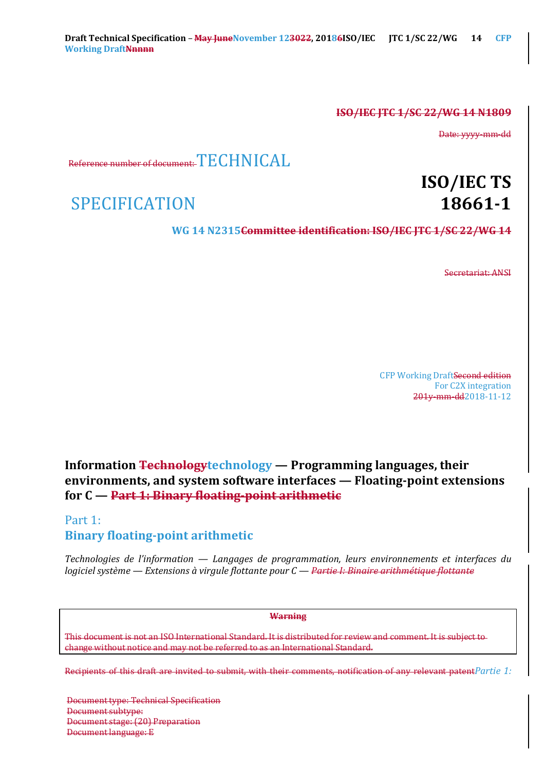## **ISO/IEC JTC 1/SC 22/WG 14 N1809**

Date: yyyy-mm-dd

Reference number of document:  $TECHNICAI$ .

SPECIFICATION **18661-1** 

# **ISO/IEC TS**

**WG 14 N2315Committee identification: ISO/IEC JTC 1/SC 22/WG 14**

Secretariat: ANSI

CFP Working DraftSecond edition For C2X integration 201y-mm-dd2018-11-12

# **Information** Technology technology — Programming languages, their **environments, and system software interfaces — Floating-point extensions for C** — **Part 1: Binary floating-point arithmetic**

# Part 1: **Binary floating-point arithmetic**

*Technologies de l'information* — *Langages de programmation, leurs environnements et interfaces du logiciel système* — *Extensions à virgule flottante pour C* — *Partie I: Binaire arithmétique flottante* 

#### **Warning**

This document is not an ISO International Standard. It is distributed for review and comment. It is subject to change without notice and may not be referred to as an International Standard.

Recipients of this draft are invited to submit, with their comments, notification of any relevant patent $P$ artie 1:

Document type: Technical Specification Document subtype: Document stage: (20) Preparation Document language: E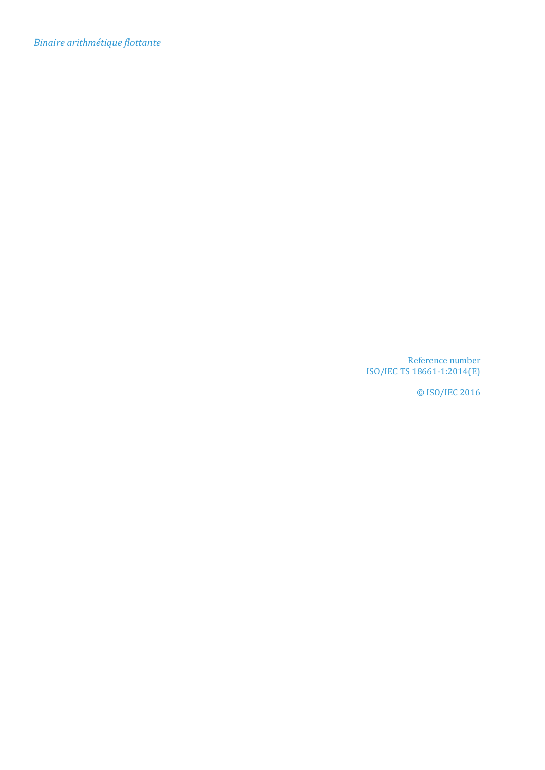*Binaire arithmétique flottante*

Reference number ISO/IEC TS 18661-1:2014(E)

© ISO/IEC 2016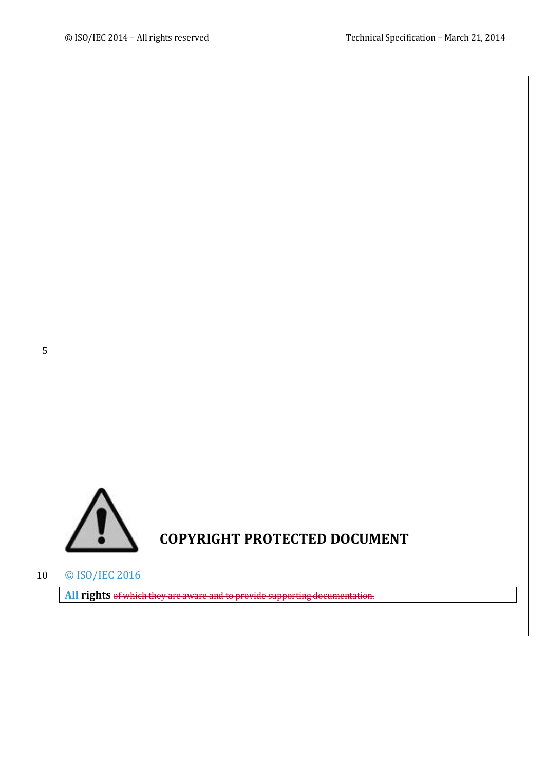

10 © ISO/IEC 2016

All rights of which they are aware and to provide supporting documentation.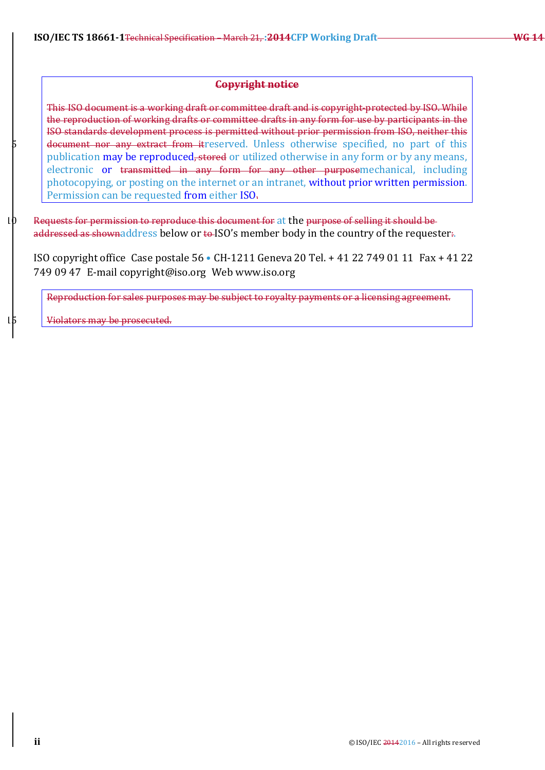## **Copyright notice**

This ISO document is a working draft or committee draft and is copyright-protected by ISO. While the reproduction of working drafts or committee drafts in any form for use by participants in the ISO standards development process is permitted without prior permission from ISO, neither this document nor any extract from itreserved. Unless otherwise specified, no part of this publication may be reproduced, stored or utilized otherwise in any form or by any means, electronic or transmitted in any form for any other purposemechanical, including photocopying, or posting on the internet or an intranet, without prior written permission. Permission can be requested from either ISO.

 $10$  Requests for permission to reproduce this document for at the purpose of selling it should be addressed as shownaddress below or to ISO's member body in the country of the requester.

ISO copyright office Case postale  $56 \cdot$  CH-1211 Geneva 20 Tel. + 41 22 749 01 11 Fax + 41 22 749 09 47 E-mail copyright@iso.org Web www.iso.org

Reproduction for sales purposes may be subject to royalty payments or a licensing agreement.

Violators may be prosecuted.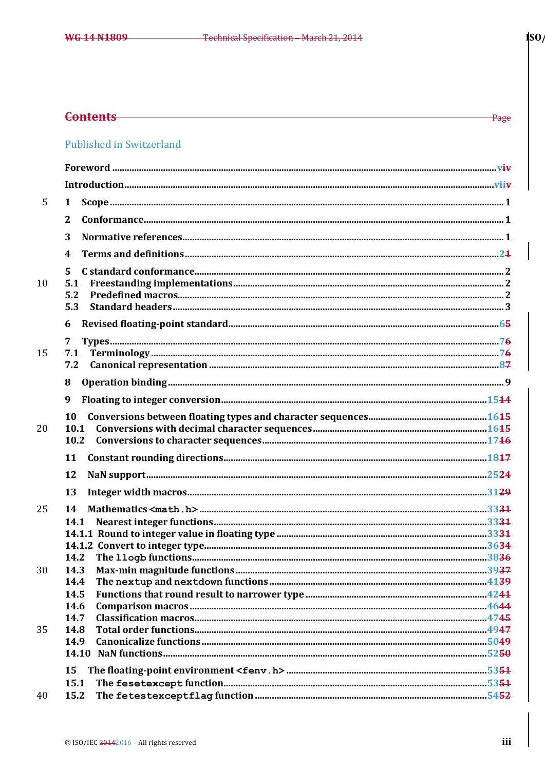-Page

## **Contents**

# **Published in Switzerland**

| 5  | 1         |  |
|----|-----------|--|
|    | 2         |  |
|    | 3         |  |
|    | 4         |  |
|    | 5         |  |
| 10 | 5.1       |  |
|    | 5.2       |  |
|    | 5.3       |  |
|    | 6         |  |
|    | 7         |  |
| 15 | 7.1       |  |
|    | 7.2       |  |
|    | 8         |  |
|    | 9         |  |
|    | <b>10</b> |  |
| 20 | 10.1      |  |
|    | 10.2      |  |
|    | 11        |  |
|    | 12        |  |
|    | 13        |  |
| 25 | 14        |  |
|    | 14.1      |  |
|    |           |  |
|    |           |  |
|    | 14.2      |  |
| 30 |           |  |
|    | 14.4      |  |
|    | 14.5      |  |
|    | 14.6      |  |
|    | 14.7      |  |
| 35 | 14.8      |  |
|    | 14.9      |  |
|    |           |  |
|    | 15        |  |
|    | 15.1      |  |
| 40 | 15.2      |  |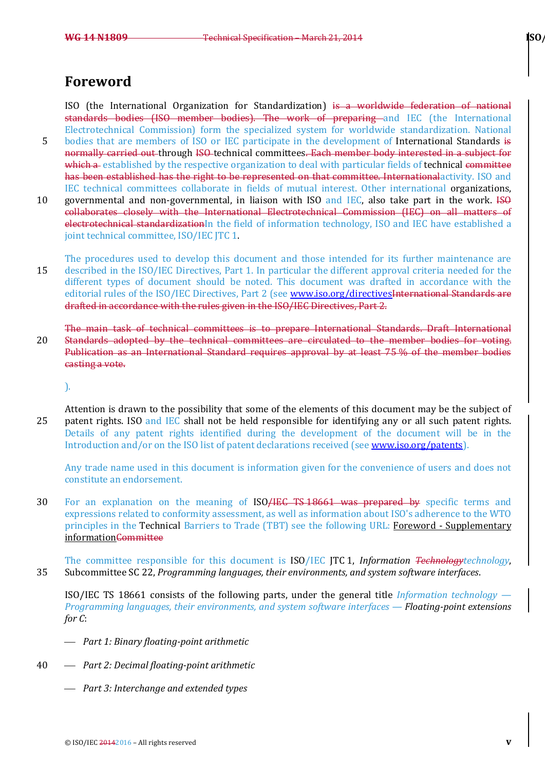# **Foreword**

ISO (the International Organization for Standardization) is a worldwide federation of national standards bodies (ISO member bodies). The work of preparing and IEC (the International Electrotechnical Commission) form the specialized system for worldwide standardization. National

- 5 bodies that are members of ISO or IEC participate in the development of International Standards is normally carried out through ISO-technical committees. Each member body interested in a subject for which a established by the respective organization to deal with particular fields of technical committee has been established has the right to be represented on that committee. International activity. ISO and IEC technical committees collaborate in fields of mutual interest. Other international organizations,
- 10 governmental and non-governmental, in liaison with ISO and IEC, also take part in the work. ISO collaborates closely with the International Electrotechnical Commission (IEC) on all matters of electrotechnical standardizationIn the field of information technology, ISO and IEC have established a joint technical committee, ISO/IEC JTC 1.
- The procedures used to develop this document and those intended for its further maintenance are 15 described in the ISO/IEC Directives, Part 1. In particular the different approval criteria needed for the different types of document should be noted. This document was drafted in accordance with the editorial rules of the ISO/IEC Directives, Part 2 (see www.iso.org/directivesInternational Standards are drafted in accordance with the rules given in the ISO/IEC Directives, Part 2.
- The main task of technical committees is to prepare International Standards. Draft International 20 Standards adopted by the technical committees are circulated to the member bodies for voting. Publication as an International Standard requires approval by at least 75 % of the member bodies casting a vote.

).

Attention is drawn to the possibility that some of the elements of this document may be the subject of 25 patent rights. ISO and IEC shall not be held responsible for identifying any or all such patent rights. Details of any patent rights identified during the development of the document will be in the Introduction and/or on the ISO list of patent declarations received (see www.iso.org/patents).

Any trade name used in this document is information given for the convenience of users and does not constitute an endorsement.

30 For an explanation on the meaning of ISO/IEC TS 18661 was prepared by specific terms and expressions related to conformity assessment, as well as information about ISO's adherence to the WTO principles in the Technical Barriers to Trade (TBT) see the following URL: Foreword - Supplementary information<del>Committee</del>

The committee responsible for this document is ISO/IEC JTC 1, *Information Technologytechnology*, 35 Subcommittee SC 22, *Programming languages, their environments, and system software interfaces.* 

ISO/IEC TS 18661 consists of the following parts, under the general title *Information technology* — *Programming languages, their environments, and system software interfaces — Floating-point extensions for* C:

- ¾ *Part 1: Binary floating-point arithmetic*
- 40 ¾ *Part 2: Decimal floating-point arithmetic*
	- ¾ *Part 3: Interchange and extended types*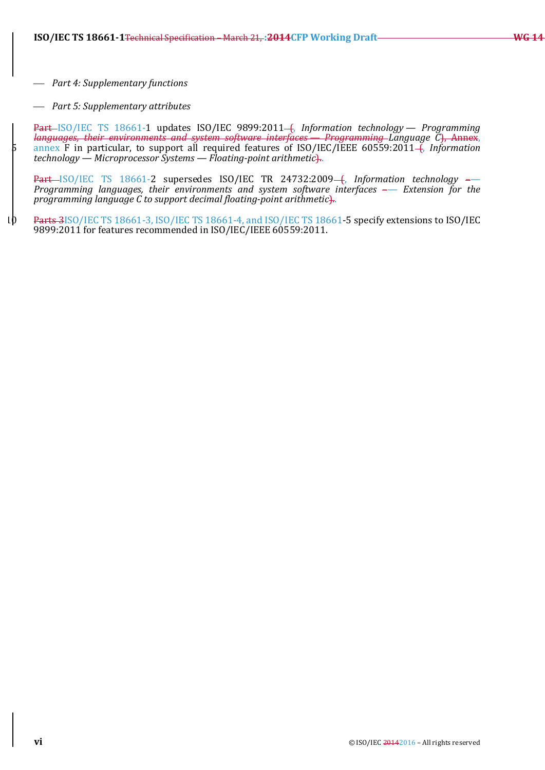¾ *Part 4: Supplementary functions*

¾ *Part 5: Supplementary attributes*

Part-ISO/IEC TS 18661-1 updates ISO/IEC 9899:2011-(, Information technology - Programming languages, their environments and system software interfaces — Programming-Language C), Annex,<br>annex F in particular, to support all required features of ISO/IEC/IEEE 60559:2011–(, Information *technology — Microprocessor Systems — Floating-point arithmetic*)..

Part-ISO/IEC TS 18661-2 supersedes ISO/IEC TR 24732:2009-6, Information technology -*Programming languages, their environments and system software interfaces* –– *Extension for the programming language C to support decimal floating-point arithmetic*)...

10 Parts 3ISO/IEC TS 18661-3, ISO/IEC TS 18661-4, and ISO/IEC TS 18661-5 specify extensions to ISO/IEC 9899:2011 for features recommended in ISO/IEC/IEEE 60559:2011.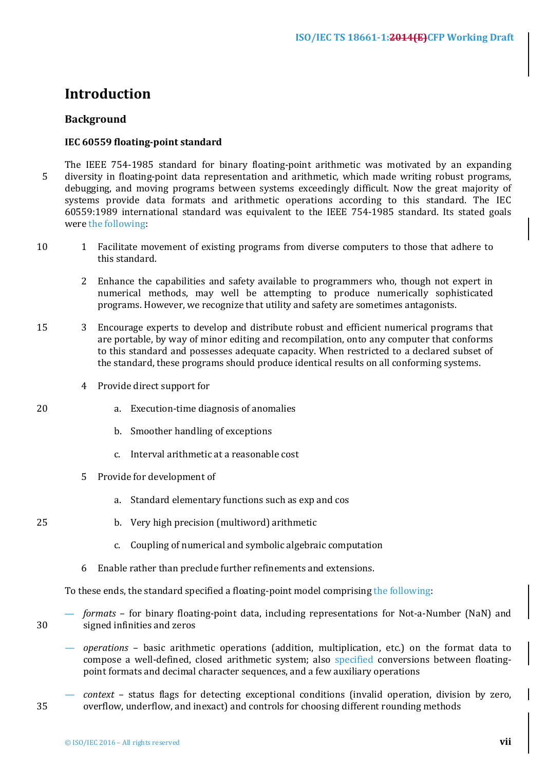# **Introduction**

## **Background**

## **IEC 60559 floating-point standard**

- The IEEE 754-1985 standard for binary floating-point arithmetic was motivated by an expanding 5 diversity in floating-point data representation and arithmetic, which made writing robust programs, debugging, and moving programs between systems exceedingly difficult. Now the great majority of systems provide data formats and arithmetic operations according to this standard. The IEC 60559:1989 international standard was equivalent to the IEEE 754-1985 standard. Its stated goals were the following:
- 10 1 Facilitate movement of existing programs from diverse computers to those that adhere to this standard.
	- 2 Enhance the capabilities and safety available to programmers who, though not expert in numerical methods, may well be attempting to produce numerically sophisticated programs. However, we recognize that utility and safety are sometimes antagonists.
- 15 3 Encourage experts to develop and distribute robust and efficient numerical programs that are portable, by way of minor editing and recompilation, onto any computer that conforms to this standard and possesses adequate capacity. When restricted to a declared subset of the standard, these programs should produce identical results on all conforming systems.
	- 4 Provide direct support for
- 20 a. Execution-time diagnosis of anomalies
	- b. Smoother handling of exceptions
	- c. Interval arithmetic at a reasonable cost
	- 5 Provide for development of
		- a. Standard elementary functions such as exp and cos
- 25 b. Very high precision (multiword) arithmetic
	- c. Coupling of numerical and symbolic algebraic computation
	- $6$  Enable rather than preclude further refinements and extensions.

To these ends, the standard specified a floating-point model comprising the following:

- formats for binary floating-point data, including representations for Not-a-Number (NaN) and 30 signed infinities and zeros
	- operations basic arithmetic operations (addition, multiplication, etc.) on the format data to compose a well-defined, closed arithmetic system; also specified conversions between floatingpoint formats and decimal character sequences, and a few auxiliary operations
- context status flags for detecting exceptional conditions (invalid operation, division by zero, 35 overflow, underflow, and inexact) and controls for choosing different rounding methods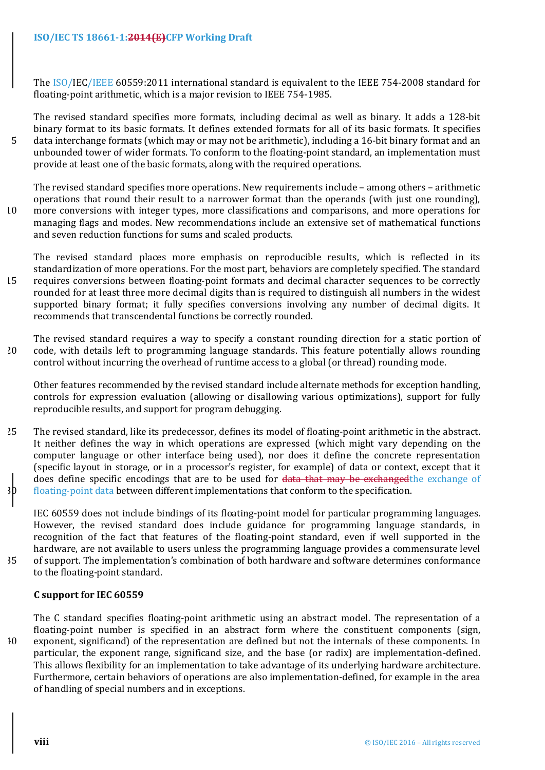The ISO/IEC/IEEE 60559:2011 international standard is equivalent to the IEEE 754-2008 standard for floating-point arithmetic, which is a major revision to IEEE 754-1985.

The revised standard specifies more formats, including decimal as well as binary. It adds a 128-bit binary format to its basic formats. It defines extended formats for all of its basic formats. It specifies 5 data interchange formats (which may or may not be arithmetic), including a 16-bit binary format and an unbounded tower of wider formats. To conform to the floating-point standard, an implementation must provide at least one of the basic formats, along with the required operations.

The revised standard specifies more operations. New requirements include  $-$  among others  $-$  arithmetic operations that round their result to a narrower format than the operands (with just one rounding), 10 more conversions with integer types, more classifications and comparisons, and more operations for

managing flags and modes. New recommendations include an extensive set of mathematical functions and seven reduction functions for sums and scaled products.

The revised standard places more emphasis on reproducible results, which is reflected in its standardization of more operations. For the most part, behaviors are completely specified. The standard 15 requires conversions between floating-point formats and decimal character sequences to be correctly rounded for at least three more decimal digits than is required to distinguish all numbers in the widest supported binary format; it fully specifies conversions involving any number of decimal digits. It recommends that transcendental functions be correctly rounded.

The revised standard requires a way to specify a constant rounding direction for a static portion of 20 code, with details left to programming language standards. This feature potentially allows rounding control without incurring the overhead of runtime access to a global (or thread) rounding mode.

Other features recommended by the revised standard include alternate methods for exception handling, controls for expression evaluation (allowing or disallowing various optimizations), support for fully reproducible results, and support for program debugging.

25 The revised standard, like its predecessor, defines its model of floating-point arithmetic in the abstract. It neither defines the way in which operations are expressed (which might vary depending on the computer language or other interface being used), nor does it define the concrete representation (specific layout in storage, or in a processor's register, for example) of data or context, except that it does define specific encodings that are to be used for data that may be exchangedthe exchange of  $30$  floating-point data between different implementations that conform to the specification.

IEC 60559 does not include bindings of its floating-point model for particular programming languages. However, the revised standard does include guidance for programming language standards, in recognition of the fact that features of the floating-point standard, even if well supported in the hardware, are not available to users unless the programming language provides a commensurate level 35 of support. The implementation's combination of both hardware and software determines conformance to the floating-point standard.

## **C support for IEC 60559**

The C standard specifies floating-point arithmetic using an abstract model. The representation of a floating-point number is specified in an abstract form where the constituent components (sign, 40 exponent, significand) of the representation are defined but not the internals of these components. In particular, the exponent range, significand size, and the base (or radix) are implementation-defined. This allows flexibility for an implementation to take advantage of its underlying hardware architecture. Furthermore, certain behaviors of operations are also implementation-defined, for example in the area of handling of special numbers and in exceptions.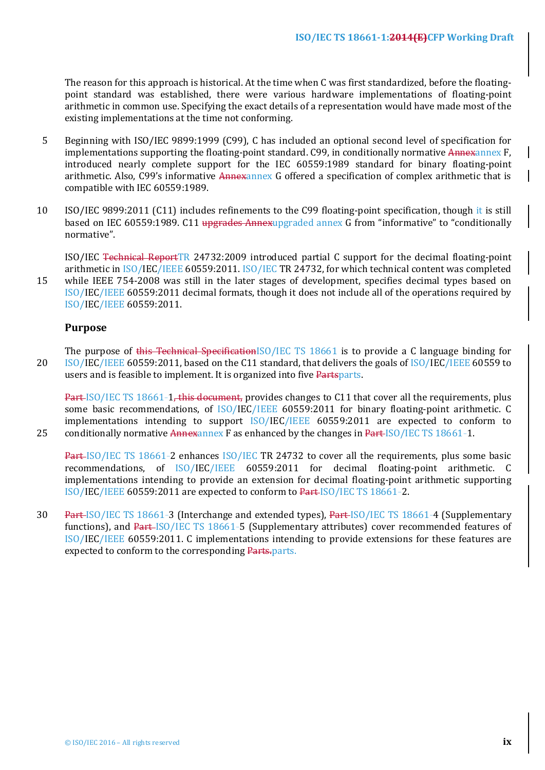The reason for this approach is historical. At the time when C was first standardized, before the floatingpoint standard was established, there were various hardware implementations of floating-point arithmetic in common use. Specifying the exact details of a representation would have made most of the existing implementations at the time not conforming.

- 5 Beginning with ISO/IEC 9899:1999 (C99), C has included an optional second level of specification for implementations supporting the floating-point standard. C99, in conditionally normative Annexannex F, introduced nearly complete support for the IEC 60559:1989 standard for binary floating-point arithmetic. Also, C99's informative Annexannex G offered a specification of complex arithmetic that is compatible with IEC 60559:1989.
- 10 ISO/IEC 9899:2011 (C11) includes refinements to the C99 floating-point specification, though it is still based on IEC 60559:1989. C11 upgrades Annexupgraded annex G from "informative" to "conditionally normative".

ISO/IEC Technical ReportTR 24732:2009 introduced partial C support for the decimal floating-point arithmetic in  $ISO/IEC/IEEE$  60559:2011. ISO/IEC TR 24732, for which technical content was completed

15 while IEEE 754-2008 was still in the later stages of development, specifies decimal types based on ISO/IEC/IEEE 60559:2011 decimal formats, though it does not include all of the operations required by ISO/IEC/IEEE 60559:2011.

## **Purpose**

The purpose of this Technical SpecificationISO/IEC TS 18661 is to provide a C language binding for 20 ISO/IEC/IEEE 60559:2011, based on the C11 standard, that delivers the goals of ISO/IEC/IEEE 60559 to users and is feasible to implement. It is organized into five Partsparts.

**Part-ISO/IEC TS 18661-1, this document, provides changes to C11 that cover all the requirements, plus** some basic recommendations, of ISO/IEC/IEEE 60559:2011 for binary floating-point arithmetic. C implementations intending to support ISO/IEC/IEEE 60559:2011 are expected to conform to 25 conditionally normative  $\frac{\text{Annew}}{\text{Annew}}$  F as enhanced by the changes in  $\frac{\text{Part-ISO/IEC}}{\text{TS 18661}}$ -1.

Part-ISO/IEC TS 18661-2 enhances ISO/IEC TR 24732 to cover all the requirements, plus some basic recommendations, of ISO/IEC/IEEE 60559:2011 for decimal floating-point arithmetic. C implementations intending to provide an extension for decimal floating-point arithmetic supporting  $ISO/IEC/IEEE$  60559:2011 are expected to conform to  $Part-ISO/IEC$  TS 18661-2.

30 Part-ISO/IEC TS 18661-3 (Interchange and extended types), Part-ISO/IEC TS 18661-4 (Supplementary functions), and Part-ISO/IEC TS 18661-5 (Supplementary attributes) cover recommended features of ISO/IEC/IEEE 60559:2011. C implementations intending to provide extensions for these features are expected to conform to the corresponding Parts.parts.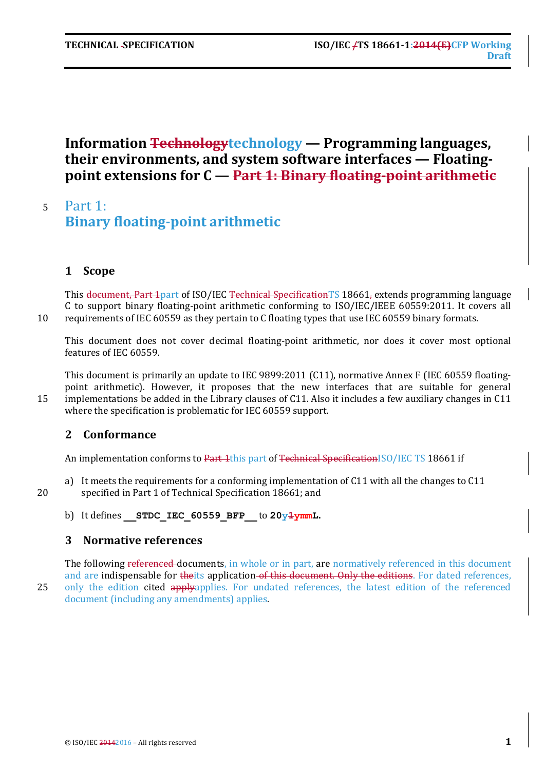# **Information Technology** technology — **Programming** languages, **their environments, and system software interfaces — Floatingpoint extensions for C — Part 1: Binary floating-point arithmetic**

# <sup>5</sup> Part 1: **Binary floating-point arithmetic**

## **1 Scope**

This document, Part 1 part of ISO/IEC Technical Specification TS 18661, extends programming language C to support binary floating-point arithmetic conforming to ISO/IEC/IEEE 60559:2011. It covers all 10 requirements of IEC 60559 as they pertain to C floating types that use IEC 60559 binary formats.

This document does not cover decimal floating-point arithmetic, nor does it cover most optional features of IEC 60559.

This document is primarily an update to IEC 9899:2011 (C11), normative Annex F (IEC 60559 floatingpoint arithmetic). However, it proposes that the new interfaces that are suitable for general 15 implementations be added in the Library clauses of C11. Also it includes a few auxiliary changes in C11 where the specification is problematic for IEC 60559 support.

## **2 Conformance**

An implementation conforms to Part 1this part of Technical SpecificationISO/IEC TS 18661 if

- a) It meets the requirements for a conforming implementation of C11 with all the changes to C11 20 specified in Part 1 of Technical Specification 18661; and
	- b) It defines **STDC IEC 60559 BFP** to  $20y\frac{1}{2}$ ymmL.

## **3 Normative references**

The following referenced documents, in whole or in part, are normatively referenced in this document and are indispensable for theits application of this document. Only the editions. For dated references, 25 only the edition cited applyapplies. For undated references, the latest edition of the referenced document (including any amendments) applies.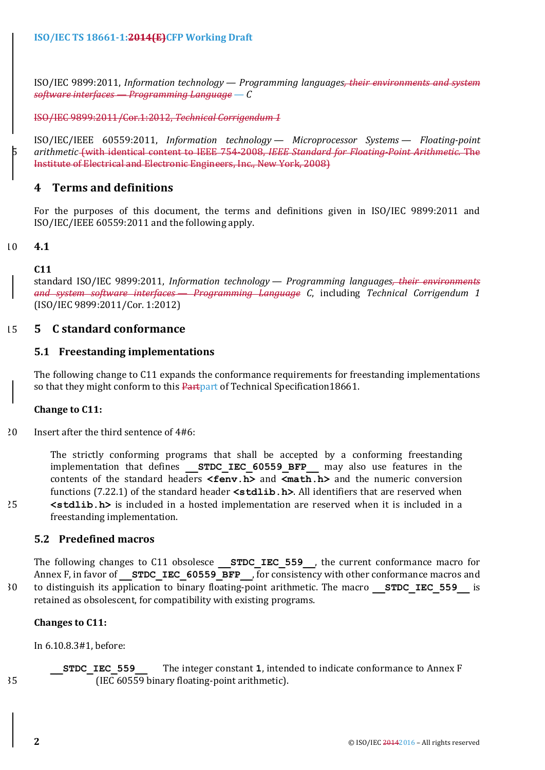ISO/IEC 9899:2011, *Information technology — Programming languages, their environments and system software interfaces — Programming Language — C*

ISO/IEC 9899:2011/Cor.1:2012, *Technical Corrigendum 1*

ISO/IEC/IEEE 60559:2011, *Information technology — Microprocessor Systems — Floating-point*  arithmetic<del> (with identical content to IEEE 754-2008, *IEEE Standard for Floating-Point Arithmetic*. The</del> Institute of Electrical and Electronic Engineers, Inc., New York, 2008)

## **4 Terms and definitions**

For the purposes of this document, the terms and definitions given in ISO/IEC 9899:2011 and  $ISO/IEC/IEEE 60559:2011$  and the following apply.

## 10 **4.1**

## **C11**

standard ISO/IEC 9899:2011, *Information technology* — *Programming languages<del>, their environments</del> and system software interfaces — Programming Language C*, including *Technical Corrigendum 1* (ISO/IEC 9899:2011/Cor. 1:2012)

## 15 **5 C standard conformance**

## **5.1 Freestanding implementations**

The following change to C11 expands the conformance requirements for freestanding implementations so that they might conform to this Partpart of Technical Specification18661.

## **Change** to C11:

 $20$  Insert after the third sentence of  $4#6$ :

The strictly conforming programs that shall be accepted by a conforming freestanding implementation that defines **STDC IEC 60559 BFP** may also use features in the contents of the standard headers **<fenv.h>** and **<math.h>** and the numeric conversion functions (7.22.1) of the standard header  $\text{stdlib.h}$ . All identifiers that are reserved when 25 <stdlib.h> is included in a hosted implementation are reserved when it is included in a freestanding implementation.

## **5.2 Predefined macros**

The following changes to C11 obsolesce **STDC IEC 559**, the current conformance macro for Annex F, in favor of **STDC IEC 60559 BFP**, for consistency with other conformance macros and 30 to distinguish its application to binary floating-point arithmetic. The macro **STDC IEC 559** is retained as obsolescent, for compatibility with existing programs.

## **Changes** to C11:

In 6.10.8.3#1, before:

**STDC** IEC 559 The integer constant **1**, intended to indicate conformance to Annex F 35 (IEC 60559 binary floating-point arithmetic).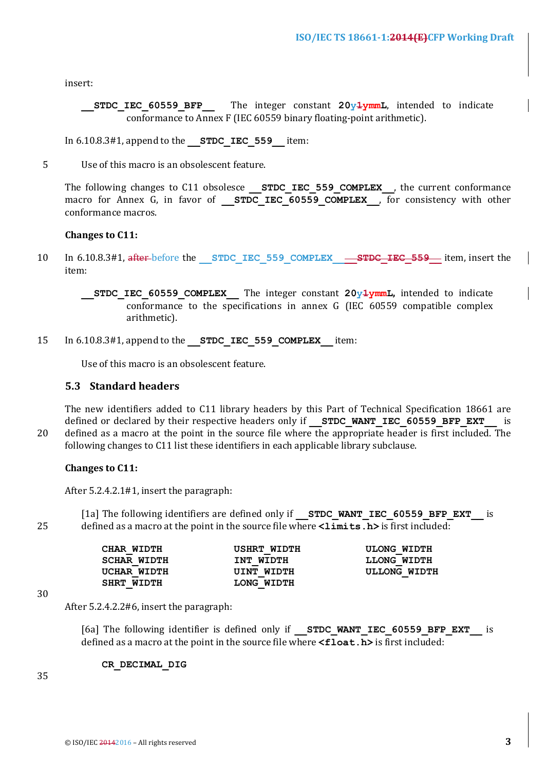insert:

**STDC IEC 60559 BFP** The integer constant  $20y\text{1ymmL}$ , intended to indicate conformance to Annex F (IEC 60559 binary floating-point arithmetic).

In 6.10.8.3#1, append to the **STDC IEC 559** item:

5 Use of this macro is an obsolescent feature.

The following changes to C11 obsolesce **STDC IEC 559 COMPLEX**, the current conformance macro for Annex G, in favor of **STDC IEC 60559 COMPLEX**, for consistency with other conformance macros.

## **Changes** to C11:

10 In 6.10.8.3#1, after-before the **STDC** IEC 559 COMPLEX — STDC IEC 559— item, insert the item:

**STDC IEC 60559 COMPLEX** The integer constant  $20y\frac{1}{2}$ mmL, intended to indicate conformance to the specifications in annex  $G$  (IEC 60559 compatible complex arithmetic).

15 In 6.10.8.3#1, append to the **STDC IEC 559 COMPLEX** item:

Use of this macro is an obsolescent feature.

## **5.3 Standard headers**

The new identifiers added to C11 library headers by this Part of Technical Specification 18661 are defined or declared by their respective headers only if **STDC WANT IEC 60559\_BFP\_EXT** is

20 defined as a macro at the point in the source file where the appropriate header is first included. The following changes to C11 list these identifiers in each applicable library subclause.

#### **Changes** to C11:

After  $5.2.4.2.1#1$ , insert the paragraph:

[1a] The following identifiers are defined only if **STDC WANT IEC 60559 BFP EXT** is 25 defined as a macro at the point in the source file where  $\langle$ **limits.h**> is first included:

| CHAR WIDTH         | USHRT WIDTH | <b>ULONG WIDTH</b> |
|--------------------|-------------|--------------------|
| <b>SCHAR WIDTH</b> | INT WIDTH   | LLONG WIDTH        |
| UCHAR WIDTH        | UINT WIDTH  | ULLONG WIDTH       |
| SHRT WIDTH         | LONG WIDTH  |                    |

30

After  $5.2.4.2.2$ #6, insert the paragraph:

[6a] The following identifier is defined only if **STDC WANT IEC 60559 BFP EXT** is defined as a macro at the point in the source file where **<float.h>** is first included:

**CR\_DECIMAL\_DIG**

35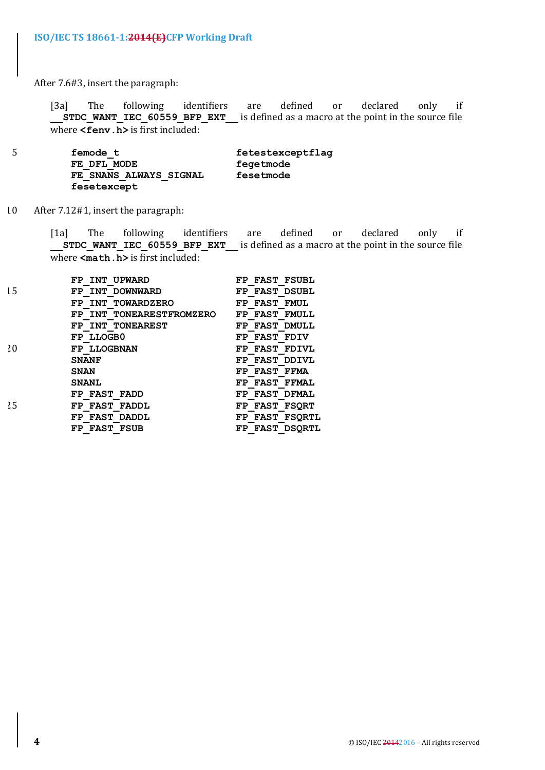After 7.6#3, insert the paragraph:

[3a] The following identifiers are defined or declared only if **\_\_STDC\_WANT\_IEC\_60559\_BFP\_EXT\_\_** is defined as a macro at the point in the source file where  $\le$ **fenv**.**h** $>$  is first included:

5 **femode\_t fetestexceptflag FE\_DFL\_MODE fegetmode**  $\overline{FE}$  SNANS ALWAYS SIGNAL **fesetexcept**

10 After 7.12#1, insert the paragraph:

[1a] The following identifiers are defined or declared only if **STDC\_WANT\_IEC\_60559\_BFP\_EXT** is defined as a macro at the point in the source file where  $\leq$ **math.h**> is first included:

|    | FP INT UPWARD            | FP FAST FSUBL           |
|----|--------------------------|-------------------------|
| 15 | FP INT DOWNWARD          | FP FAST DSUBL           |
|    | FP INT TOWARDZERO        | FP FAST<br><b>FMUL</b>  |
|    | FP INT TONEARESTFROMZERO | <b>FMULL</b><br>FP FAST |
|    | FP INT TONEAREST         | FP FAST DMULL           |
|    | FP LLOGB0                | FP FAST FDIV            |
| 20 | FP LLOGBNAN              | FP FAST FDIVL           |
|    | <b>SNANF</b>             | FP FAST DDIVL           |
|    | <b>SNAN</b>              | FP FAST FFMA            |
|    | <b>SNANL</b>             | FP FAST FFMAL           |
|    | FP FAST FADD             | FP FAST DFMAL           |
| 25 | FP FAST FADDL            | FP FAST FSORT           |
|    | FP FAST DADDL            | FP FAST FSORTL          |
|    | FP FAST FSUB             | FP FAST DSORTL          |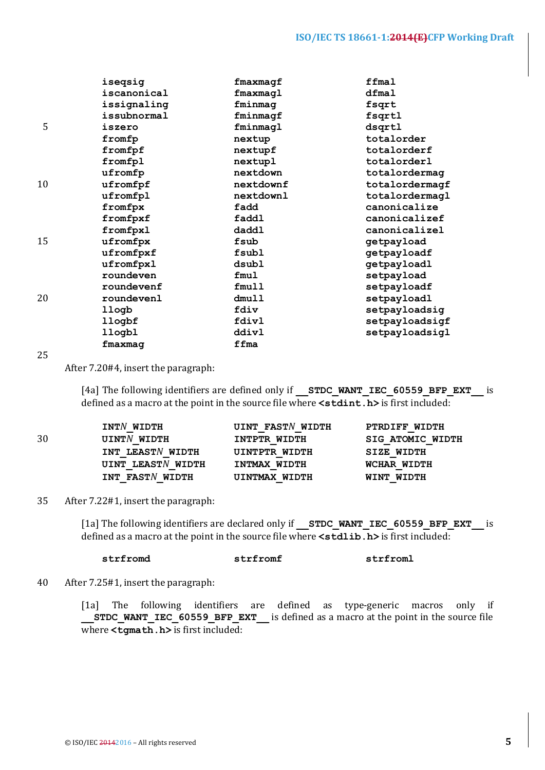|    | iseqsig     | fmaxmagf  | ffmal          |
|----|-------------|-----------|----------------|
|    | iscanonical | fmaxmagl  | dfmal          |
|    | issignaling | fminmag   | fsqrt          |
|    | issubnormal | fminmagf  | fsqrtl         |
| 5  | iszero      | fminmagl  | dsqrtl         |
|    | fromfp      | nextup    | totalorder     |
|    | fromfpf     | nextupf   | totalorderf    |
|    | fromfpl     | nextupl   | totalorderl    |
|    | ufromfp     | nextdown  | totalordermag  |
| 10 | ufromfpf    | nextdownf | totalordermagf |
|    | ufromfpl    | nextdownl | totalordermagl |
|    | fromfpx     | fadd      | canonicalize   |
|    | fromfpxf    | faddl     | canonicalizef  |
|    | fromfpxl    | daddl     | canonicalizel  |
| 15 | ufromfpx    | fsub      | getpayload     |
|    | ufromfpxf   | fsubl     | getpayloadf    |
|    | ufromfpxl   | dsubl     | getpayloadl    |
|    | roundeven   | fmul      | setpayload     |
|    | roundevenf  | fmull     | setpayloadf    |
| 20 | roundevenl  | dmull     | setpayloadl    |
|    | llogb       | fdiv      | setpayloadsig  |
|    | llogbf      | fdivl     | setpayloadsigf |
|    | llogbl      | ddivl     | setpayloadsigl |
|    | fmaxmag     | ffma      |                |

25

After 7.20#4, insert the paragraph:

[4a] The following identifiers are defined only if **STDC WANT IEC 60559 BFP EXT** is defined as a macro at the point in the source file where  $\leq$  stdint. h> is first included:

|    | INTN WIDTH        | <b>UINT FASTN WIDTH</b> | PTRDIFF WIDTH           |
|----|-------------------|-------------------------|-------------------------|
| 30 | UINTN WIDTH       | INTPTR WIDTH            | <b>SIG ATOMIC WIDTH</b> |
|    | INT LEASTN WIDTH  | UINTPTR WIDTH           | <b>SIZE WIDTH</b>       |
|    | UINT LEASTN WIDTH | INTMAX WIDTH            | WCHAR WIDTH             |
|    | INT FASTN WIDTH   | UINTMAX WIDTH           | WINT WIDTH              |

35 After 7.22#1, insert the paragraph:

[1a] The following identifiers are declared only if **\_\_STDC\_WANT\_IEC\_60559\_BFP\_EXT**\_\_ is defined as a macro at the point in the source file where  $\leq$ **stdlib.h>** is first included:

**strfromd strfromf strfroml**

40 After 7.25#1, insert the paragraph:

[1a] The following identifiers are defined as type-generic macros only if **STDC** WANT IEC 60559 BFP EXT is defined as a macro at the point in the source file where <tgmath.h> is first included: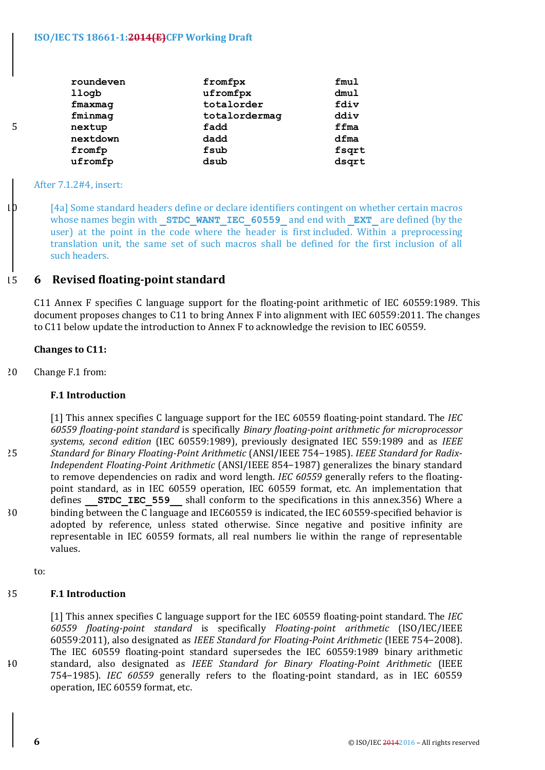## **ISO/IEC TS 18661-1:2014(E)CFP Working Draft**

|   | roundeven | fromfpx       | fmul  |
|---|-----------|---------------|-------|
|   | llogb     | ufromfpx      | dmul  |
|   | fmaxmag   | totalorder    | fdiv  |
|   | fminmag   | totalordermag | ddiv  |
| 5 | nextup    | fadd          | ffma  |
|   | nextdown  | dadd          | dfma  |
|   | fromfp    | fsub          | fsqrt |
|   | ufromfp   | dsub          | dsqrt |
|   |           |               |       |

#### After 7.1.2#4, insert:

 $10$  [4a] Some standard headers define or declare identifiers contingent on whether certain macros whose names begin with **STDC WANT IEC 60559** and end with **EXT** are defined (by the user) at the point in the code where the header is first included. Within a preprocessing translation unit, the same set of such macros shall be defined for the first inclusion of all such headers.

## 15 **6 Revised floating-point standard**

C11 Annex F specifies C language support for the floating-point arithmetic of IEC 60559:1989. This document proposes changes to C11 to bring Annex F into alignment with IEC 60559:2011. The changes to C11 below update the introduction to Annex F to acknowledge the revision to IEC 60559.

## **Changes** to C11:

20 Change F.1 from:

## **F.1 Introduction**

[1] This annex specifies C language support for the IEC 60559 floating-point standard. The *IEC 60559 floating-point standard* is specifically *Binary floating-point arithmetic for microprocessor*  systems, second edition (IEC 60559:1989), previously designated IEC 559:1989 and as *IEEE* 25 *Standard for Binary Floating-Point Arithmetic* (ANSI/IEEE 754-1985). *IEEE Standard for Radix-Independent Floating-Point Arithmetic* (ANSI/IEEE 854-1987) generalizes the binary standard to remove dependencies on radix and word length. *IEC* 60559 generally refers to the floatingpoint standard, as in IEC 60559 operation, IEC 60559 format, etc. An implementation that defines **STDC IEC 559** shall conform to the specifications in this annex.356) Where a 30 binding between the C language and IEC60559 is indicated, the IEC 60559-specified behavior is adopted by reference, unless stated otherwise. Since negative and positive infinity are representable in IEC 60559 formats, all real numbers lie within the range of representable values.

to:

## 35 **F.1 Introduction**

[1] This annex specifies C language support for the IEC 60559 floating-point standard. The *IEC 60559 floating-point standard*  is specifically *Floating-point arithmetic* (ISO/IEC/IEEE 60559:2011), also designated as *IEEE Standard for Floating-Point Arithmetic* (IEEE 754-2008). The IEC 60559 floating-point standard supersedes the IEC 60559:1989 binary arithmetic 40 standard, also designated as *IEEE Standard for Binary Floating-Point Arithmetic*  (IEEE 754-1985). *IEC* 60559 generally refers to the floating-point standard, as in IEC 60559 operation, IEC 60559 format, etc.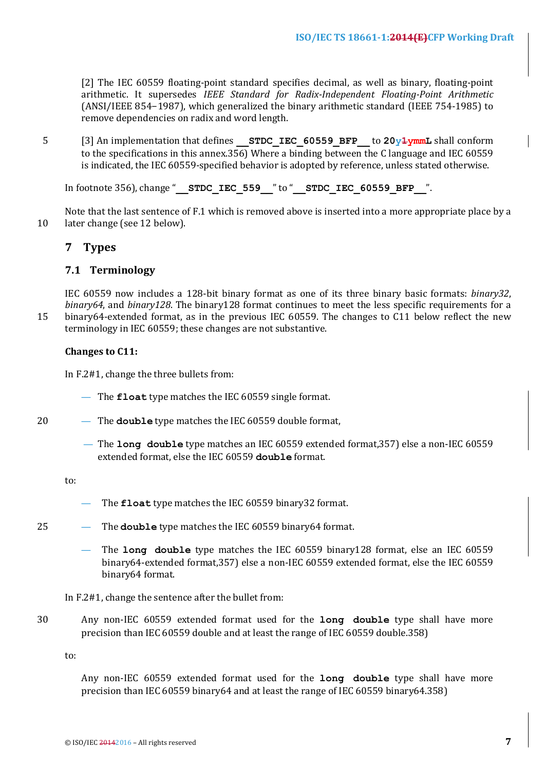[2] The IEC 60559 floating-point standard specifies decimal, as well as binary, floating-point arithmetic. It supersedes *IEEE Standard for Radix-Independent Floating-Point Arithmetic* (ANSI/IEEE 854−1987), which generalized the binary arithmetic standard (IEEE 754-1985) to remove dependencies on radix and word length.

5 [3] An implementation that defines **STDC IEC 60559 BFP** to 20v<del>1</del>ymmL shall conform to the specifications in this annex.356) Where a binding between the C language and IEC 60559 is indicated, the IEC 60559-specified behavior is adopted by reference, unless stated otherwise.

In footnote 356), change " **STDC\_IEC\_559** " to " **STDC\_IEC\_60559\_BFP** ".

Note that the last sentence of F.1 which is removed above is inserted into a more appropriate place by a 10 later change (see 12 below).

## **7 Types**

## **7.1 Terminology**

IEC 60559 now includes a 128-bit binary format as one of its three binary basic formats: *binary32*, *binary64*, and *binary128*. The binary128 format continues to meet the less specific requirements for a 15 binary64-extended format, as in the previous IEC 60559. The changes to C11 below reflect the new terminology in IEC 60559; these changes are not substantive.

## **Changes to C11:**

In F.2#1, change the three bullets from:

- The **float** type matches the IEC 60559 single format.
- 20 The **double** type matches the IEC 60559 double format,
	- The **long double** type matches an IEC 60559 extended format, 357) else a non-IEC 60559 extended format, else the IEC 60559 **double** format.

to:

- The **float** type matches the IEC 60559 binary32 format.
- 25 The **double** type matches the IEC 60559 binary64 format.
	- The long double type matches the IEC 60559 binary128 format, else an IEC 60559 binary64-extended format, 357) else a non-IEC 60559 extended format, else the IEC 60559 binary64 format.

In F.2#1, change the sentence after the bullet from:

30 Any non-IEC 60559 extended format used for the **long double** type shall have more precision than IEC 60559 double and at least the range of IEC 60559 double.358)

to: 

Any non-IEC 60559 extended format used for the long double type shall have more precision than IEC 60559 binary64 and at least the range of IEC 60559 binary64.358)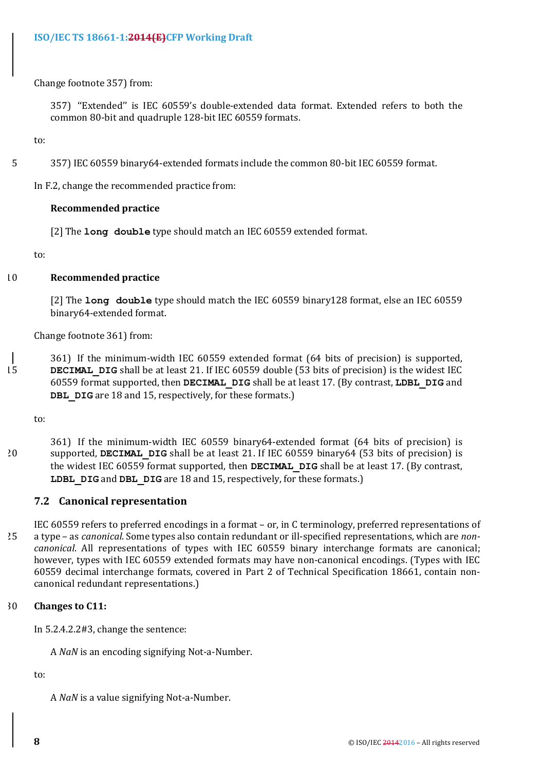## Change footnote 357) from:

357) "Extended" is IEC 60559's double-extended data format. Extended refers to both the common 80-bit and quadruple 128-bit IEC 60559 formats.

to:

5 357) IEC 60559 binary64-extended formats include the common 80-bit IEC 60559 format.

In F.2, change the recommended practice from:

## **Recommended practice**

[2] The **long double** type should match an IEC 60559 extended format.

to:

## 10 **Recommended practice**

[2] The **long double** type should match the IEC 60559 binary128 format, else an IEC 60559 binary64-extended format.

Change footnote 361) from:

361) If the minimum-width IEC 60559 extended format (64 bits of precision) is supported, 15 **DECIMAL DIG** shall be at least 21. If IEC 60559 double (53 bits of precision) is the widest IEC 60559 format supported, then **DECIMAL\_DIG** shall be at least 17. (By contrast, **LDBL\_DIG** and **DBL** DIG are 18 and 15, respectively, for these formats.)

to:

361) If the minimum-width IEC 60559 binary64-extended format (64 bits of precision) is <sup>20</sup> supported, **DECIMAL DIG** shall be at least 21. If IEC 60559 binary64 (53 bits of precision) is the widest IEC 60559 format supported, then **DECIMAL DIG** shall be at least 17. (By contrast, **LDBL** DIG and DBL DIG are 18 and 15, respectively, for these formats.)

## **7.2 Canonical representation**

IEC 60559 refers to preferred encodings in a format - or, in C terminology, preferred representations of 25 a type – as *canonical*. Some types also contain redundant or ill-specified representations, which are *noncanonical*. All representations of types with IEC 60559 binary interchange formats are canonical; however, types with IEC 60559 extended formats may have non-canonical encodings. (Types with IEC 60559 decimal interchange formats, covered in Part 2 of Technical Specification 18661, contain noncanonical redundant representations.)

## 30 **Changes** to C11:

In  $5.2.4.2.2 \text{#3}$ , change the sentence:

A *NaN* is an encoding signifying Not-a-Number.

to:

A *NaN* is a value signifying Not-a-Number.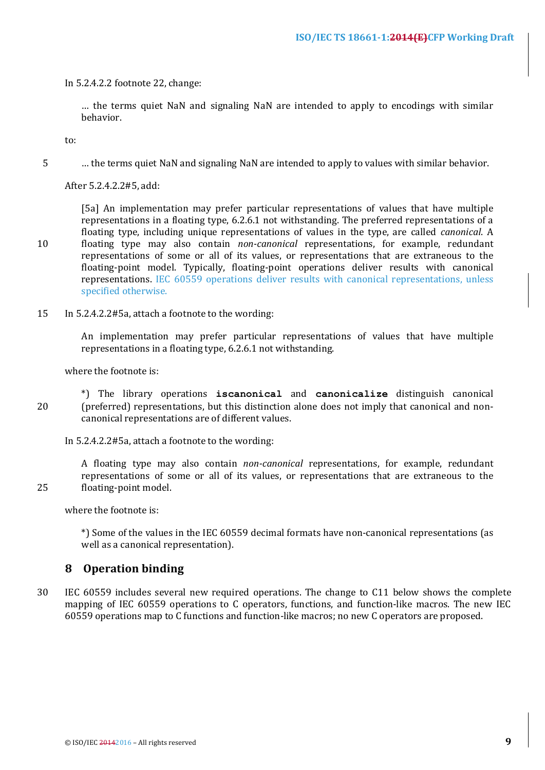In 5.2.4.2.2 footnote 22, change:

... the terms quiet NaN and signaling NaN are intended to apply to encodings with similar behavior.

to:

5 ... the terms quiet NaN and signaling NaN are intended to apply to values with similar behavior.

After 5.2.4.2.2#5, add:

[5a] An implementation may prefer particular representations of values that have multiple representations in a floating type, 6.2.6.1 not withstanding. The preferred representations of a floating type, including unique representations of values in the type, are called *canonical*. A 10 floating type may also contain *non-canonical* representations, for example, redundant representations of some or all of its values, or representations that are extraneous to the floating-point model. Typically, floating-point operations deliver results with canonical representations. IEC 60559 operations deliver results with canonical representations, unless specified otherwise.

15 In 5.2.4.2.2#5a, attach a footnote to the wording:

An implementation may prefer particular representations of values that have multiple representations in a floating type, 6.2.6.1 not withstanding.

where the footnote is:

\*) The library operations **iscanonical** and **canonicalize** distinguish canonical 20 (preferred) representations, but this distinction alone does not imply that canonical and noncanonical representations are of different values.

In 5.2.4.2.2#5a, attach a footnote to the wording:

A floating type may also contain *non-canonical* representations, for example, redundant representations of some or all of its values, or representations that are extraneous to the 25 floating-point model.

where the footnote is:

\*) Some of the values in the IEC 60559 decimal formats have non-canonical representations (as well as a canonical representation).

## **8 Operation binding**

30 IEC 60559 includes several new required operations. The change to C11 below shows the complete mapping of IEC 60559 operations to C operators, functions, and function-like macros. The new IEC 60559 operations map to C functions and function-like macros; no new C operators are proposed.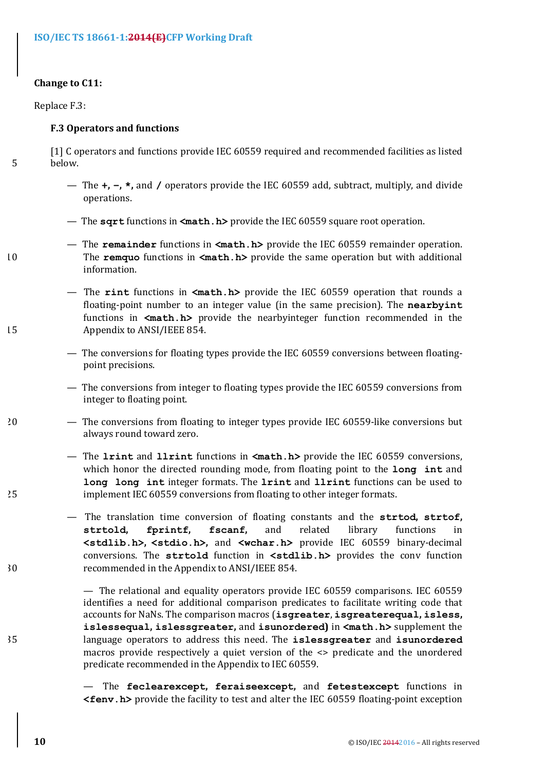## **ISO/IEC TS 18661-1:2014(E)CFP Working Draft**

## **Change** to C11:

Replace F.3:

#### **F.3 Operators and functions**

[1] C operators and functions provide IEC 60559 required and recommended facilities as listed 5 below.

- The **+, −, \*,** and / operators provide the IEC 60559 add, subtract, multiply, and divide operations.
- The **sqrt** functions in **<math.h>** provide the IEC 60559 square root operation.
- The **remainder** functions in <math.h> provide the IEC 60559 remainder operation. 10 The **remquo** functions in  $\text{make h.b>}$  provide the same operation but with additional information.
- The **rint** functions in  $\text{sin } \lambda$  provide the IEC 60559 operation that rounds a floating-point number to an integer value (in the same precision). The **nearbyint** functions in **<math.h>** provide the nearbyinteger function recommended in the 15 Appendix to ANSI/IEEE 854.
	- The conversions for floating types provide the IEC 60559 conversions between floatingpoint precisions.
	- The conversions from integer to floating types provide the IEC 60559 conversions from integer to floating point.
- 20 The conversions from floating to integer types provide IEC 60559-like conversions but always round toward zero.
- The **lrint** and **llrint** functions in  $\text{match.h>}$  provide the IEC 60559 conversions, which honor the directed rounding mode, from floating point to the **long** int and **long long int** integer formats. The **lrint** and **llrint** functions can be used to 25 implement IEC 60559 conversions from floating to other integer formats.
- $-$  The translation time conversion of floating constants and the **strtod**, **strtof**, **strtold, fprintf, fscanf,**  and related library functions in **<stdlib.h>, <stdio.h>,**  and **<wchar.h>** provide IEC 60559 binary-decimal conversions. The strtold function in <stdlib.h> provides the conv function 30 recommended in the Appendix to ANSI/IEEE 854.

— The relational and equality operators provide IEC 60559 comparisons. IEC 60559 identifies a need for additional comparison predicates to facilitate writing code that accounts for NaNs. The comparison macros (isgreater, isgreaterequal, isless, **islessequal**, islessgreater, and isunordered) in <math.h> supplement the 35 language operators to address this need. The **islessgreater** and **isunordered** macros provide respectively a quiet version of the  $\leq$  predicate and the unordered predicate recommended in the Appendix to IEC 60559.

> $-$  The **feclearexcept**, **feraiseexcept**, and **fetestexcept** functions in **<fenv.h>** provide the facility to test and alter the IEC 60559 floating-point exception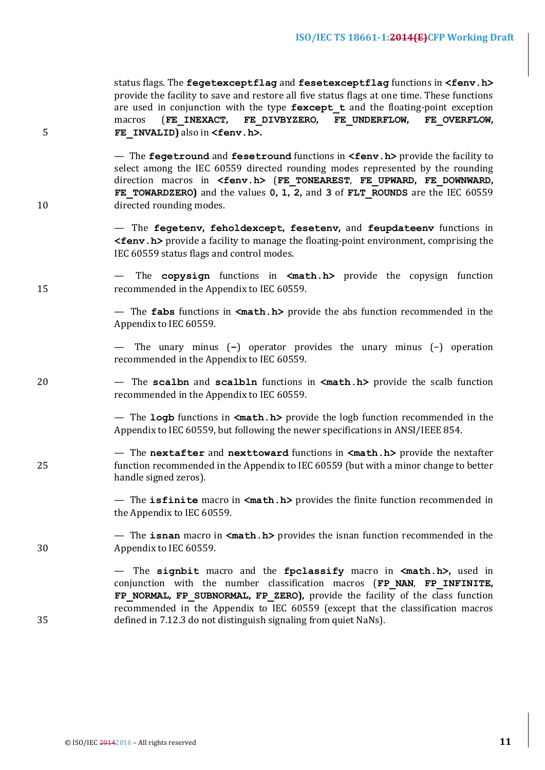| 5  | status flags. The fegetexceptflag and fesetexceptflag functions in <fenv.h><br/>provide the facility to save and restore all five status flags at one time. These functions<br/>are used in conjunction with the type <math>f</math>except <math>t</math> and the floating-point exception<br/>(FE INEXACT, FE DIVBYZERO, FE UNDERFLOW,<br/>FE OVERFLOW,<br/>macros<br/>FE INVALID) also in <fenv.h>.</fenv.h></fenv.h> |
|----|-------------------------------------------------------------------------------------------------------------------------------------------------------------------------------------------------------------------------------------------------------------------------------------------------------------------------------------------------------------------------------------------------------------------------|
| 10 | - The fegetround and fesetround functions in <fenv. h=""> provide the facility to<br/>select among the IEC 60559 directed rounding modes represented by the rounding<br/>direction macros in <fenv.h> (FE TONEAREST, FE UPWARD, FE DOWNWARD,<br/>FE TOWARDZERO) and the values 0, 1, 2, and 3 of FLT ROUNDS are the IEC 60559<br/>directed rounding modes.</fenv.h></fenv.>                                             |
|    | - The fegetenv, feholdexcept, fesetenv, and feupdateenv functions in<br><fenv.h> provide a facility to manage the floating-point environment, comprising the<br/>IEC 60559 status flags and control modes.</fenv.h>                                                                                                                                                                                                     |
| 15 | The copysign functions in <math.h> provide the copysign function<br/>recommended in the Appendix to IEC 60559.</math.h>                                                                                                                                                                                                                                                                                                 |
|    | — The fabs functions in $\langle \text{match}, h \rangle$ provide the abs function recommended in the<br>Appendix to IEC 60559.                                                                                                                                                                                                                                                                                         |
|    | — The unary minus $(-)$ operator provides the unary minus $(-)$ operation<br>recommended in the Appendix to IEC 60559.                                                                                                                                                                                                                                                                                                  |
| 20 | - The scalbn and scalbln functions in <math.h> provide the scalb function<br/>recommended in the Appendix to IEC 60559.</math.h>                                                                                                                                                                                                                                                                                        |
|    | — The logb functions in $\leq m$ ath. h> provide the logb function recommended in the<br>Appendix to IEC 60559, but following the newer specifications in ANSI/IEEE 854.                                                                                                                                                                                                                                                |
| 25 | - The nextafter and nexttoward functions in <math.h> provide the nextafter<br/>function recommended in the Appendix to IEC 60559 (but with a minor change to better<br/>handle signed zeros).</math.h>                                                                                                                                                                                                                  |
|    | — The isfinite macro in $\langle \text{match}, h \rangle$ provides the finite function recommended in<br>the Appendix to IEC 60559.                                                                                                                                                                                                                                                                                     |
| 30 | — The isnan macro in $\langle \text{math.h} \rangle$ provides the isnan function recommended in the<br>Appendix to IEC 60559.                                                                                                                                                                                                                                                                                           |
| 35 | - The signbit macro and the fpclassify macro in <math.h>, used in<br/>conjunction with the number classification macros (FP NAN, FP INFINITE,<br/>FP NORMAL, FP SUBNORMAL, FP ZERO), provide the facility of the class function<br/>recommended in the Appendix to IEC 60559 (except that the classification macros<br/>defined in 7.12.3 do not distinguish signaling from quiet NaNs).</math.h>                       |
|    |                                                                                                                                                                                                                                                                                                                                                                                                                         |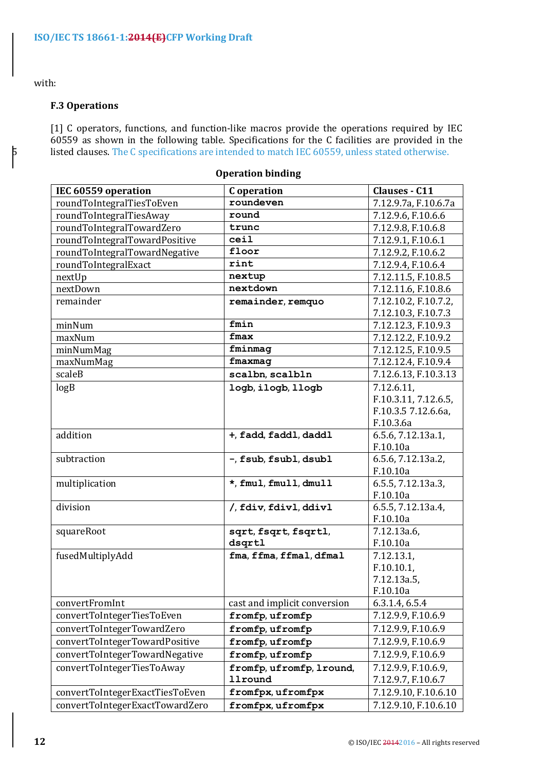## with:

## **F.3 Operations**

[1] C operators, functions, and function-like macros provide the operations required by IEC 60559 as shown in the following table. Specifications for the C facilities are provided in the 5 listed clauses. The C specifications are intended to match IEC 60559, unless stated otherwise.

| IEC 60559 operation             | C operation                                | <b>Clauses - C11</b>     |
|---------------------------------|--------------------------------------------|--------------------------|
| roundToIntegralTiesToEven       | roundeven                                  | 7.12.9.7a, F.10.6.7a     |
| roundToIntegralTiesAway         | round                                      | 7.12.9.6, F.10.6.6       |
| roundToIntegralTowardZero       | trunc                                      | 7.12.9.8, F.10.6.8       |
| roundToIntegralTowardPositive   | ceil                                       | 7.12.9.1, F.10.6.1       |
| roundToIntegralTowardNegative   | floor                                      | 7.12.9.2, F.10.6.2       |
| roundToIntegralExact            | rint                                       | 7.12.9.4, F.10.6.4       |
| nextUp                          | nextup                                     | 7.12.11.5, F.10.8.5      |
| nextDown                        | nextdown                                   | 7.12.11.6, F.10.8.6      |
| remainder                       | remainder, remquo                          | 7.12.10.2, F.10.7.2,     |
|                                 |                                            | 7.12.10.3, F.10.7.3      |
| minNum                          | fmin                                       | 7.12.12.3, F.10.9.3      |
| maxNum                          | fmax                                       | 7.12.12.2, F.10.9.2      |
| minNumMag                       | fminmag                                    | 7.12.12.5, F.10.9.5      |
| maxNumMag                       | fmaxmag                                    | 7.12.12.4, F.10.9.4      |
| scaleB                          | scalbn, scalbln                            | 7.12.6.13, F.10.3.13     |
| log B                           | logb, ilogb, llogb                         | 7.12.6.11,               |
|                                 |                                            | F.10.3.11, 7.12.6.5,     |
|                                 |                                            | F.10.3.5 7.12.6.6a,      |
|                                 |                                            | F.10.3.6a                |
| addition                        | +, fadd, faddl, daddl                      | 6.5.6, 7.12.13a.1,       |
|                                 |                                            | F.10.10a                 |
| subtraction                     | -, fsub, fsubl, dsubl                      | 6.5.6, 7.12.13a.2,       |
|                                 |                                            | F.10.10a                 |
| multiplication                  | *, fmul, fmull, dmull                      | 6.5.5, 7.12.13a.3,       |
|                                 |                                            | F.10.10a                 |
| division                        | /, fdiv, fdivl, ddivl                      | 6.5.5, 7.12.13a.4,       |
|                                 |                                            | F.10.10a                 |
| squareRoot                      | sqrt, fsqrt, fsqrtl,                       | 7.12.13a.6,              |
|                                 | dsqrtl                                     | F.10.10a                 |
| fusedMultiplyAdd                | fma, ffma, ffmal, dfmal                    | 7.12.13.1,               |
|                                 |                                            | F.10.10.1<br>7.12.13a.5, |
|                                 |                                            | F.10.10a                 |
| convertFromInt                  | cast and implicit conversion               | 6.3.1.4, 6.5.4           |
| convertToIntegerTiesToEven      | fromfp, ufromfp                            | 7.12.9.9, F.10.6.9       |
| convertToIntegerTowardZero      | fromfp, ufromfp                            | 7.12.9.9, F.10.6.9       |
| convertToIntegerTowardPositive  | fromfp, ufromfp                            | 7.12.9.9, F.10.6.9       |
| convertToIntegerTowardNegative  | fromfp, ufromfp                            | 7.12.9.9, F.10.6.9       |
| convertToIntegerTiesToAway      |                                            | 7.12.9.9, F.10.6.9,      |
|                                 | fromfp, ufromfp, lround,<br><b>11round</b> | 7.12.9.7, F.10.6.7       |
|                                 | fromfpx, ufromfpx                          | 7.12.9.10, F.10.6.10     |
| convertToIntegerExactTiesToEven |                                            |                          |
| convertToIntegerExactTowardZero | fromfpx, ufromfpx                          | 7.12.9.10, F.10.6.10     |

#### **Operation binding**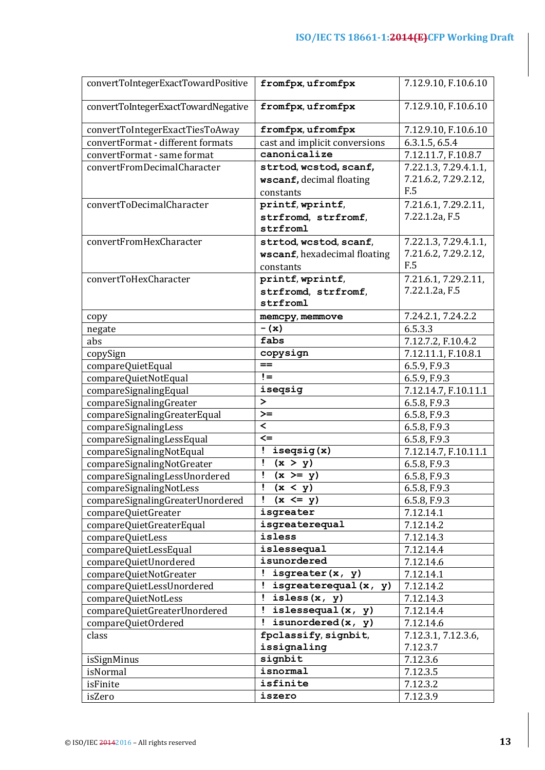| convertToIntegerExactTowardPositive | fromfpx, ufromfpx             | 7.12.9.10, F.10.6.10  |
|-------------------------------------|-------------------------------|-----------------------|
| convertToIntegerExactTowardNegative | fromfpx, ufromfpx             | 7.12.9.10, F.10.6.10  |
| convertToIntegerExactTiesToAway     | fromfpx, ufromfpx             | 7.12.9.10, F.10.6.10  |
| convertFormat - different formats   | cast and implicit conversions | 6.3.1.5, 6.5.4        |
| convertFormat - same format         | canonicalize                  | 7.12.11.7, F.10.8.7   |
| convertFromDecimalCharacter         | strtod, wcstod, scanf,        | 7.22.1.3, 7.29.4.1.1, |
|                                     | wscanf, decimal floating      | 7.21.6.2, 7.29.2.12,  |
|                                     | constants                     | F.5                   |
| convertToDecimalCharacter           | printf, wprintf,              | 7.21.6.1, 7.29.2.11,  |
|                                     | strfromd, strfromf,           | 7.22.1.2a, F.5        |
|                                     | strfroml                      |                       |
| convertFromHexCharacter             | strtod, wcstod, scanf,        | 7.22.1.3, 7.29.4.1.1, |
|                                     | wscanf, hexadecimal floating  | 7.21.6.2, 7.29.2.12,  |
|                                     | constants                     | F.5                   |
| convertToHexCharacter               | printf, wprintf,              | 7.21.6.1, 7.29.2.11,  |
|                                     | strfromd, strfromf,           | 7.22.1.2a, F.5        |
|                                     | strfroml                      |                       |
| copy                                | memcpy, memmove               | 7.24.2.1, 7.24.2.2    |
| negate                              | $-$ (x)                       | 6.5.3.3               |
| abs                                 | fabs                          | 7.12.7.2, F.10.4.2    |
| copySign                            | copysign                      | 7.12.11.1, F.10.8.1   |
| compareQuietEqual                   | $=$                           | 6.5.9, F.9.3          |
| compareQuietNotEqual                | $!=$                          | 6.5.9, F.9.3          |
| compareSignalingEqual               | iseqsig                       | 7.12.14.7, F.10.11.1  |
| compareSignalingGreater             | $\geq$                        | 6.5.8, F.9.3          |
| compareSignalingGreaterEqual        | $\mathcal{F} =$               | 6.5.8, F.9.3          |
| compareSignalingLess                | $\,<\,$                       | 6.5.8, F.9.3          |
| compareSignalingLessEqual           | $\leq$                        | 6.5.8, F.9.3          |
| compareSignalingNotEqual            | $is$ eqsig $(x)$<br>Ţ.        | 7.12.14.7, F.10.11.1  |
| compareSignalingNotGreater          | Ţ<br>(x > y)                  | 6.5.8, F.9.3          |
| compareSignalingLessUnordered       | $(x \ge y)$<br>Ţ              | 6.5.8, F.9.3          |
| compareSignalingNotLess             | (x < y)                       | 6.5.8, F.9.3          |
| compareSignalingGreaterUnordered    | $(x \leq y)$<br>Ţ             | 6.5.8, F.9.3          |
| compareQuietGreater                 | isgreater                     | 7.12.14.1             |
| compareQuietGreaterEqual            | isgreaterequal                | 7.12.14.2             |
| compareQuietLess                    | isless                        | 7.12.14.3             |
| compareQuietLessEqual               | islessequal                   | 7.12.14.4             |
| compareQuietUnordered               | isunordered                   | 7.12.14.6             |
| compareQuietNotGreater              | ! isgreater $(x, y)$          | 7.12.14.1             |
| compareQuietLessUnordered           | isgreaterequal (x, y)         | 7.12.14.2             |
| compareQuietNotLess                 | isless $(x, y)$<br>Ţ          | 7.12.14.3             |
| compareQuietGreaterUnordered        | islessequal $(x, y)$<br>Ţ     | 7.12.14.4             |
| compareQuietOrdered                 | isunordered $(x, y)$<br>Ţ     | 7.12.14.6             |
| class                               | fpclassify, signbit,          | 7.12.3.1, 7.12.3.6,   |
|                                     | issignaling                   | 7.12.3.7              |
| isSignMinus                         | signbit                       | 7.12.3.6              |
| isNormal                            | isnormal                      | 7.12.3.5              |
| isFinite                            | isfinite                      | 7.12.3.2              |
| isZero                              | iszero                        | 7.12.3.9              |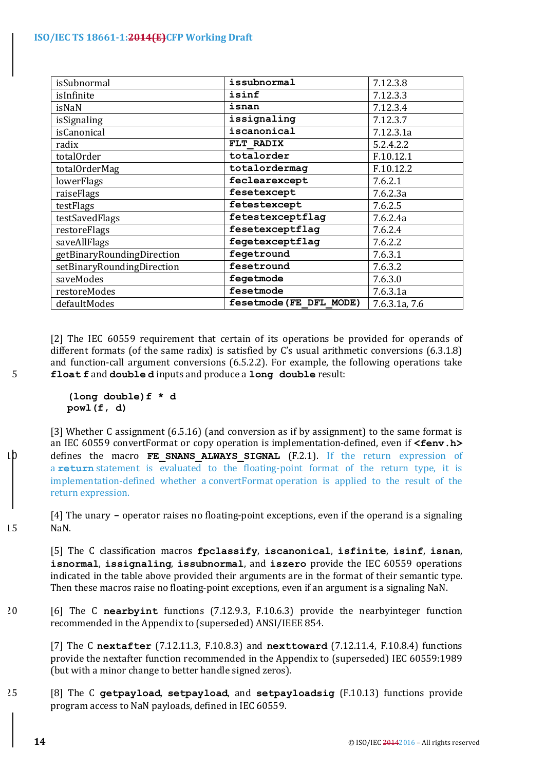| isSubnormal                | issubnormal             | 7.12.3.8      |
|----------------------------|-------------------------|---------------|
| isInfinite                 | isinf                   | 7.12.3.3      |
| isNaN                      | isnan                   | 7.12.3.4      |
| isSignaling                | issignaling             | 7.12.3.7      |
| isCanonical                | iscanonical             | 7.12.3.1a     |
| radix                      | FLT RADIX               | 5.2.4.2.2     |
| totalOrder                 | totalorder              | F.10.12.1     |
| totalOrderMag              | totalordermag           | F.10.12.2     |
| lowerFlags                 | feclearexcept           | 7.6.2.1       |
| raiseFlags                 | fesetexcept             | 7.6.2.3a      |
| testFlags                  | fetestexcept            | 7.6.2.5       |
| testSavedFlags             | fetestexceptflag        | 7.6.2.4a      |
| restoreFlags               | fesetexceptflag         | 7.6.2.4       |
| saveAllFlags               | fegetexceptflag         | 7.6.2.2       |
| getBinaryRoundingDirection | fegetround              | 7.6.3.1       |
| setBinaryRoundingDirection | fesetround              | 7.6.3.2       |
| saveModes                  | fegetmode               | 7.6.3.0       |
| restoreModes               | fesetmode               | 7.6.3.1a      |
| defaultModes               | fesetmode (FE DFL MODE) | 7.6.3.1a, 7.6 |

[2] The IEC 60559 requirement that certain of its operations be provided for operands of different formats (of the same radix) is satisfied by C's usual arithmetic conversions  $(6.3.1.8)$ and function-call argument conversions  $(6.5.2.2)$ . For example, the following operations take 5 **float f** and **double d** inputs and produce a long double result:

> **(long double)f \* d powl(f, d)**

[3] Whether C assignment  $(6.5.16)$  (and conversion as if by assignment) to the same format is an IEC 60559 convertFormat or copy operation is implementation-defined, even if **<fenv.h>**  $10$  defines the macro **FE SNANS ALWAYS SIGNAL** (F.2.1). If the return expression of a **return** statement is evaluated to the floating-point format of the return type, it is implementation-defined whether a convertFormat operation is applied to the result of the return expression.

[4] The unary – operator raises no floating-point exceptions, even if the operand is a signaling 15 NaN.

[5] The C classification macros **fpclassify**, **iscanonical**, **isfinite**, **isinf**, **isnan**, isnormal, issignaling, issubnormal, and iszero provide the IEC 60559 operations indicated in the table above provided their arguments are in the format of their semantic type. Then these macros raise no floating-point exceptions, even if an argument is a signaling NaN.

20 [6] The C nearbyint functions (7.12.9.3, F.10.6.3) provide the nearbyinteger function recommended in the Appendix to (superseded) ANSI/IEEE 854.

[7] The C nextafter (7.12.11.3, F.10.8.3) and nexttoward (7.12.11.4, F.10.8.4) functions provide the nextafter function recommended in the Appendix to (superseded) IEC 60559:1989 (but with a minor change to better handle signed zeros).

25 [8] The C getpayload, setpayload, and setpayloadsig (F.10.13) functions provide program access to NaN payloads, defined in IEC 60559.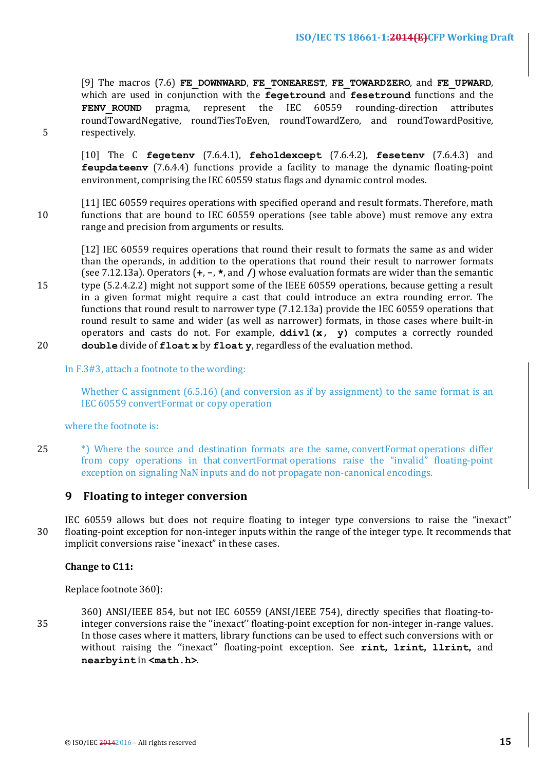[9] The macros (7.6) FE DOWNWARD, FE TONEAREST, FE TOWARDZERO, and FE UPWARD, which are used in conjunction with the **fegetround** and **fesetround** functions and the **FENV ROUND** pragma, represent the IEC 60559 rounding-direction attributes roundTowardNegative, roundTiesToEven, roundTowardZero, and roundTowardPositive, 5 respectively.

[10] The C **fegetenv** (7.6.4.1), **feholdexcept** (7.6.4.2), **fesetenv** (7.6.4.3) and **feupdateeny** (7.6.4.4) functions provide a facility to manage the dynamic floating-point environment, comprising the IEC 60559 status flags and dynamic control modes.

[11] IEC 60559 requires operations with specified operand and result formats. Therefore, math 10 functions that are bound to IEC 60559 operations (see table above) must remove any extra range and precision from arguments or results.

[12] IEC 60559 requires operations that round their result to formats the same as and wider than the operands, in addition to the operations that round their result to narrower formats (see 7.12.13a). Operators  $(+, -, *, \text{ and } /)$  whose evaluation formats are wider than the semantic

15 type (5.2.4.2.2) might not support some of the IEEE 60559 operations, because getting a result in a given format might require a cast that could introduce an extra rounding error. The functions that round result to narrower type  $(7.12.13a)$  provide the IEC 60559 operations that round result to same and wider (as well as narrower) formats, in those cases where built-in operators and casts do not. For example,  $ddivl(x, y)$  computes a correctly rounded 20 **double** divide of **float x** by **float y**, regardless of the evaluation method.

In F.3#3, attach a footnote to the wording:

Whether C assignment  $(6.5.16)$  (and conversion as if by assignment) to the same format is an IEC 60559 convertFormat or copy operation

where the footnote is:

25 <sup>\*</sup>) Where the source and destination formats are the same, convertFormat operations differ from copy operations in that convertFormat operations raise the "invalid" floating-point exception on signaling NaN inputs and do not propagate non-canonical encodings.

## **9** Floating to integer conversion

IEC 60559 allows but does not require floating to integer type conversions to raise the "inexact" 30 floating-point exception for non-integer inputs within the range of the integer type. It recommends that implicit conversions raise "inexact" in these cases.

## **Change to C11:**

Replace footnote 360):

360) ANSI/IEEE 854, but not IEC 60559 (ANSI/IEEE 754), directly specifies that floating-to-35 integer conversions raise the "inexact" floating-point exception for non-integer in-range values. In those cases where it matters, library functions can be used to effect such conversions with or without raising the ''inexact'' floating-point exception. See **rint, lrint, llrint,**  and **nearbyint** in **<math.h>**.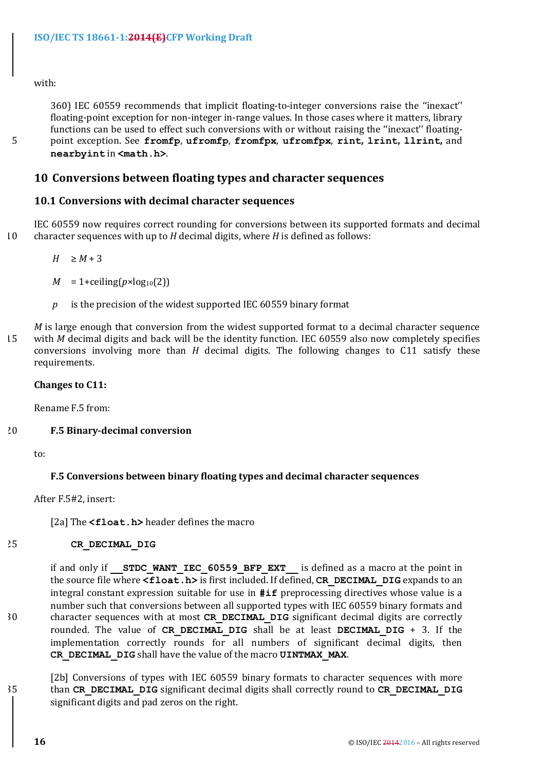with:

360) IEC 60559 recommends that implicit floating-to-integer conversions raise the "inexact" floating-point exception for non-integer in-range values. In those cases where it matters, library functions can be used to effect such conversions with or without raising the "inexact" floating-5 point exception. See **fromfp**, **ufromfp**, **fromfpx**, **ufromfpx**, **rint, lrint, llrint,**  and **nearbyint** in **<math.h>**.

## **10 Conversions between floating types and character sequences**

## **10.1 Conversions with decimal character sequences**

IEC 60559 now requires correct rounding for conversions between its supported formats and decimal 10 character sequences with up to *H* decimal digits, where *H* is defined as follows:

 $H \geq M+3$ 

- $M = 1 +$ ceiling( $p \times log_{10}(2)$ )
- $p$  is the precision of the widest supported IEC 60559 binary format

*M* is large enough that conversion from the widest supported format to a decimal character sequence 15 with *M* decimal digits and back will be the identity function. IEC 60559 also now completely specifies conversions involving more than  $H$  decimal digits. The following changes to  $C11$  satisfy these requirements.

#### **Changes** to C11:

Rename F.5 from:

## 20 **F.5 Binary-decimal conversion**

to:

## **F.5 Conversions between binary floating types and decimal character sequences**

After F.5#2, insert:

[2a] The <float.h> header defines the macro

## 25 **CR\_DECIMAL\_DIG**

if and only if **STDC WANT IEC 60559 BFP EXT** is defined as a macro at the point in the source file where **<float.h>** is first included. If defined, **CR\_DECIMAL\_DIG** expands to an integral constant expression suitable for use in  $\#\textbf{if}$  preprocessing directives whose value is a number such that conversions between all supported types with IEC 60559 binary formats and 30 character sequences with at most **CR DECIMAL DIG** significant decimal digits are correctly rounded. The value of CR DECIMAL DIG shall be at least DECIMAL DIG + 3. If the implementation correctly rounds for all numbers of significant decimal digits, then CR DECIMAL DIG shall have the value of the macro UINTMAX MAX.

[2b] Conversions of types with IEC 60559 binary formats to character sequences with more 35 than **CR\_DECIMAL\_DIG** significant decimal digits shall correctly round to **CR\_DECIMAL\_DIG** significant digits and pad zeros on the right.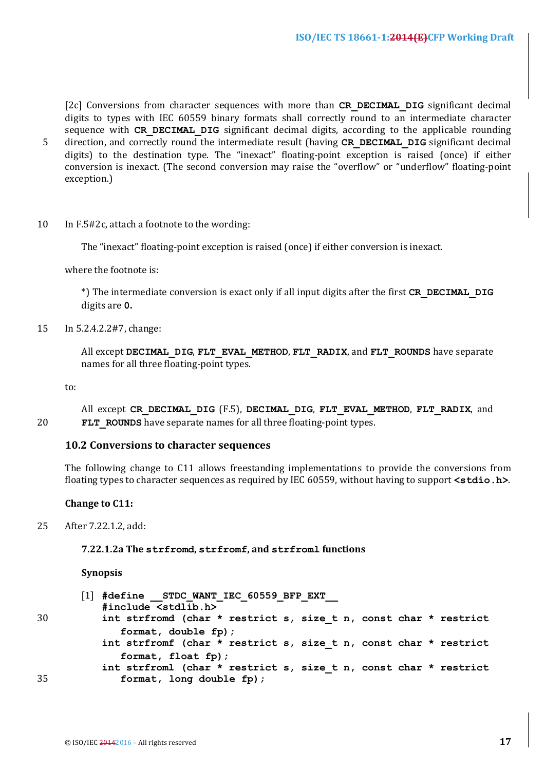[2c] Conversions from character sequences with more than CR DECIMAL DIG significant decimal digits to types with IEC 60559 binary formats shall correctly round to an intermediate character sequence with CR DECIMAL DIG significant decimal digits, according to the applicable rounding

- 5 direction, and correctly round the intermediate result (having CR DECIMAL DIG significant decimal digits) to the destination type. The "inexact" floating-point exception is raised (once) if either conversion is inexact. (The second conversion may raise the "overflow" or "underflow" floating-point exception.)
- 10 In F.5#2c, attach a footnote to the wording:

The "inexact" floating-point exception is raised (once) if either conversion is inexact.

where the footnote is:

\*) The intermediate conversion is exact only if all input digits after the first **CR DECIMAL DIG** digits are **0.**

15 In 5.2.4.2.2#7, change:

All except DECIMAL DIG, FLT EVAL METHOD, FLT RADIX, and FLT ROUNDS have separate names for all three floating-point types.

to:

All except CR DECIMAL DIG (F.5), DECIMAL DIG, FLT EVAL METHOD, FLT RADIX, and 20 **FLT** ROUNDS have separate names for all three floating-point types.

## **10.2 Conversions to character sequences**

The following change to C11 allows freestanding implementations to provide the conversions from floating types to character sequences as required by IEC 60559, without having to support <stdio.h>.

#### **Change to C11:**

25 After 7.22.1.2, add:

#### **7.22.1.2a The strfromd, strfromf, and strfroml functions**

#### **Synopsis**

```
[1] #define __STDC_WANT_IEC_60559_BFP_EXT__
          #include <stdlib.h>
30 int strfromd (char * restrict s, size_t n, const char * restrict
             format, double fp);

          int strfromf (char * restrict s, size_t n, const char * restrict
             format, float fp);

          int strfroml (char * restrict s, size_t n, const char * restrict
35 format, long double fp);
```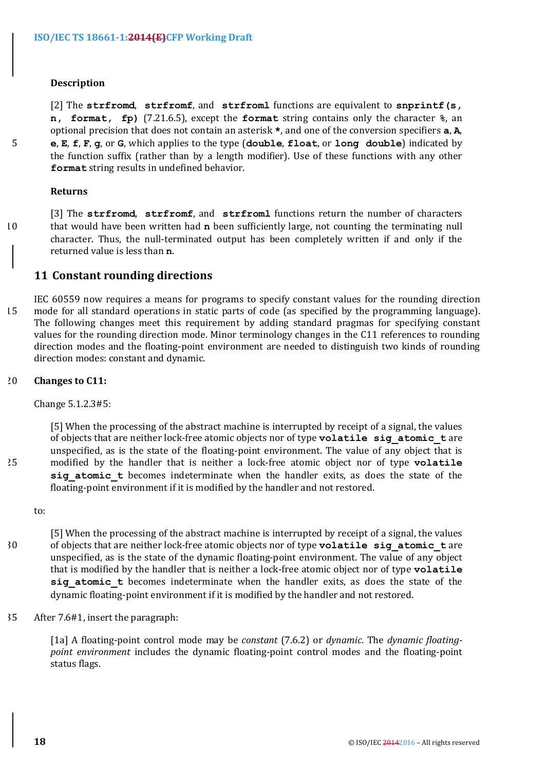#### **Description**

[2] The **strfromd**, **strfromf**, and **strfroml** functions are equivalent to **snprintf(s**, **n, format, fp)** (7.21.6.5), except the **format** string contains only the character  $\hat{\mathbf{r}}$ , an optional precision that does not contain an asterisk  $\star$ , and one of the conversion specifiers **a**, **A**, 5 **e**, **E**, **f**, **F**, **g**, or **G**, which applies to the type (**double**, **float**, or **long double**) indicated by the function suffix (rather than by a length modifier). Use of these functions with any other **format** string results in undefined behavior.

#### **Returns**

[3] The strfromd, strfromf, and strfroml functions return the number of characters 10 that would have been written had **n** been sufficiently large, not counting the terminating null character. Thus, the null-terminated output has been completely written if and only if the returned value is less than **n**.

## **11 Constant rounding directions**

IEC 60559 now requires a means for programs to specify constant values for the rounding direction 15 mode for all standard operations in static parts of code (as specified by the programming language). The following changes meet this requirement by adding standard pragmas for specifying constant values for the rounding direction mode. Minor terminology changes in the C11 references to rounding direction modes and the floating-point environment are needed to distinguish two kinds of rounding direction modes: constant and dynamic.

#### 20 **Changes to C11:**

Change 5.1.2.3#5:

[5] When the processing of the abstract machine is interrupted by receipt of a signal, the values of objects that are neither lock-free atomic objects nor of type **volatile** sig atomic tare unspecified, as is the state of the floating-point environment. The value of any object that is 25 modified by the handler that is neither a lock-free atomic object nor of type **volatile** sig atomic t becomes indeterminate when the handler exits, as does the state of the floating-point environment if it is modified by the handler and not restored.

to:

[5] When the processing of the abstract machine is interrupted by receipt of a signal, the values 30 of objects that are neither lock-free atomic objects nor of type **volatile** sig atomic t are unspecified, as is the state of the dynamic floating-point environment. The value of any object that is modified by the handler that is neither a lock-free atomic object nor of type **volatile** sig atomic t becomes indeterminate when the handler exits, as does the state of the dynamic floating-point environment if it is modified by the handler and not restored.

35 After 7.6#1, insert the paragraph:

[1a] A floating-point control mode may be *constant* (7.6.2) or *dynamic*. The *dynamic* floating*point environment* includes the dynamic floating-point control modes and the floating-point status flags.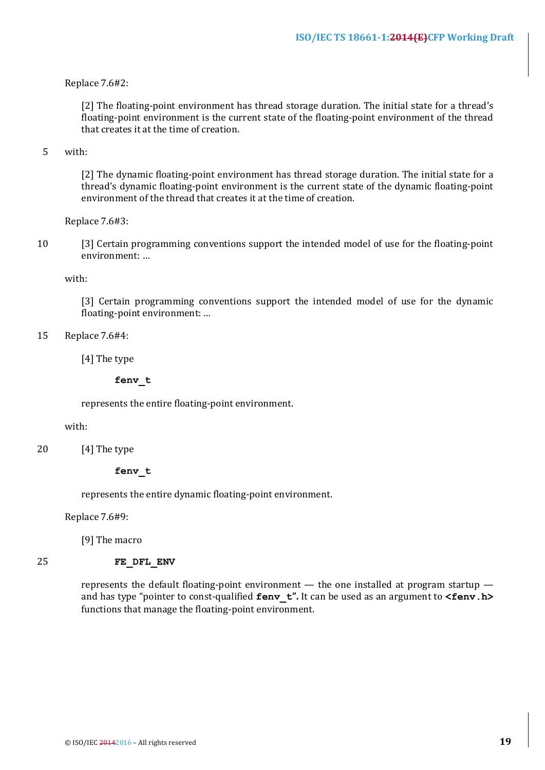#### Replace 7.6#2:

[2] The floating-point environment has thread storage duration. The initial state for a thread's floating-point environment is the current state of the floating-point environment of the thread that creates it at the time of creation

## 5 with:

[2] The dynamic floating-point environment has thread storage duration. The initial state for a thread's dynamic floating-point environment is the current state of the dynamic floating-point environment of the thread that creates it at the time of creation.

Replace 7.6#3:

10 [3] Certain programming conventions support the intended model of use for the floating-point environment: ...

with:

[3] Certain programming conventions support the intended model of use for the dynamic floating-point environment: ...

15 Replace 7.6#4:

[4] The type

**fenv\_t**

represents the entire floating-point environment.

#### with:

20 [4] The type

#### **fenv\_t**

represents the entire dynamic floating-point environment.

Replace 7.6#9:

[9] The macro

#### 25 **FE\_DFL\_ENV**

represents the default floating-point environment  $-$  the one installed at program startup  $$ and has type "pointer to const-qualified **fenv** t". It can be used as an argument to **<fenv.h>** functions that manage the floating-point environment.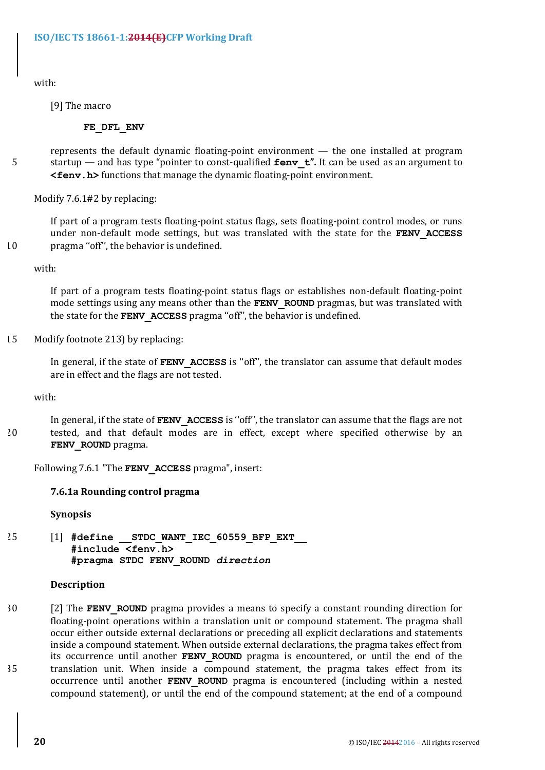with:

[9] The macro

## **FE\_DFL\_ENV**

represents the default dynamic floating-point environment  $-$  the one installed at program 5 startup — and has type "pointer to const-qualified **fenv** t". It can be used as an argument to **<fenv.h>** functions that manage the dynamic floating-point environment.

Modify 7.6.1#2 by replacing:

If part of a program tests floating-point status flags, sets floating-point control modes, or runs under non-default mode settings, but was translated with the state for the FENV ACCESS  $10$  pragma "off", the behavior is undefined.

with:

If part of a program tests floating-point status flags or establishes non-default floating-point mode settings using any means other than the **FENV** ROUND pragmas, but was translated with the state for the **FENV** ACCESS pragma "off", the behavior is undefined.

15 Modify footnote 213) by replacing:

In general, if the state of **FENV ACCESS** is "off", the translator can assume that default modes are in effect and the flags are not tested.

with:

In general, if the state of FENV ACCESS is "off", the translator can assume that the flags are not 20 tested, and that default modes are in effect, except where specified otherwise by an **FENV\_ROUND** pragma.

Following 7.6.1 "The FENV ACCESS pragma", insert:

## **7.6.1a Rounding control pragma**

**Synopsis**

25 [1] **#define \_\_STDC\_WANT\_IEC\_60559\_BFP\_EXT\_\_ #include <fenv.h> #pragma STDC FENV\_ROUND** *direction*

## **Description**

30 [2] The **FENV** ROUND pragma provides a means to specify a constant rounding direction for floating-point operations within a translation unit or compound statement. The pragma shall occur either outside external declarations or preceding all explicit declarations and statements inside a compound statement. When outside external declarations, the pragma takes effect from its occurrence until another **FENV ROUND** pragma is encountered, or until the end of the 35 translation unit. When inside a compound statement, the pragma takes effect from its occurrence until another **FENV ROUND** pragma is encountered (including within a nested compound statement), or until the end of the compound statement; at the end of a compound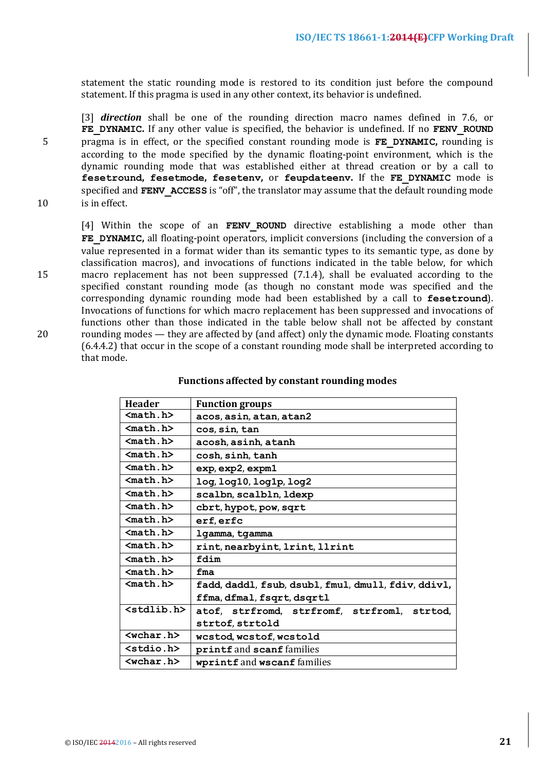statement the static rounding mode is restored to its condition just before the compound statement. If this pragma is used in any other context, its behavior is undefined.

[3] *direction* shall be one of the rounding direction macro names defined in 7.6, or FE DYNAMIC. If any other value is specified, the behavior is undefined. If no FENV ROUND 5 pragma is in effect, or the specified constant rounding mode is **FE** DYNAMIC, rounding is according to the mode specified by the dynamic floating-point environment, which is the dynamic rounding mode that was established either at thread creation or by a call to **fesetround, fesetmode, fesetenv, or feupdateenv.** If the FE DYNAMIC mode is specified and  **ACCESS is "off", the translator may assume that the default rounding mode** 10 is in effect.

[4] Within the scope of an **FENV ROUND** directive establishing a mode other than **FE\_DYNAMIC**, all floating-point operators, implicit conversions (including the conversion of a value represented in a format wider than its semantic types to its semantic type, as done by classification macros), and invocations of functions indicated in the table below, for which 15 macro replacement has not been suppressed (7.1.4), shall be evaluated according to the specified constant rounding mode (as though no constant mode was specified and the corresponding dynamic rounding mode had been established by a call to fesetround). Invocations of functions for which macro replacement has been suppressed and invocations of functions other than those indicated in the table below shall not be affected by constant 20 rounding modes — they are affected by (and affect) only the dynamic mode. Floating constants (6.4.4.2) that occur in the scope of a constant rounding mode shall be interpreted according to that mode.

| <b>Header</b>       | <b>Function groups</b>                              |  |
|---------------------|-----------------------------------------------------|--|
| $mathh.h>$          | acos, asin, atan, atan2                             |  |
| $mathh.h>$          | cos, sin, tan                                       |  |
| $math. h>$          | acosh, asinh, atanh                                 |  |
| $math. h>$          | cosh, sinh, tanh                                    |  |
| $math. h>$          | exp, exp2, expm1                                    |  |
| $mathh$             | log, log10, log1p, log2                             |  |
| $math. h>$          | scalbn, scalbln, ldexp                              |  |
| $mathh.h>$          | cbrt, hypot, pow, sqrt                              |  |
| $mathh.h>$          | erf, erfc                                           |  |
| $mathh$             | lgamma, tgamma                                      |  |
| $math. h>$          | rint, nearbyint, 1rint, 11rint                      |  |
| $mathh.h>$          | fdim                                                |  |
| $mathh.h>$          | fma                                                 |  |
| $math. h>$          | fadd, daddl, fsub, dsubl, fmul, dmull, fdiv, ddivl, |  |
|                     | ffma, dfmal, fsqrt, dsqrtl                          |  |
| $<$ stdlib.h $>$    | atof, strfromd, strfromf, strfroml, strtod,         |  |
|                     | strtof, strtold                                     |  |
| $wchar h>$          | wcstod, wcstof, wcstold                             |  |
| <stdio.h></stdio.h> | printf and scanf families                           |  |
| $wchar$ .h>         | wprintf and wscanf families                         |  |

#### Functions affected by constant rounding modes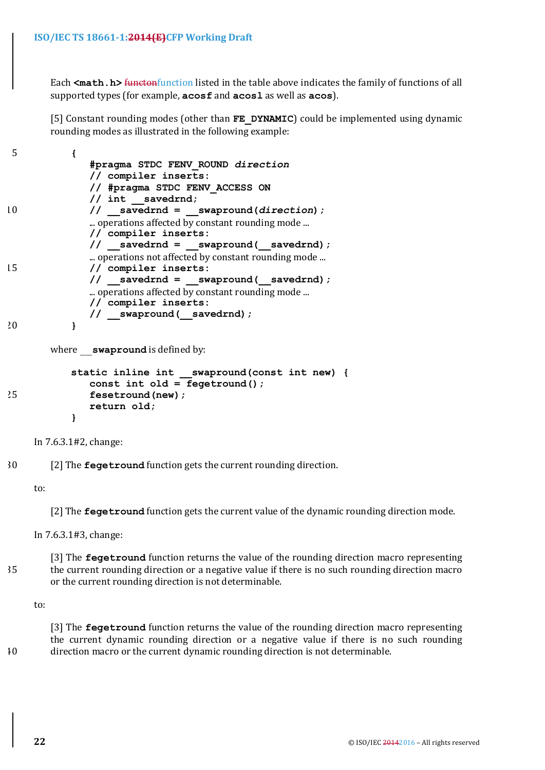Each <math.h> functonfunction listed in the table above indicates the family of functions of all supported types (for example, **acosf** and **acos1** as well as **acos**).

[5] Constant rounding modes (other than **FE\_DYNAMIC**) could be implemented using dynamic rounding modes as illustrated in the following example:

| 5  |                                                   |
|----|---------------------------------------------------|
|    | #pragma STDC FENV ROUND direction                 |
|    | // compiler inserts:                              |
|    | // #pragma STDC FENV ACCESS ON                    |
|    | // int savedrnd;                                  |
| 10 | $\frac{1}{1}$ savedrnd = swapround (direction) ;  |
|    | operations affected by constant rounding mode     |
|    | // compiler inserts:                              |
|    | // savedrnd = swapround( savedrnd);               |
|    | operations not affected by constant rounding mode |
| 15 | // compiler inserts:                              |
|    | $\frac{1}{1}$ savedrnd = swapround(savedrnd);     |
|    | operations affected by constant rounding mode     |
|    | // compiler inserts:                              |
|    | // swapround(savedrnd);                           |
| 20 |                                                   |
|    |                                                   |

where **swapround** is defined by:

```
static inline int __swapround(const int new) {
            const int old = fegetround();
25 fesetround(new);
            return old;
         }
```
In 7.6.3.1#2, change:

30 [2] The **fegetround** function gets the current rounding direction.

to:

[2] The **fegetround** function gets the current value of the dynamic rounding direction mode.

In 7.6.3.1#3, change:

[3] The **fegetround** function returns the value of the rounding direction macro representing 35 the current rounding direction or a negative value if there is no such rounding direction macro or the current rounding direction is not determinable.

to:

[3] The **fegetround** function returns the value of the rounding direction macro representing the current dynamic rounding direction or a negative value if there is no such rounding 40 direction macro or the current dynamic rounding direction is not determinable.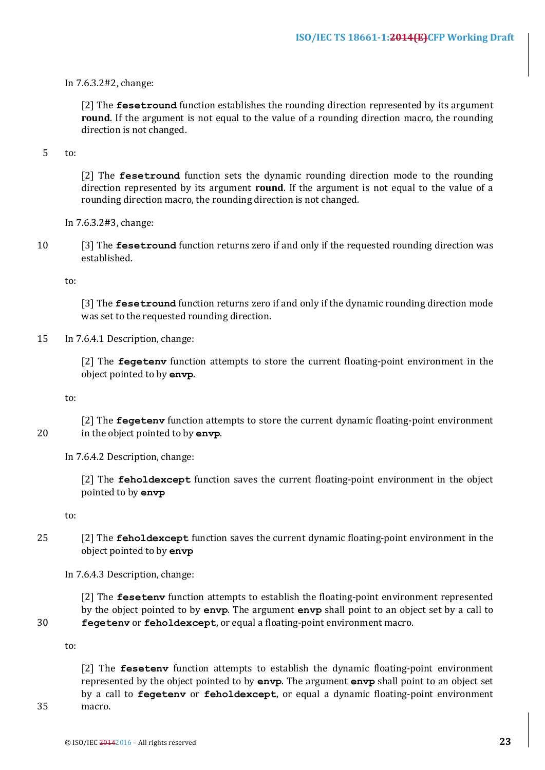In 7.6.3.2#2, change:

[2] The **fesetround** function establishes the rounding direction represented by its argument **round**. If the argument is not equal to the value of a rounding direction macro, the rounding direction is not changed.

#### 5 to:

[2] The **fesetround** function sets the dynamic rounding direction mode to the rounding direction represented by its argument **round**. If the argument is not equal to the value of a rounding direction macro, the rounding direction is not changed.

In 7.6.3.2#3, change:

10 [3] The **fesetround** function returns zero if and only if the requested rounding direction was established.

to:

[3] The **fesetround** function returns zero if and only if the dynamic rounding direction mode was set to the requested rounding direction.

#### 15 In 7.6.4.1 Description, change:

[2] The **fegetenv** function attempts to store the current floating-point environment in the object pointed to by **envp**.

to:

[2] The **fegeteny** function attempts to store the current dynamic floating-point environment 20 in the object pointed to by **envp**.

In 7.6.4.2 Description, change:

[2] The **feholdexcept** function saves the current floating-point environment in the object pointed to by **envp** 

to:

25 [2] The **feholdexcept** function saves the current dynamic floating-point environment in the object pointed to by **envp** 

In 7.6.4.3 Description, change:

[2] The **feseteny** function attempts to establish the floating-point environment represented by the object pointed to by **envp**. The argument **envp** shall point to an object set by a call to 30 **fegetenv** or **feholdexcept**, or equal a floating-point environment macro.

to:

[2] The **feseteny** function attempts to establish the dynamic floating-point environment represented by the object pointed to by **envp**. The argument **envp** shall point to an object set by a call to **fegetenv** or **feholdexcept**, or equal a dynamic floating-point environment 35 macro.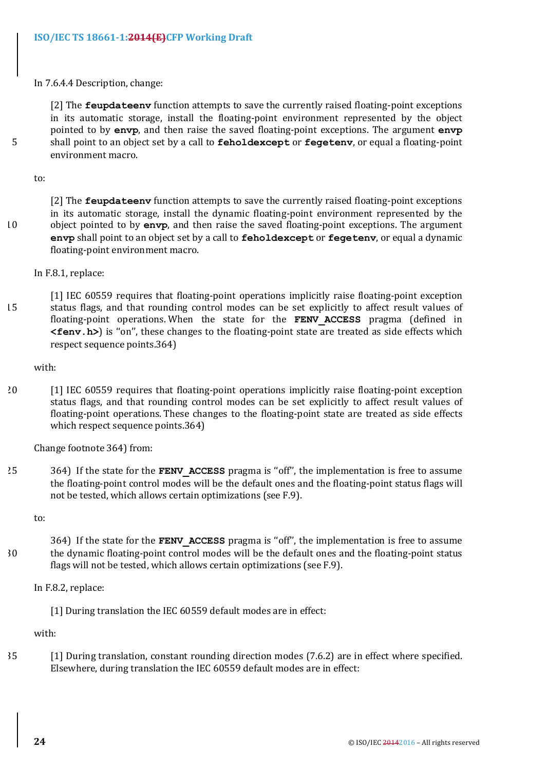In 7.6.4.4 Description, change:

[2] The **feupdateenv** function attempts to save the currently raised floating-point exceptions in its automatic storage, install the floating-point environment represented by the object pointed to by envp, and then raise the saved floating-point exceptions. The argument envp 5 shall point to an object set by a call to **feholdexcept** or **fegeteny**, or equal a floating-point environment macro.

to:

[2] The **feupdateenv** function attempts to save the currently raised floating-point exceptions in its automatic storage, install the dynamic floating-point environment represented by the 10 object pointed to by envp, and then raise the saved floating-point exceptions. The argument **envp** shall point to an object set by a call to **feholdexcept** or **fegeteny**, or equal a dynamic floating-point environment macro.

In F.8.1, replace:

[1] IEC 60559 requires that floating-point operations implicitly raise floating-point exception 15 status flags, and that rounding control modes can be set explicitly to affect result values of floating-point operations. When the state for the **FENV ACCESS** pragma (defined in **<fenv.h>**) is "on", these changes to the floating-point state are treated as side effects which respect sequence points.364)

with:

20 [1] IEC 60559 requires that floating-point operations implicitly raise floating-point exception status flags, and that rounding control modes can be set explicitly to affect result values of floating-point operations. These changes to the floating-point state are treated as side effects which respect sequence points.364)

Change footnote 364) from:

25 364) If the state for the **FENV ACCESS** pragma is "off", the implementation is free to assume the floating-point control modes will be the default ones and the floating-point status flags will not be tested, which allows certain optimizations (see F.9).

to:

**364)** If the state for the **FENV ACCESS** pragma is "off", the implementation is free to assume 30 the dynamic floating-point control modes will be the default ones and the floating-point status flags will not be tested, which allows certain optimizations (see  $F.9$ ).

In F.8.2, replace:

[1] During translation the IEC 60559 default modes are in effect:

with:

35 [1] During translation, constant rounding direction modes (7.6.2) are in effect where specified. Elsewhere, during translation the IEC 60559 default modes are in effect: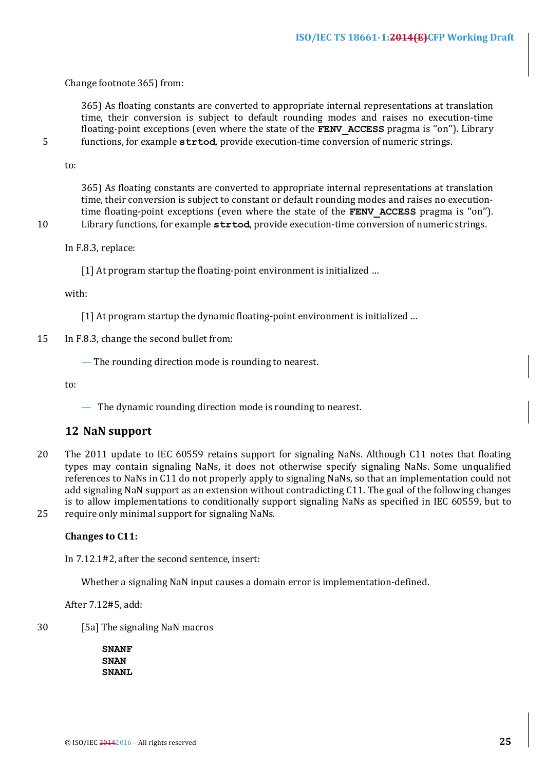Change footnote 365) from:

365) As floating constants are converted to appropriate internal representations at translation time, their conversion is subject to default rounding modes and raises no execution-time floating-point exceptions (even where the state of the **FENV ACCESS** pragma is "on"). Library 5 functions, for example **strtod**, provide execution-time conversion of numeric strings.

to:

365) As floating constants are converted to appropriate internal representations at translation time, their conversion is subject to constant or default rounding modes and raises no executiontime floating-point exceptions (even where the state of the **FENV ACCESS** pragma is "on"). 10 Library functions, for example **strtod**, provide execution-time conversion of numeric strings.

In F.8.3, replace:

[1] At program startup the floating-point environment is initialized ...

with:

[1] At program startup the dynamic floating-point environment is initialized ...

15 In F.8.3, change the second bullet from:

— The rounding direction mode is rounding to nearest.

to:

 $\overline{\phantom{a}}$  The dynamic rounding direction mode is rounding to nearest.

## **12 NaN support**

20 The 2011 update to IEC 60559 retains support for signaling NaNs. Although C11 notes that floating types may contain signaling NaNs, it does not otherwise specify signaling NaNs. Some unqualified references to NaNs in C11 do not properly apply to signaling NaNs, so that an implementation could not add signaling NaN support as an extension without contradicting C11. The goal of the following changes is to allow implementations to conditionally support signaling NaNs as specified in IEC 60559, but to 25 require only minimal support for signaling NaNs.

## **Changes** to C11:

In 7.12.1#2, after the second sentence, insert:

Whether a signaling NaN input causes a domain error is implementation-defined.

After 7.12#5, add:

30 [5a] The signaling NaN macros

**SNANF SNAN SNANL**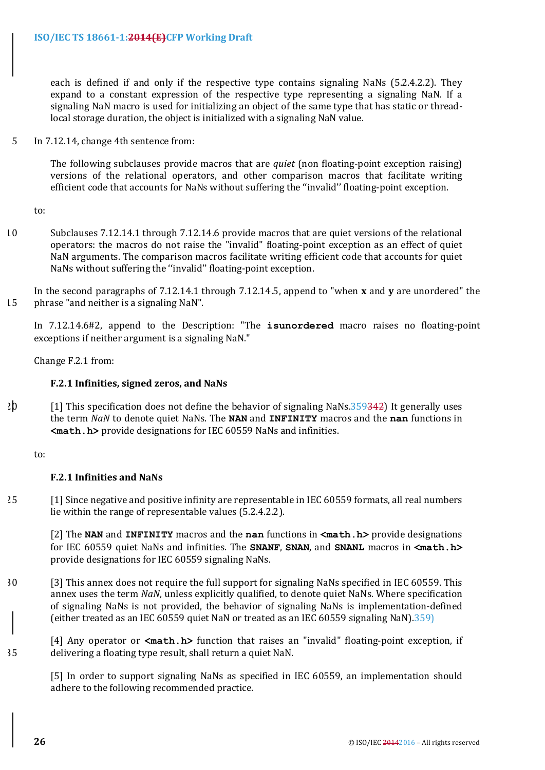each is defined if and only if the respective type contains signaling NaNs  $(5.2.4.2.2)$ . They expand to a constant expression of the respective type representing a signaling NaN. If a signaling NaN macro is used for initializing an object of the same type that has static or threadlocal storage duration, the obiect is initialized with a signaling NaN value.

5 In 7.12.14, change 4th sentence from:

The following subclauses provide macros that are *quiet* (non floating-point exception raising) versions of the relational operators, and other comparison macros that facilitate writing efficient code that accounts for NaNs without suffering the "invalid" floating-point exception.

to:

10 Subclauses 7.12.14.1 through 7.12.14.6 provide macros that are quiet versions of the relational operators: the macros do not raise the "invalid" floating-point exception as an effect of quiet NaN arguments. The comparison macros facilitate writing efficient code that accounts for quiet NaNs without suffering the "invalid" floating-point exception.

In the second paragraphs of 7.12.14.1 through 7.12.14.5, append to "when **x** and **y** are unordered" the  $15$  phrase "and neither is a signaling NaN".

In 7.12.14.6#2, append to the Description: "The **isunordered** macro raises no floating-point exceptions if neither argument is a signaling NaN."

Change F.2.1 from:

## **F.2.1 Infinities, signed zeros, and NaNs**

 $20$  [1] This specification does not define the behavior of signaling NaNs.359342) It generally uses the term *NaN* to denote quiet NaNs. The **NAN** and **INFINITY** macros and the **nan** functions in  $\leq$ **math.h>** provide designations for IEC 60559 NaNs and infinities.

to:

## **F.2.1 Infinities and NaNs**

25 [1] Since negative and positive infinity are representable in IEC 60559 formats, all real numbers lie within the range of representable values (5.2.4.2.2).

[2] The **NAN** and **INFINITY** macros and the **nan** functions in  $\text{<}$ **math.h>** provide designations for IEC 60559 quiet NaNs and infinities. The **SNANF**, **SNAN**, and **SNANL** macros in **<math.h>** provide designations for IEC 60559 signaling NaNs.

30 [3] This annex does not require the full support for signaling NaNs specified in IEC 60559. This annex uses the term *NaN*, unless explicitly qualified, to denote quiet NaNs. Where specification of signaling NaNs is not provided, the behavior of signaling NaNs is implementation-defined (either treated as an IEC 60559 quiet NaN or treated as an IEC 60559 signaling NaN).359)

[4] Any operator or **<math.h>** function that raises an "invalid" floating-point exception, if 35 delivering a floating type result, shall return a quiet NaN.

[5] In order to support signaling NaNs as specified in IEC 60559, an implementation should adhere to the following recommended practice.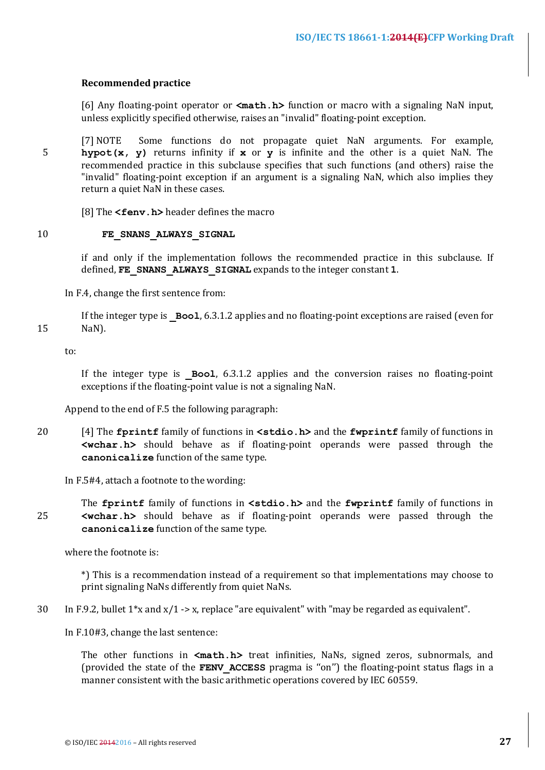## **Recommended practice**

[6] Any floating-point operator or **<math.h>** function or macro with a signaling NaN input, unless explicitly specified otherwise, raises an "invalid" floating-point exception.

[7] NOTE Some functions do not propagate quiet NaN arguments. For example, 5 **hypot(x, y)** returns infinity if **x** or **y** is infinite and the other is a quiet NaN. The recommended practice in this subclause specifies that such functions (and others) raise the "invalid" floating-point exception if an argument is a signaling NaN, which also implies they return a quiet NaN in these cases.

[8] The **<fenv.h>** header defines the macro

#### 10 **FE\_SNANS\_ALWAYS\_SIGNAL**

if and only if the implementation follows the recommended practice in this subclause. If defined, FE SNANS ALWAYS SIGNAL expands to the integer constant 1.

In F.4, change the first sentence from:

If the integer type is  $\overline{Bool}$ , 6.3.1.2 applies and no floating-point exceptions are raised (even for 15 NaN).

to:

If the integer type is  $Bool$ ,  $6.3.1.2$  applies and the conversion raises no floating-point exceptions if the floating-point value is not a signaling NaN.

Append to the end of  $F.5$  the following paragraph:

20 [4] The **fprintf** family of functions in **<stdio.h>** and the **fwprintf** family of functions in **<wchar.h>** should behave as if floating-point operands were passed through the canonicalize function of the same type.

In  $F.5#4$ , attach a footnote to the wording:

The **fprintf** family of functions in **<stdio.h>** and the **fwprintf** family of functions in 25 **<wchar.h>** should behave as if floating-point operands were passed through the canonicalize function of the same type.

where the footnote is:

\*) This is a recommendation instead of a requirement so that implementations may choose to print signaling NaNs differently from quiet NaNs.

30 In F.9.2, bullet  $1*x$  and  $x/1$  -> x, replace "are equivalent" with "may be regarded as equivalent".

In F.10#3, change the last sentence:

The other functions in <math.h> treat infinities, NaNs, signed zeros, subnormals, and (provided the state of the **FENV ACCESS** pragma is "on") the floating-point status flags in a manner consistent with the basic arithmetic operations covered by IEC 60559.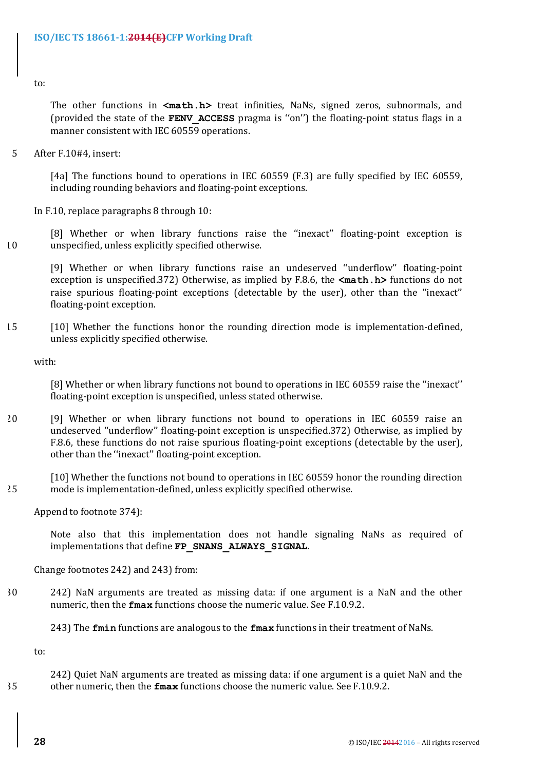to:

The other functions in  $\leq$ math.h> treat infinities, NaNs, signed zeros, subnormals, and (provided the state of the **FENV ACCESS** pragma is "on") the floating-point status flags in a manner consistent with IEC 60559 operations.

5 After F.10#4, insert:

[4a] The functions bound to operations in IEC 60559 (F.3) are fully specified by IEC 60559, including rounding behaviors and floating-point exceptions.

In F.10, replace paragraphs  $8$  through  $10$ :

[8] Whether or when library functions raise the "inexact" floating-point exception is 10 unspecified, unless explicitly specified otherwise.

[9] Whether or when library functions raise an undeserved "underflow" floating-point exception is unspecified.372) Otherwise, as implied by F.8.6, the  $\text{ $\text{math.h>}}$  functions do not$ raise spurious floating-point exceptions (detectable by the user), other than the "inexact" floating-point exception.

15 [10] Whether the functions honor the rounding direction mode is implementation-defined, unless explicitly specified otherwise.

with:

[8] Whether or when library functions not bound to operations in IEC 60559 raise the "inexact" floating-point exception is unspecified, unless stated otherwise.

20 [9] Whether or when library functions not bound to operations in IEC 60559 raise an undeserved "underflow" floating-point exception is unspecified.372) Otherwise, as implied by F.8.6, these functions do not raise spurious floating-point exceptions (detectable by the user), other than the "inexact" floating-point exception.

[10] Whether the functions not bound to operations in IEC 60559 honor the rounding direction 25 mode is implementation-defined, unless explicitly specified otherwise.

Append to footnote 374):

Note also that this implementation does not handle signaling NaNs as required of implementations that define FP SNANS ALWAYS SIGNAL.

Change footnotes 242) and 243) from:

30 242) NaN arguments are treated as missing data: if one argument is a NaN and the other numeric, then the **fmax** functions choose the numeric value. See F.10.9.2.

243) The **fmin** functions are analogous to the **fmax** functions in their treatment of NaNs.

to:

242) Quiet NaN arguments are treated as missing data: if one argument is a quiet NaN and the 35 other numeric, then the **fmax** functions choose the numeric value. See F.10.9.2.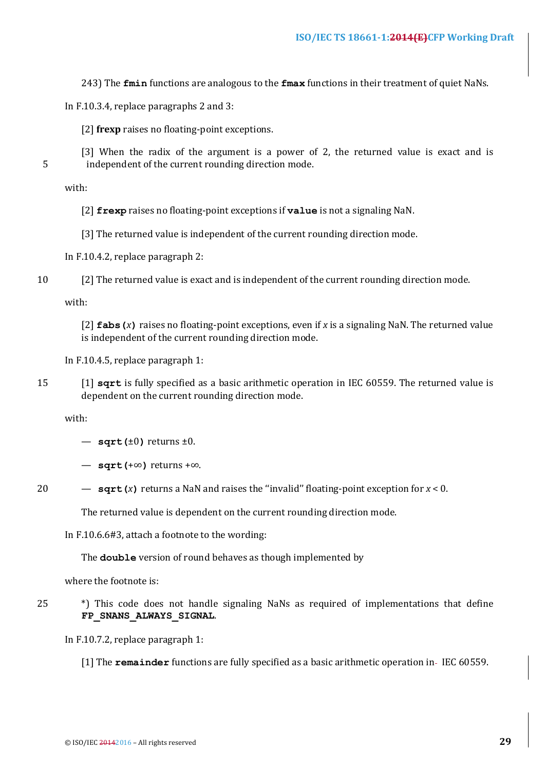243) The **fmin** functions are analogous to the **fmax** functions in their treatment of quiet NaNs.

In F.10.3.4, replace paragraphs  $2$  and  $3$ :

- [2] **frexp** raises no floating-point exceptions.
- [3] When the radix of the argument is a power of 2, the returned value is exact and is 5 independent of the current rounding direction mode.

with:

- [2] **frexp** raises no floating-point exceptions if **value** is not a signaling NaN.
- [3] The returned value is independent of the current rounding direction mode.

In  $F.10.4.2$ , replace paragraph  $2$ :

10 [2] The returned value is exact and is independent of the current rounding direction mode.

with:

[2]  $fabs(x)$  raises no floating-point exceptions, even if x is a signaling NaN. The returned value is independent of the current rounding direction mode.

In F.10.4.5, replace paragraph  $1$ :

15 [1] **sqrt** is fully specified as a basic arithmetic operation in IEC 60559. The returned value is dependent on the current rounding direction mode.

with:

- $-$  sqrt( $\pm 0$ ) returns  $\pm 0$ .
- **sqrt(**+∞**)** returns +∞.
- 
- 20  $-$  **sqrt(***x***)** returns a NaN and raises the "invalid" floating-point exception for  $x < 0$ .

The returned value is dependent on the current rounding direction mode.

In F.10.6.6#3, attach a footnote to the wording:

The **double** version of round behaves as though implemented by

where the footnote is:

25  $\bullet$  \*) This code does not handle signaling NaNs as required of implementations that define **FP\_SNANS\_ALWAYS\_SIGNAL**.

In  $F.10.7.2$ , replace paragraph 1:

[1] The **remainder** functions are fully specified as a basic arithmetic operation in-IEC 60559.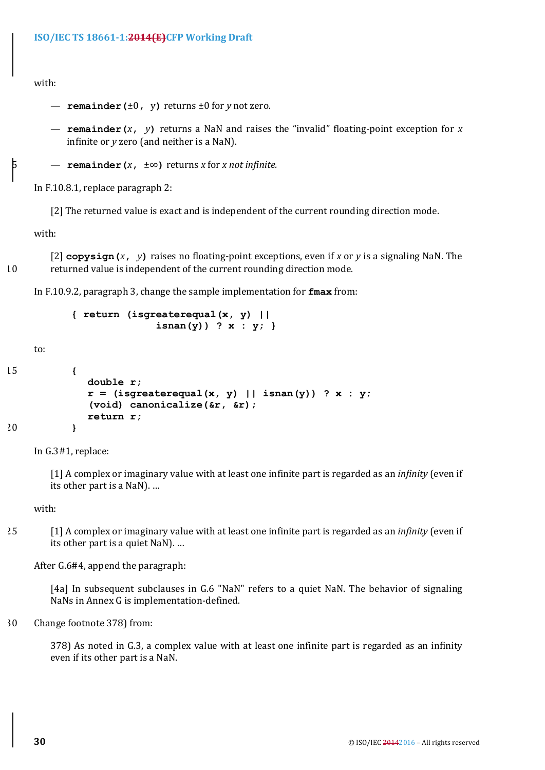```
with:
```
- $-$  **remainder(** $\pm 0$ , **v**) returns  $\pm 0$  for *y* not zero.
- **remainder**(*x*, *y*) returns a NaN and raises the "invalid" floating-point exception for *x* infinite or *y* zero (and neither is a NaN).
- $\frac{1}{2}$  **remainder** (*x*,  $\pm \infty$ ) returns *x* for *x not infinite.*

In  $F.10.8.1$ , replace paragraph 2:

[2] The returned value is exact and is independent of the current rounding direction mode.

with:

 $[2]$  copysign  $(x, y)$  raises no floating-point exceptions, even if x or y is a signaling NaN. The 10 returned value is independent of the current rounding direction mode.

In F.10.9.2, paragraph 3, change the sample implementation for **fmax** from:

```
{ return (isgreaterequal(x, y) ||
               isnan(y)) ? x : y; }
```
to:

```
15 {
            double r;
            r = (isgreaterequal(x, y) || isnan(y)) ? x : y;
            (void) canonicalize(&r, &r);
            return r;
20 }
```
In G.3#1, replace:

[1] A complex or imaginary value with at least one infinite part is regarded as an *infinity* (even if its other part is a NaN). ...

with:

25 [1] A complex or imaginary value with at least one infinite part is regarded as an *infinity* (even if its other part is a quiet NaN). ...

After  $G.6#4$ , append the paragraph:

[4a] In subsequent subclauses in G.6 "NaN" refers to a quiet NaN. The behavior of signaling NaNs in Annex G is implementation-defined.

30 Change footnote 378) from:

378) As noted in G.3, a complex value with at least one infinite part is regarded as an infinity even if its other part is a NaN.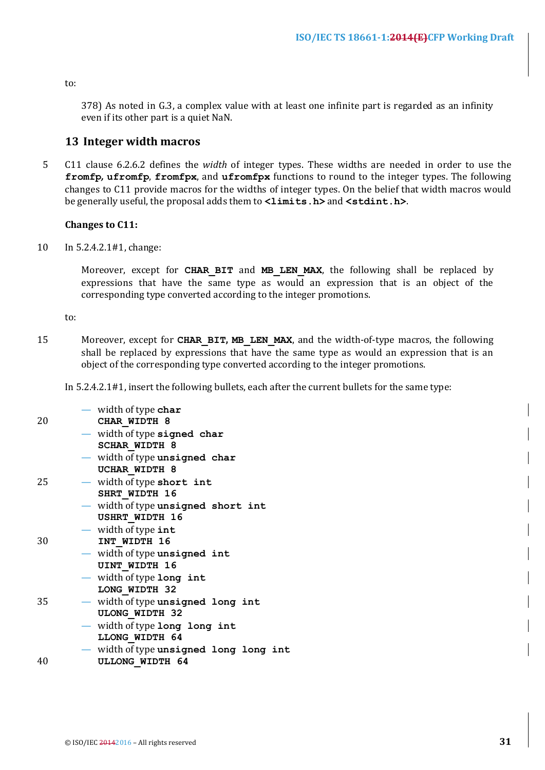to:

378) As noted in G.3, a complex value with at least one infinite part is regarded as an infinity even if its other part is a quiet NaN.

## **13 Integer width macros**

5 C11 clause 6.2.6.2 defines the *width* of integer types. These widths are needed in order to use the **fromfp**, **ufromfp**, **fromfpx**, and **ufromfpx** functions to round to the integer types. The following changes to C11 provide macros for the widths of integer types. On the belief that width macros would be generally useful, the proposal adds them to  $\langle$ limits.h> and  $\langle$ stdint.h>.

#### **Changes to C11:**

10 In 5.2.4.2.1#1, change:

Moreover, except for CHAR BIT and MB LEN MAX, the following shall be replaced by expressions that have the same type as would an expression that is an object of the corresponding type converted according to the integer promotions.

to:

15 Moreover, except for **CHAR BIT, MB LEN MAX**, and the width-of-type macros, the following shall be replaced by expressions that have the same type as would an expression that is an object of the corresponding type converted according to the integer promotions.

In  $5.2.4.2.1\text{#1}$ , insert the following bullets, each after the current bullets for the same type:

| 20 | — width of type char<br>CHAR WIDTH 8                        |
|----|-------------------------------------------------------------|
|    | - width of type signed char<br><b>SCHAR WIDTH 8</b>         |
|    | - width of type unsigned char<br>UCHAR WIDTH 8              |
| 25 | - width of type short int<br>SHRT WIDTH 16                  |
|    | - width of type unsigned short int<br><b>USHRT WIDTH 16</b> |
| 30 | $-$ width of type int<br>INT WIDTH 16                       |
|    | - width of type unsigned int<br><b>UINT WIDTH 16</b>        |
|    | - width of type long int<br>LONG WIDTH 32                   |
| 35 | - width of type unsigned long int<br><b>ULONG WIDTH 32</b>  |
|    | - width of type long long int<br>LLONG WIDTH 64             |
|    | - width of type unsigned long long int                      |
| 40 | <b>ULLONG WIDTH 64</b>                                      |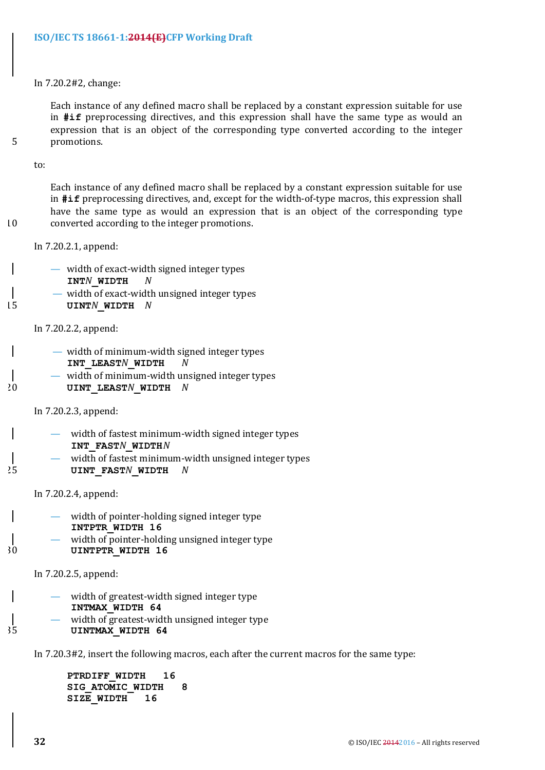In 7.20.2#2, change:

Each instance of any defined macro shall be replaced by a constant expression suitable for use in **#if** preprocessing directives, and this expression shall have the same type as would an expression that is an object of the corresponding type converted according to the integer 5 promotions. 

to:

Each instance of any defined macro shall be replaced by a constant expression suitable for use in **#if** preprocessing directives, and, except for the width-of-type macros, this expression shall have the same type as would an expression that is an object of the corresponding type 10 converted according to the integer promotions.

In 7.20.2.1, append:

- width of exact-width signed integer types **INT***N***\_WIDTH** *N*
- width of exact-width unsigned integer types
- 15 **UINT***N***\_WIDTH** *N*

In 7.20.2.2, append:

- width of minimum-width signed integer types **INT\_LEAST***N***\_WIDTH** *N*
- $-$  width of minimum-width unsigned integer types 20 **UINT\_LEAST***N***\_WIDTH** *N*

In 7.20.2.3, append:

- width of fastest minimum-width signed integer types **INT\_FAST***N***\_WIDTH***N*
- width of fastest minimum-width unsigned integer types 25 **UINT\_FAST***N***\_WIDTH** *N*

In 7.20.2.4, append:

- width of pointer-holding signed integer type **INTPTR\_WIDTH 16**
- width of pointer-holding unsigned integer type 30 **UINTPTR\_WIDTH 16**

In 7.20.2.5, append:

- width of greatest-width signed integer type **INTMAX\_WIDTH 64**
- width of greatest-width unsigned integer type 35 **UINTMAX\_WIDTH 64**

In 7.20.3#2, insert the following macros, each after the current macros for the same type:

**PTRDIFF\_WIDTH 16 SIG\_ATOMIC\_WIDTH 8 SIZE\_WIDTH 16**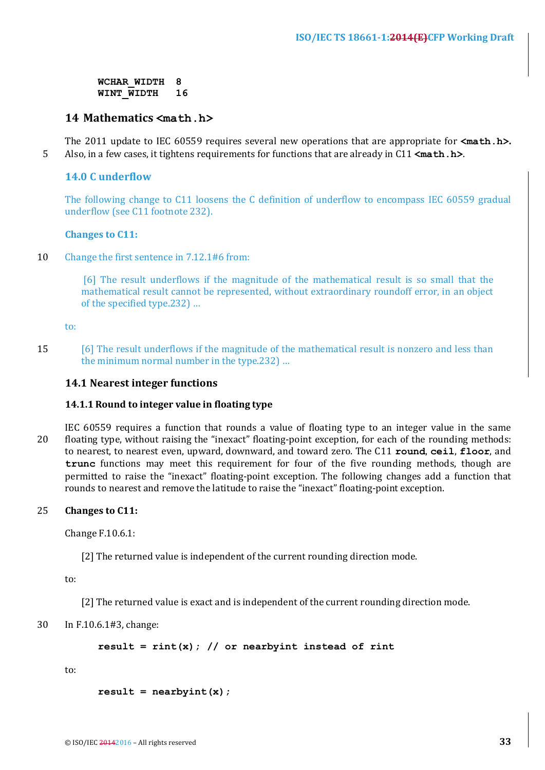**WCHAR\_WIDTH 8 WINT\_WIDTH 16** 

## **14 Mathematics <math.h>**

The 2011 update to IEC 60559 requires several new operations that are appropriate for  $\texttt{ $\text{math.h>}}$ .$ 5 Also, in a few cases, it tightens requirements for functions that are already in C11  $\epsilon$ **math.h>**.

## **14.0 C** underflow

The following change to C11 loosens the C definition of underflow to encompass IEC 60559 gradual underflow (see C11 footnote 232).

## **Changes** to C11:

10 Change the first sentence in 7.12.1#6 from:

[6] The result underflows if the magnitude of the mathematical result is so small that the mathematical result cannot be represented, without extraordinary roundoff error, in an object of the specified type.232) ...

to:

15 [6] The result underflows if the magnitude of the mathematical result is nonzero and less than the minimum normal number in the type.232) ...

## **14.1 Nearest integer functions**

## **14.1.1** Round to integer value in floating type

IEC 60559 requires a function that rounds a value of floating type to an integer value in the same 20 floating type, without raising the "inexact" floating-point exception, for each of the rounding methods: to nearest, to nearest even, upward, downward, and toward zero. The C11 **round**, **ceil**, **floor**, and **trunc** functions may meet this requirement for four of the five rounding methods, though are permitted to raise the "inexact" floating-point exception. The following changes add a function that rounds to nearest and remove the latitude to raise the "inexact" floating-point exception.

## 25 **Changes** to C11:

Change F.10.6.1:

[2] The returned value is independent of the current rounding direction mode.

to:

[2] The returned value is exact and is independent of the current rounding direction mode.

## 30 In F.10.6.1#3, change:

**result = rint(x); // or nearbyint instead of rint**

to:

```
result = nearbyint(x);
```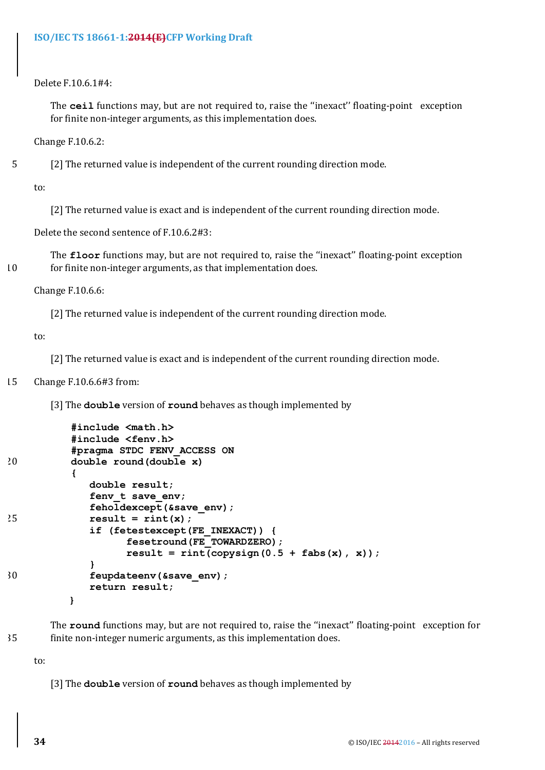Delete F.10.6.1#4:

The **ceil** functions may, but are not required to, raise the "inexact" floating-point exception for finite non-integer arguments, as this implementation does.

Change F.10.6.2:

5 [2] The returned value is independent of the current rounding direction mode.

to:

[2] The returned value is exact and is independent of the current rounding direction mode.

Delete the second sentence of F.10.6.2#3:

The **floor** functions may, but are not required to, raise the "inexact" floating-point exception 10 for finite non-integer arguments, as that implementation does.

Change F.10.6.6:

[2] The returned value is independent of the current rounding direction mode.

to:

[2] The returned value is exact and is independent of the current rounding direction mode.

#### 15 Change F.10.6.6#3 from:

[3] The **double** version of **round** behaves as though implemented by

```
#include <math.h>
          #include <fenv.h>
          #pragma STDC FENV_ACCESS ON
20 double round(double x)
          {
            double result;
             fenv_t save_env;
             feholdexcept(&save_env);
25 result = rint(x);
             if (fetestexcept(FE_INEXACT)) {
                  fesetround(FE_TOWARDZERO);
                  result = rint(copysign(0.5 + fabs(x), x));}
30 feupdateenv(&save_env);
             return result;
         }
```
The **round** functions may, but are not required to, raise the "inexact" floating-point exception for 35 finite non-integer numeric arguments, as this implementation does.

to:

[3] The **double** version of **round** behaves as though implemented by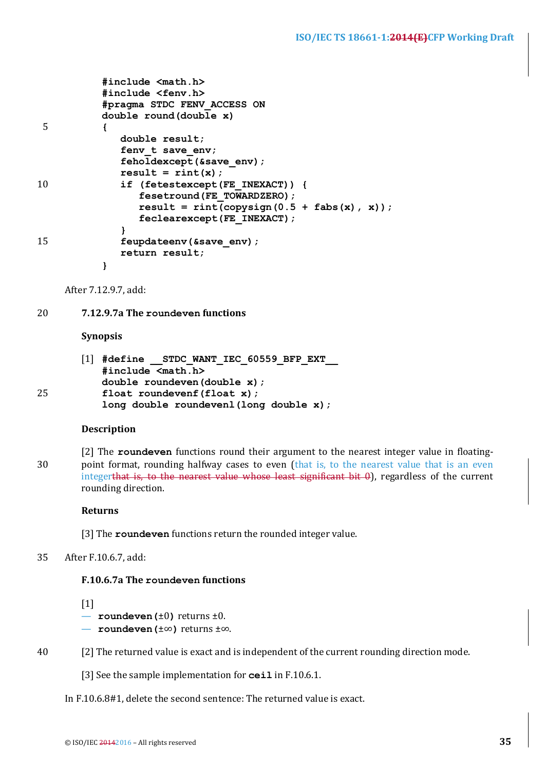```
#include <math.h>
          #include <fenv.h>
          #pragma STDC FENV_ACCESS ON
          double round(double x)
 5 {
             double result;
             fenv t save env;
             feholdexcept(&save_env);
             result = rint(x);10 if (fetestexcept(FE_INEXACT)) {
                fesetround(FE_TOWARDZERO);
                result = rint(copysign(0.5 + fabs(x), x));feclearexcept(FE_INEXACT);
             }
15 feupdateenv(&save_env);
             return result;
          }
```
After 7.12.9.7, add:

20 **7.12.9.7a The roundeven functions** 

#### **Synopsis**

|    | $\begin{bmatrix} 1 \end{bmatrix}$ #define STDC WANT IEC 60559 BFP EXT |
|----|-----------------------------------------------------------------------|
|    | $#include$ $\timesmath.h>$                                            |
|    | double roundeven (double x) ;                                         |
| 25 | float roundevenf $(f$ loat x);                                        |
|    | long double roundevenl (long double $x$ );                            |

#### **Description**

[2] The **roundeven** functions round their argument to the nearest integer value in floating-30 point format, rounding halfway cases to even (that is, to the nearest value that is an even integerthat is, to the nearest value whose least significant  $bit\ 0$ ), regardless of the current rounding direction.

#### **Returns**

[3] The **roundeven** functions return the rounded integer value.

## 35 After F.10.6.7, add:

#### **F.10.6.7a** The roundeven functions

 $\lceil 1 \rceil$ 

- $-$  **roundeven** ( $\pm 0$ ) returns  $\pm 0$ .
- **roundeven(**±∞**)** returns ±∞.
- 40 [2] The returned value is exact and is independent of the current rounding direction mode.

[3] See the sample implementation for **ceil** in F.10.6.1.

In F.10.6.8#1, delete the second sentence: The returned value is exact.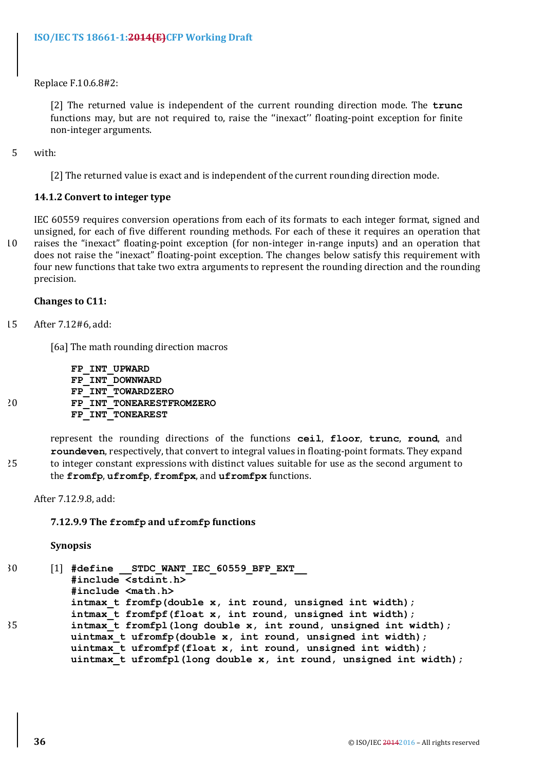Replace F.10.6.8#2:

[2] The returned value is independent of the current rounding direction mode. The **trunc** functions may, but are not required to, raise the "inexact" floating-point exception for finite non-integer arguments.

5 with:

[2] The returned value is exact and is independent of the current rounding direction mode.

## **14.1.2 Convert to integer type**

IEC 60559 requires conversion operations from each of its formats to each integer format, signed and unsigned, for each of five different rounding methods. For each of these it requires an operation that 10 raises the "inexact" floating-point exception (for non-integer in-range inputs) and an operation that does not raise the "inexact" floating-point exception. The changes below satisfy this requirement with four new functions that take two extra arguments to represent the rounding direction and the rounding precision.

## **Changes** to C11:

15 After 7.12#6, add:

[6a] The math rounding direction macros

|    |  | FP INT UPWARD            |
|----|--|--------------------------|
|    |  | FP INT DOWNWARD          |
|    |  | FP INT TOWARDZERO        |
| 20 |  | FP INT TONEARESTFROMZERO |
|    |  | FP INT TONEAREST         |

represent the rounding directions of the functions **ceil**, **floor**, **trunc**, **round**, and **roundeven**, respectively, that convert to integral values in floating-point formats. They expand 25 to integer constant expressions with distinct values suitable for use as the second argument to the fromfp, ufromfp, fromfpx, and ufromfpx functions.

After 7.12.9.8, add:

## **7.12.9.9 The fromfp and ufromfp functions**

**Synopsis**

30 [1] **#define \_\_STDC\_WANT\_IEC\_60559\_BFP\_EXT\_\_ #include <stdint.h> #include <math.h> intmax\_t fromfp(double x, int round, unsigned int width); intmax\_t fromfpf(float x, int round, unsigned int width);** 35 **intmax\_t fromfpl(long double x, int round, unsigned int width);** uintmax t ufromfp(double x, int round, unsigned int width); **uintmax\_t ufromfpf(float x, int round, unsigned int width); uintmax\_t ufromfpl(long double x, int round, unsigned int width);**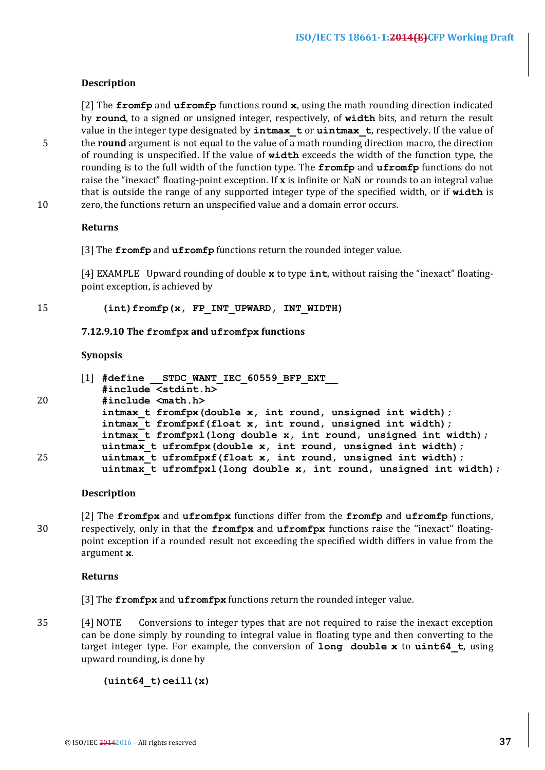## **Description**

[2] The **fromfp** and **ufromfp** functions round **x**, using the math rounding direction indicated by **round**, to a signed or unsigned integer, respectively, of width bits, and return the result value in the integer type designated by **intmax** tor **uintmax** t, respectively. If the value of 5 the **round** argument is not equal to the value of  $\overline{a}$  math rounding direction macro, the direction of rounding is unspecified. If the value of width exceeds the width of the function type, the rounding is to the full width of the function type. The  $fromfp$  and  $ufromfp$  functions do not raise the "inexact" floating-point exception. If **x** is infinite or NaN or rounds to an integral value that is outside the range of any supported integer type of the specified width, or if width is 10 zero, the functions return an unspecified value and a domain error occurs.

**Returns**

[3] The **fromfp** and **ufromfp** functions return the rounded integer value.

[4] EXAMPLE Upward rounding of double **x** to type **int**, without raising the "inexact" floatingpoint exception, is achieved by

## 15 **(int)fromfp(x, FP\_INT\_UPWARD, INT\_WIDTH)**

#### **7.12.9.10 The fromfpx and ufromfpx functions**

#### **Synopsis**

|    | #define STDC WANT IEC 60559 BFP EXT<br>111                                                                                                                                                                                                                            |                                                                    |
|----|-----------------------------------------------------------------------------------------------------------------------------------------------------------------------------------------------------------------------------------------------------------------------|--------------------------------------------------------------------|
|    | #include <stdint.h></stdint.h>                                                                                                                                                                                                                                        |                                                                    |
| 20 | $\#include$ $\leq$ $\leq$ $\#$ $\leq$ $\leq$ $\leq$ $\leq$ $\leq$ $\leq$ $\leq$ $\leq$ $\leq$ $\leq$ $\leq$ $\leq$ $\leq$ $\leq$ $\leq$ $\leq$ $\leq$ $\leq$ $\leq$ $\leq$ $\leq$ $\leq$ $\leq$ $\leq$ $\leq$ $\leq$ $\leq$ $\leq$ $\leq$ $\leq$ $\leq$ $\leq$ $\leq$ |                                                                    |
|    | intmax t fromfpx (double x, int round, unsigned int width);                                                                                                                                                                                                           |                                                                    |
|    | intmax t fromfpxf(float x, int round, unsigned int width);                                                                                                                                                                                                            |                                                                    |
|    | intmax t fromfpx1(long double x, int round, unsigned int width);                                                                                                                                                                                                      |                                                                    |
| 25 | uintmax t ufromfpx (double x, int round, unsigned int width);                                                                                                                                                                                                         |                                                                    |
|    | uintmax t ufromfpxf(float x, int round, unsigned int width);                                                                                                                                                                                                          |                                                                    |
|    |                                                                                                                                                                                                                                                                       | uintmax t ufromfpxl(long double x, int round, unsigned int width); |

#### **Description**

[2] The **fromfpx** and **ufromfpx** functions differ from the **fromfp** and **ufromfp** functions, 30 respectively, only in that the **fromfpx** and **ufromfpx** functions raise the "inexact" floatingpoint exception if a rounded result not exceeding the specified width differs in value from the argument **x**. 

#### **Returns**

[3] The **fromfpx** and **ufromfpx** functions return the rounded integer value.

35 [4] NOTE Conversions to integer types that are not required to raise the inexact exception can be done simply by rounding to integral value in floating type and then converting to the target integer type. For example, the conversion of long double x to uint64\_t, using upward rounding, is done by

**(uint64\_t)ceill(x)**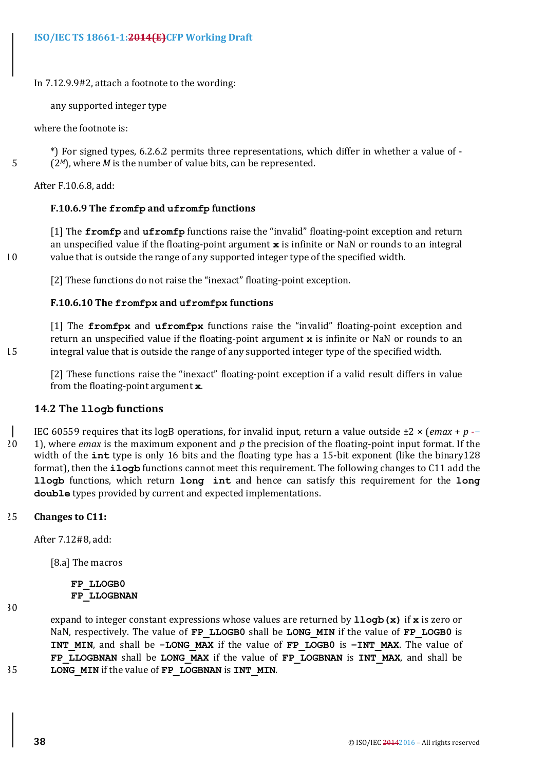In 7.12.9.9#2, attach a footnote to the wording:

any supported integer type

where the footnote is:

\*) For signed types, 6.2.6.2 permits three representations, which differ in whether a value of -5 (2*M*), where *M* is the number of value bits, can be represented.

After F.10.6.8, add:

## **F.10.6.9 The fromfp and ufromfp functions**

[1] The **fromfp** and **ufromfp** functions raise the "invalid" floating-point exception and return an unspecified value if the floating-point argument x is infinite or NaN or rounds to an integral 10 value that is outside the range of any supported integer type of the specified width.

[2] These functions do not raise the "inexact" floating-point exception.

## **F.10.6.10 The fromfpx and ufromfpx functions**

[1] The **fromfpx** and **ufromfpx** functions raise the "invalid" floating-point exception and return an unspecified value if the floating-point argument **x** is infinite or NaN or rounds to an 15 integral value that is outside the range of any supported integer type of the specified width.

[2] These functions raise the "inexact" floating-point exception if a valid result differs in value from the floating-point argument **x**.

## **14.2 The llogb functions**

IEC 60559 requires that its logB operations, for invalid input, return a value outside  $\pm 2 \times (emax + p -$ 

20 1), where *emax* is the maximum exponent and p the precision of the floating-point input format. If the width of the **int** type is only 16 bits and the floating type has a 15-bit exponent (like the binary128 format), then the **ilogb** functions cannot meet this requirement. The following changes to C11 add the **llogb** functions, which return **long** int and hence can satisfy this requirement for the long **double** types provided by current and expected implementations.

## 25 **Changes to C11:**

After 7.12#8, add:

[8.a] The macros

#### **FP\_LLOGB0 FP\_LLOGBNAN**

30

expand to integer constant expressions whose values are returned by  $1logb(x)$  if x is zero or NaN, respectively. The value of **FP\_LLOGB0** shall be **LONG\_MIN** if the value of **FP\_LOGB0** is **INT\_MIN**, and shall be -LONG\_MAX if the value of FP\_LOGB0 is -INT\_MAX. The value of FP\_LLOGBNAN shall be LONG\_MAX if the value of FP\_LOGBNAN is **INT\_MAX**, and shall be 35 **LONG MIN** if the value of **FP** LOGBNAN is **INT MIN**.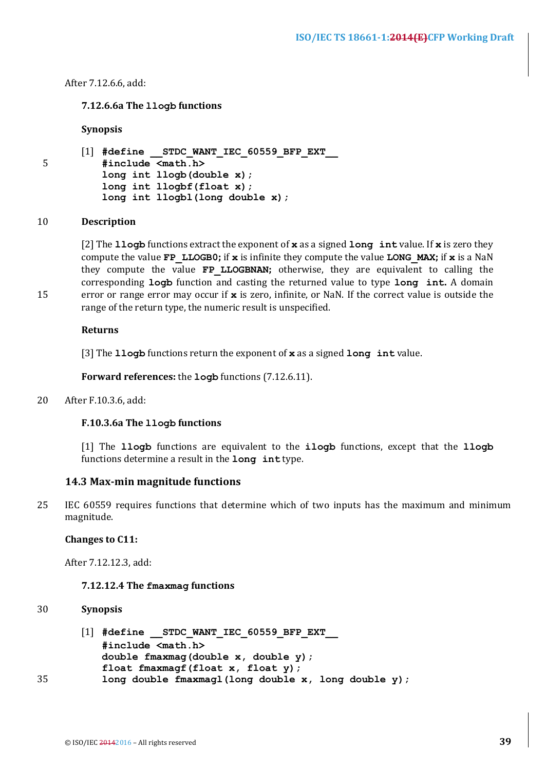#### After 7.12.6.6, add:

## **7.12.6.6a The llogb functions**

#### **Synopsis**

|    |  | $\begin{bmatrix} 1 \end{bmatrix}$ #define STDC WANT IEC 60559 BFP EXT |  |
|----|--|-----------------------------------------------------------------------|--|
| 5. |  | $#include$ $\timesmath.h>$                                            |  |
|    |  | long int 1logb(double x);                                             |  |
|    |  | long int $llogbf(flast x)$ ;                                          |  |
|    |  | $long$ int $1logbl$ (long double x);                                  |  |

#### 10 **Description**

[2] The **llogb** functions extract the exponent of x as a signed **long** int value. If x is zero they compute the value **FP** LLOGB0; if x is infinite they compute the value LONG MAX; if x is a NaN they compute the value **FP LLOGBNAN**; otherwise, they are equivalent to calling the corresponding **logb** function and casting the returned value to type **long** int. A domain 15 error or range error may occur if x is zero, infinite, or NaN. If the correct value is outside the range of the return type, the numeric result is unspecified.

#### **Returns**

[3] The **llogb** functions return the exponent of x as a signed **long** int value.

**Forward references:** the **logb** functions (7.12.6.11).

20 After F.10.3.6, add:

#### **F.10.3.6a The llogb functions**

[1] The llogb functions are equivalent to the ilogb functions, except that the llogb functions determine a result in the **long** int type.

#### **14.3 Max-min magnitude functions**

25 IEC 60559 requires functions that determine which of two inputs has the maximum and minimum magnitude.

## **Changes to C11:**

After 7.12.12.3, add:

#### **7.12.12.4** The  $f$ maxmag functions

## 30 **Synopsis**

|    | $\begin{bmatrix} 1 \end{bmatrix}$ #define STDC WANT IEC 60559 BFP EXT |
|----|-----------------------------------------------------------------------|
|    | #include <math.h></math.h>                                            |
|    | double fmaxmag(double $x$ , double $y$ );                             |
|    | float fmaxmaqf (float $x$ , float $y$ );                              |
| 35 | long double fmaxmagl(long double x, long double y);                   |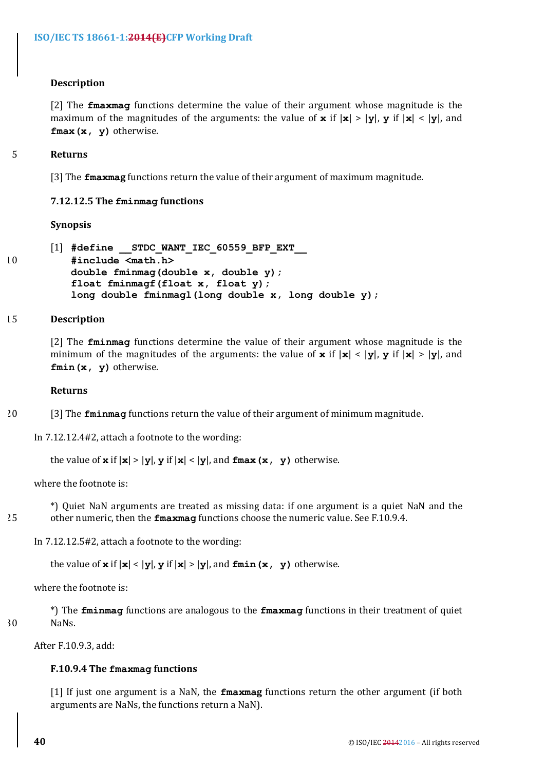## **Description**

[2] The **fmaxmag** functions determine the value of their argument whose magnitude is the maximum of the magnitudes of the arguments: the value of **x** if  $|x| > |y|$ , **y** if  $|x| < |y|$ , and **fmax(x, y)** otherwise.

## 5 **Returns**

[3] The **fmaxmag** functions return the value of their argument of maximum magnitude.

## **7.12.12.5** The  $f$ minmag functions

#### **Synopsis**

```
[1] #define __STDC_WANT_IEC_60559_BFP_EXT__
10 #include <math.h>

          double fminmag(double x, double y);
          float fminmagf(float x, float y);
          long double fminmagl(long double x, long double y);
```
#### 15 **Description**

[2] The **fminmag** functions determine the value of their argument whose magnitude is the minimum of the magnitudes of the arguments: the value of **x** if  $|x| < |y|$ , **y** if  $|x| > |y|$ , and **fmin(x, y)** otherwise.

#### **Returns**

20 [3] The **fminmag** functions return the value of their argument of minimum magnitude.

In  $7.12.12.4\#2$ , attach a footnote to the wording:

the value of  $\bf{x}$  if  $|\bf{x}| > |\bf{y}|$ ,  $\bf{y}$  if  $|\bf{x}| < |\bf{y}|$ , and  $\bf{fmax}(\bf{x}, \bf{y})$  otherwise.

where the footnote is:

\*) Quiet NaN arguments are treated as missing data: if one argument is a quiet NaN and the 25 other numeric, then the **fmaxmag** functions choose the numeric value. See F.10.9.4.

In  $7.12.12.5\#2$ , attach a footnote to the wording:

the value of  $x$  if  $|x| < |y|$ ,  $y$  if  $|x| > |y|$ , and  $fmin(x, y)$  otherwise.

where the footnote is:

\*) The **fminmag** functions are analogous to the **fmaxmag** functions in their treatment of quiet 30 NaNs.

After F.10.9.3, add:

## **F.10.9.4 The fmaxmag functions**

[1] If just one argument is a NaN, the **fmaxmag** functions return the other argument (if both arguments are NaNs, the functions return a NaN).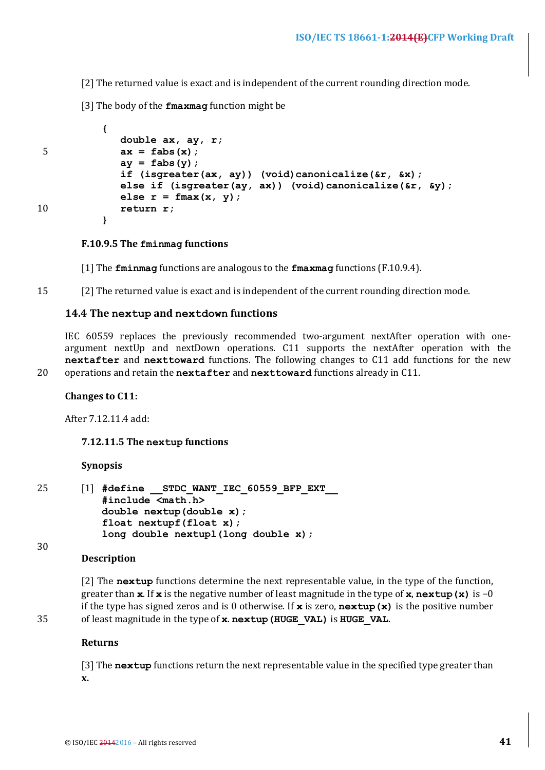[2] The returned value is exact and is independent of the current rounding direction mode.

[3] The body of the **fmaxmag** function might be

```
{ 
            double ax, ay, r;
5 ax = fabs(x);
            ay = fabs(y);
            if (isgreater(ax, ay)) (void)canonicalize(&r, &x);
            else if (isgreater(ay, ax)) (void)canonicalize(&r, &y);
            else r = fmax(x, y);
10 return r;
          }
```
**F.10.9.5 The fminmag functions**

[1] The **fminmag** functions are analogous to the **fmaxmag** functions (F.10.9.4).

15 [2] The returned value is exact and is independent of the current rounding direction mode.

#### 14.4 The nextup and nextdown functions

IEC 60559 replaces the previously recommended two-argument nextAfter operation with oneargument nextUp and nextDown operations. C11 supports the nextAfter operation with the **nextafter** and **nexttoward** functions. The following changes to C11 add functions for the new 20 operations and retain the nextafter and nexttoward functions already in C11.

#### **Changes to C11:**

After 7.12.11.4 add:

#### **7.12.11.5 The nextup functions**

#### **Synopsis**

| 25 | $\begin{bmatrix} 1 \end{bmatrix}$ #define STDC WANT IEC 60559 BFP EXT |  |
|----|-----------------------------------------------------------------------|--|
|    | $#include$ $\langle \text{match} \rangle$                             |  |
|    | double $nextup$ (double $x$ );                                        |  |
|    | float $nextupf(float x)$ ;                                            |  |
|    | $long$ double nextupl(long double x);                                 |  |

#### **Description**

30

[2] The nextup functions determine the next representable value, in the type of the function, greater than **x**. If **x** is the negative number of least magnitude in the type of **x**, **nextup** (**x**) is  $-0$ if the type has signed zeros and is 0 otherwise. If  $\boldsymbol{x}$  is zero,  $\boldsymbol{\textit{nextup}}(\boldsymbol{x})$  is the positive number 35 of least magnitude in the type of **x**. nextup (HUGE VAL) is HUGE VAL.

#### **Returns**

[3] The nextup functions return the next representable value in the specified type greater than **x.**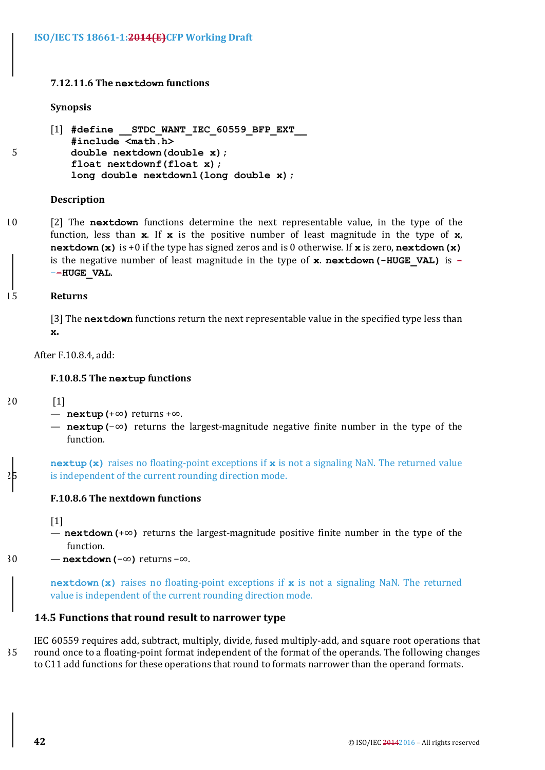## **7.12.11.6 The nextdown functions**

#### **Synopsis**

```
[1] #define __STDC_WANT_IEC_60559_BFP_EXT__
         #include <math.h>
5 double nextdown(double x);
         float nextdownf(float x);
         long double nextdownl(long double x);
```
#### **Description**

10 [2] The **nextdown** functions determine the next representable value, in the type of the function, less than  $x$ . If  $x$  is the positive number of least magnitude in the type of  $x$ , **nextdown(x)** is +0 if the type has signed zeros and is 0 otherwise. If x is zero, nextdown(x) is the negative number of least magnitude in the type of **x**. **nextdown(-HUGE VAL)** is  $-$ −**-HUGE\_VAL**.

#### 15 **Returns**

[3] The nextdown functions return the next representable value in the specified type less than **x.**

After F.10.8.4, add:

#### **F.10.8.5** The nextup functions

 $20$  [1]

- **nextup(**+∞**)** returns +∞.
- **nextup(-∞)** returns the largest-magnitude negative finite number in the type of the function.

**nextup (x)** raises no floating-point exceptions if x is not a signaling NaN. The returned value is independent of the current rounding direction mode.

## **F.10.8.6** The nextdown functions

[1]

- **nextdown(+∞)** returns the largest-magnitude positive finite number in the type of the function.
- 30 **nextdown(**−∞**)** returns −∞.

**nextdown(x)** raises no floating-point exceptions if x is not a signaling NaN. The returned value is independent of the current rounding direction mode.

## **14.5 Functions that round result to narrower type**

IEC 60559 requires add, subtract, multiply, divide, fused multiply-add, and square root operations that 35 round once to a floating-point format independent of the format of the operands. The following changes to C11 add functions for these operations that round to formats narrower than the operand formats.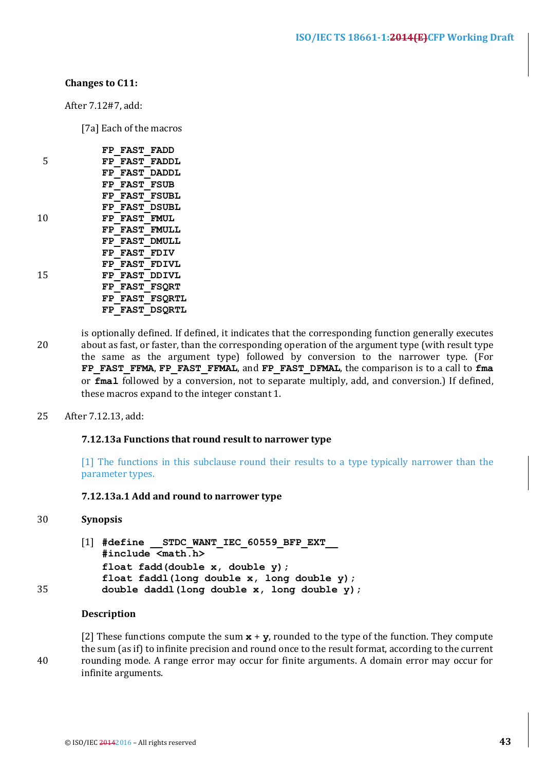## **Changes to C11:**

After 7.12#7, add:

[7a] Each of the macros

|    | FP FAST FADD |                       |
|----|--------------|-----------------------|
| 5  |              | FP FAST FADDL         |
|    |              | FP FAST DADDL         |
|    | FP FAST FSUB |                       |
|    |              | FP FAST FSUBL         |
|    |              | FP FAST DSUBL         |
| 10 | FP FAST FMUL |                       |
|    |              | <b>FP FAST FMULL</b>  |
|    |              | FP FAST DMULL         |
|    | FP FAST FDIV |                       |
|    |              | FP FAST FDIVL         |
| 15 |              | FP FAST DDIVL         |
|    |              | FP FAST FSORT         |
|    |              | <b>FP FAST FSORTL</b> |
|    |              | FP FAST DSORTL        |

is optionally defined. If defined, it indicates that the corresponding function generally executes 20 about as fast, or faster, than the corresponding operation of the argument type (with result type the same as the argument type) followed by conversion to the narrower type. (For FP\_FAST\_FFMA, FP\_FAST\_FFMAL, and FP\_FAST\_DFMAL, the comparison is to a call to fma or **fmal** followed by a conversion, not to separate multiply, add, and conversion.) If defined, these macros expand to the integer constant 1.

25 After 7.12.13, add:

## **7.12.13a** Functions that round result to narrower type

[1] The functions in this subclause round their results to a type typically narrower than the parameter types.

## **7.12.13a.1 Add and round to narrower type**

## 30 **Synopsis**

```
[1] #define STDC WANT IEC 60559 BFP EXT
          #include <math.h>
          float fadd(double x, double y);

          float faddl(long double x, long double y); 
35 double daddl(long double x, long double y);
```
#### **Description**

[2] These functions compute the sum  $x + y$ , rounded to the type of the function. They compute the sum (as if) to infinite precision and round once to the result format, according to the current 40 rounding mode. A range error may occur for finite arguments. A domain error may occur for infinite arguments.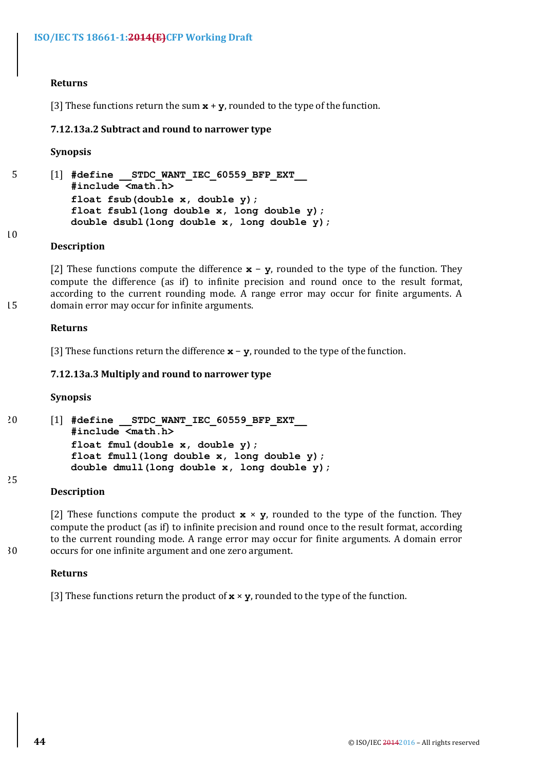## **Returns**

[3] These functions return the sum  $x + y$ , rounded to the type of the function.

## **7.12.13a.2 Subtract and round to narrower type**

#### **Synopsis**

5 [1] **#define \_\_STDC\_WANT\_IEC\_60559\_BFP\_EXT\_\_ #include <math.h> float fsub(double x, double y); float fsubl(long double x, long double y); double dsubl(long double x, long double y);**

#### 10

25

#### **Description**

[2] These functions compute the difference  $\mathbf{x}$  –  $\mathbf{y}$ , rounded to the type of the function. They compute the difference (as if) to infinite precision and round once to the result format, according to the current rounding mode. A range error may occur for finite arguments. A 15 domain error may occur for infinite arguments.

#### **Returns**

[3] These functions return the difference  $\mathbf{x}$  –  $\mathbf{y}$ , rounded to the type of the function.

## **7.12.13a.3 Multiply and round to narrower type**

#### **Synopsis**

20 [1] **#define \_\_STDC\_WANT\_IEC\_60559\_BFP\_EXT\_\_ #include <math.h> float fmul(double x, double y); float fmull(long double x, long double y); double dmull(long double x, long double y);**

#### **Description**

[2] These functions compute the product  $\mathbf{x} \times \mathbf{y}$ , rounded to the type of the function. They compute the product (as if) to infinite precision and round once to the result format, according to the current rounding mode. A range error may occur for finite arguments. A domain error 30 occurs for one infinite argument and one zero argument.

#### **Returns**

[3] These functions return the product of  $\mathbf{x} \times \mathbf{y}$ , rounded to the type of the function.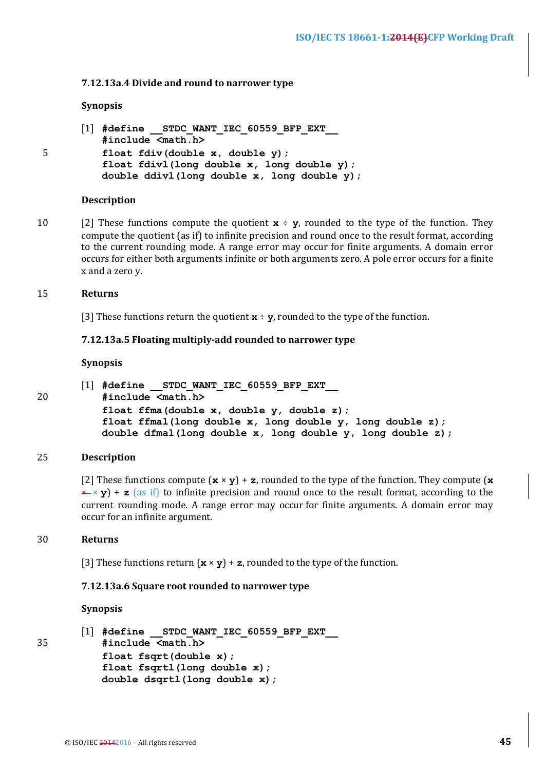#### **7.12.13a.4 Divide and round to narrower type**

#### **Synopsis**

```
[1] #define STDC WANT IEC 60559 BFP EXT
         #include <math.h>
5 float fdiv(double x, double y);

         float fdivl(long double x, long double y); 
         double ddivl(long double x, long double y);
```
#### **Description**

10 [2] These functions compute the quotient  $\mathbf{x} \div \mathbf{y}$ , rounded to the type of the function. They compute the quotient (as if) to infinite precision and round once to the result format, according to the current rounding mode. A range error may occur for finite arguments. A domain error occurs for either both arguments infinite or both arguments zero. A pole error occurs for a finite x and a zero y.

#### 15 **Returns**

[3] These functions return the quotient  $\mathbf{x} \div \mathbf{v}$ , rounded to the type of the function.

#### **7.12.13a.5 Floating multiply-add rounded to narrower type**

#### **Synopsis**

[1] **#define \_\_STDC\_WANT\_IEC\_60559\_BFP\_EXT\_\_** 20 **#include <math.h> float ffma(double x, double y, double z); float ffmal(long double x, long double y, long double z); double dfmal(long double x, long double y, long double z);**

## 25 **Description**

[2] These functions compute  $(\mathbf{x} \times \mathbf{y}) + \mathbf{z}$ , rounded to the type of the function. They compute  $(\mathbf{x} \times \mathbf{y})$  $\times$   $\times$  **y**) + **z** (as if) to infinite precision and round once to the result format, according to the current rounding mode. A range error may occur for finite arguments. A domain error may occur for an infinite argument.

## 30 **Returns**

[3] These functions return  $(\mathbf{x} \times \mathbf{y}) + \mathbf{z}$ , rounded to the type of the function.

## **7.12.13a.6 Square root rounded to narrower type**

## **Synopsis**

```
[1] #define __STDC_WANT_IEC_60559_BFP_EXT__
35 #include <math.h>
          float fsqrt(double x);

          float fsqrtl(long double x); 
          double dsqrtl(long double x);
```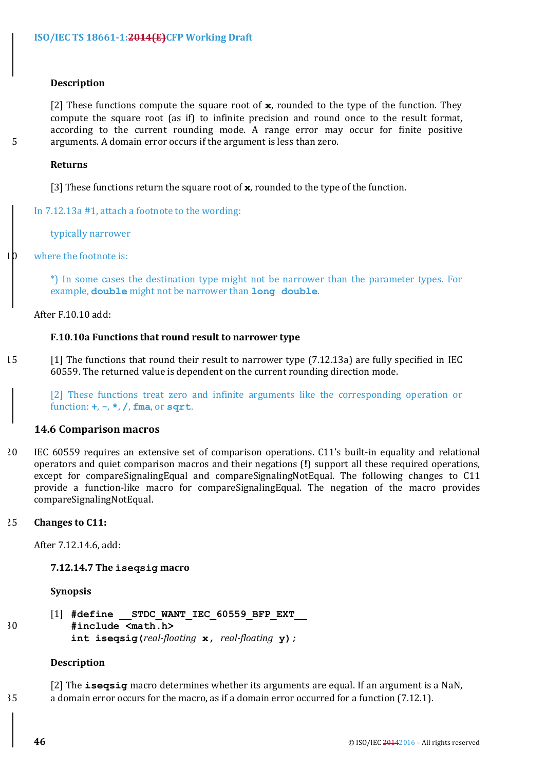#### **Description**

[2] These functions compute the square root of **x**, rounded to the type of the function. They compute the square root (as if) to infinite precision and round once to the result format, according to the current rounding mode. A range error may occur for finite positive 5 arguments. A domain error occurs if the argument is less than zero.

#### **Returns**

[3] These functions return the square root of  $\boldsymbol{x}$ , rounded to the type of the function.

In  $7.12.13a$  #1, attach a footnote to the wording:

typically narrower

 $10$  where the footnote is:

\*) In some cases the destination type might not be narrower than the parameter types. For example, **double** might not be narrower than long double.

After F.10.10 add:

## **F.10.10a** Functions that round result to narrower type

15 [1] The functions that round their result to narrower type (7.12.13a) are fully specified in IEC 60559. The returned value is dependent on the current rounding direction mode.

[2] These functions treat zero and infinite arguments like the corresponding operation or function: **+**, **-**, **\***, **/**, **fma**, or **sqrt**.

## **14.6 Comparison macros**

20 IEC 60559 requires an extensive set of comparison operations. C11's built-in equality and relational operators and quiet comparison macros and their negations (!) support all these required operations, except for compareSignalingEqual and compareSignalingNotEqual. The following changes to  $C11$ provide a function-like macro for compareSignalingEqual. The negation of the macro provides compareSignalingNotEqual.

#### 25 **Changes** to C11:

After 7.12.14.6, add:

#### **7.12.14.7 The iseqsig macro**

**Synopsis**

[1] #define STDC WANT IEC 60559 BFP EXT 30 **#include <math.h> int iseqsig(***real-floating* **x,** *real-floating* **y);** 

#### **Description**

[2] The **iseqsiq** macro determines whether its arguments are equal. If an argument is a NaN, 35 a domain error occurs for the macro, as if a domain error occurred for a function (7.12.1).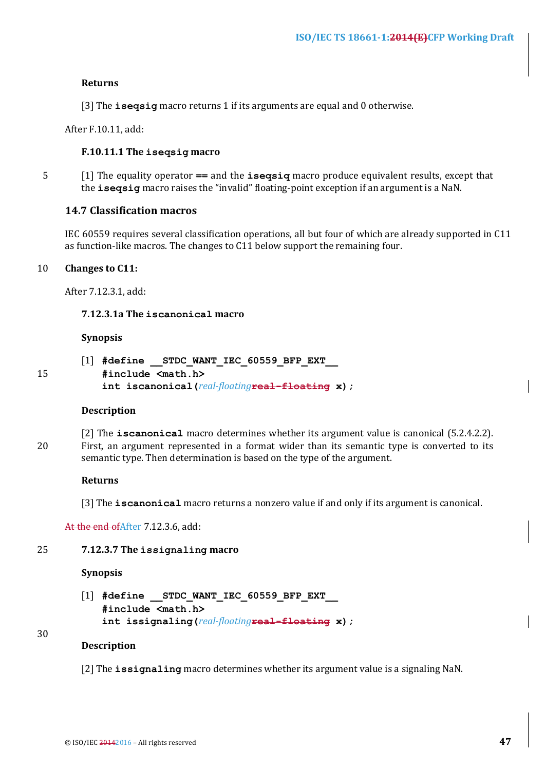#### **Returns**

[3] The **isegsig** macro returns 1 if its arguments are equal and 0 otherwise.

After F.10.11, add:

#### **F.10.11.1 The iseqsig macro**

5 [1] The equality operator == and the **iseqsiq** macro produce equivalent results, except that the **isegsig** macro raises the "invalid" floating-point exception if an argument is a NaN.

#### **14.7 Classification macros**

IEC 60559 requires several classification operations, all but four of which are already supported in C11 as function-like macros. The changes to C11 below support the remaining four.

## 10 **Changes** to C11:

After 7.12.3.1, add:

**7.12.3.1a The iscanonical macro**

#### **Synopsis**

- [1] **#define \_\_STDC\_WANT\_IEC\_60559\_BFP\_EXT\_\_**
- 15 **#include <math.h> int iscanonical(***real-floating***real-floating x);**

#### **Description**

[2] The **iscanonical** macro determines whether its argument value is canonical (5.2.4.2.2). 20 First, an argument represented in a format wider than its semantic type is converted to its semantic type. Then determination is based on the type of the argument.

#### **Returns**

[3] The **iscanonical** macro returns a nonzero value if and only if its argument is canonical.

At the end of After 7.12.3.6, add:

#### 25 7.12.3.7 The issignaling macro

#### **Synopsis**

[1] **#define \_\_STDC\_WANT\_IEC\_60559\_BFP\_EXT\_\_ #include <math.h> int issignaling(***real-floating***real-floating x);**

## 30

## **Description**

[2] The **issignaling** macro determines whether its argument value is a signaling NaN.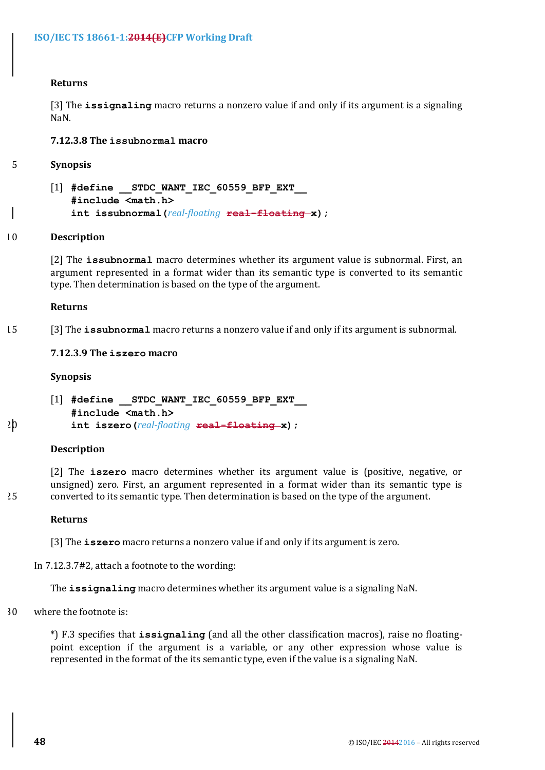#### **Returns**

[3] The **issignaling** macro returns a nonzero value if and only if its argument is a signaling NaN.

**7.12.3.8 The issubnormal macro**

- 5 **Synopsis**
	- [1] #define STDC WANT IEC 60559 BFP EXT **#include <math.h> int issubnormal(***real-floating* **real-floating x);**

#### 10 **Description**

[2] The *issubnormal* macro determines whether its argument value is subnormal. First, an argument represented in a format wider than its semantic type is converted to its semantic type. Then determination is based on the type of the argument.

#### **Returns**

15 [3] The **issubnormal** macro returns a nonzero value if and only if its argument is subnormal.

#### **7.12.3.9 The iszero macro**

#### **Synopsis**

[1] #define STDC WANT IEC 60559 BFP EXT **#include <math.h>** 20 **int iszero(***real-floating* **real-floating x);**

#### **Description**

[2] The **iszero** macro determines whether its argument value is (positive, negative, or unsigned) zero. First, an argument represented in a format wider than its semantic type is 25 converted to its semantic type. Then determination is based on the type of the argument.

#### **Returns**

[3] The **iszero** macro returns a nonzero value if and only if its argument is zero.

In 7.12.3.7#2, attach a footnote to the wording:

The **issignaling** macro determines whether its argument value is a signaling NaN.

 $30$  where the footnote is:

\*) F.3 specifies that *issignaling* (and all the other classification macros), raise no floatingpoint exception if the argument is a variable, or any other expression whose value is represented in the format of the its semantic type, even if the value is a signaling NaN.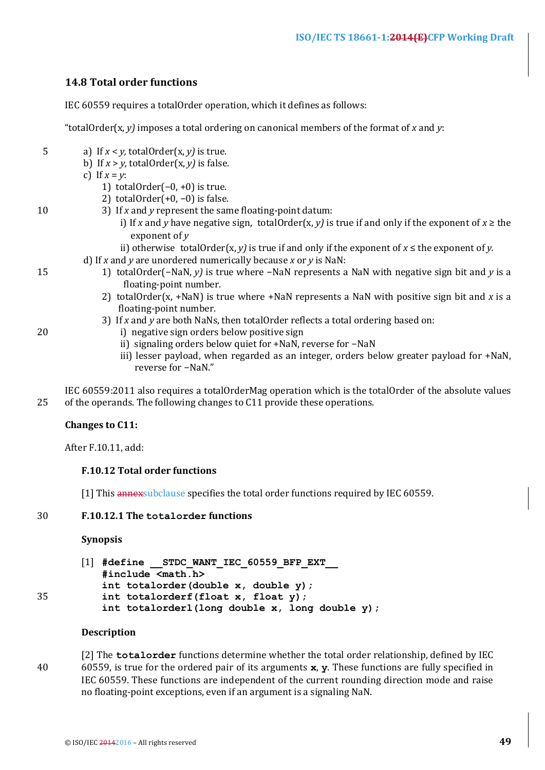## **14.8 Total order functions**

IEC 60559 requires a totalOrder operation, which it defines as follows:

"totalOrder(x,  $v$ ) imposes a total ordering on canonical members of the format of x and  $v$ :

- 5 a) If  $x \le y$ , totalOrder(x, y) is true.
	- b) If  $x > y$ , totalOrder(x, y) is false.

c) If  $x = y$ :

- 1) totalOrder $(-0, +0)$  is true.
- 2) totalOrder(+0, -0) is false.
- 10 3) If *x* and *y* represent the same floating-point datum:
	- i) If *x* and *y* have negative sign, totalOrder(*x*, *y*) is true if and only if the exponent of  $x \ge$  the exponent of *v*
	- ii) otherwise totalOrder(x, y) is true if and only if the exponent of  $x \leq$  the exponent of y.
	- d) If *x* and *y* are unordered numerically because *x* or *y* is NaN:
- 15 1) totalOrder(−NaN, *y*) is true where -NaN represents a NaN with negative sign bit and *y* is a floating-point number.
	- 2) totalOrder(x, +NaN) is true where  $+$ NaN represents a NaN with positive sign bit and x is a floating-point number.
	- 3) If *x* and *y* are both NaNs, then totalOrder reflects a total ordering based on:
- 20 i) negative sign orders below positive sign
	- ii) signaling orders below quiet for +NaN, reverse for -NaN
	- iii) lesser payload, when regarded as an integer, orders below greater payload for +NaN, reverse for -NaN."

IEC 60559:2011 also requires a totalOrderMag operation which is the totalOrder of the absolute values 25 of the operands. The following changes to C11 provide these operations.

## **Changes** to C11:

After F.10.11, add:

## **F.10.12 Total order functions**

[1] This annex subclause specifies the total order functions required by IEC 60559.

## 30 **F.10.12.1 The totalorder functions**

#### **Synopsis**

```
[1] #define __STDC_WANT_IEC_60559_BFP_EXT__
          #include <math.h>
          int totalorder(double x, double y);
35 int totalorderf(float x, float y);
          int totalorderl(long double x, long double y);
```
## **Description**

[2] The **totalorder** functions determine whether the total order relationship, defined by IEC 40 60559, is true for the ordered pair of its arguments **x**, **y**. These functions are fully specified in IEC 60559. These functions are independent of the current rounding direction mode and raise no floating-point exceptions, even if an argument is a signaling NaN.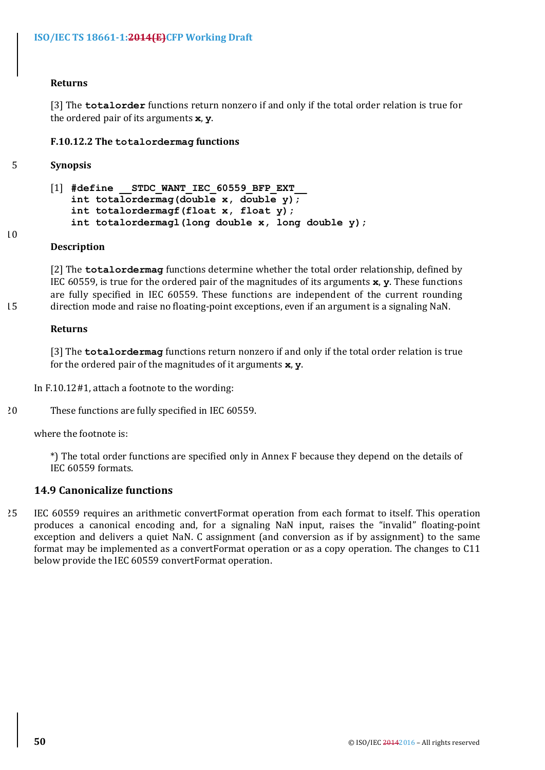## **Returns**

[3] The **totalorder** functions return nonzero if and only if the total order relation is true for the ordered pair of its arguments **x**, **v**.

## **F.10.12.2 The totalordermag functions**

## 5 **Synopsis**

```
[1] #define STDC WANT IEC 60559 BFP EXT
   int totalordermag(double x, double y);
   int totalordermagf(float x, float y);
   int totalordermagl(long double x, long double y);
```
#### 10

## **Description**

[2] The **totalordermag** functions determine whether the total order relationship, defined by IEC 60559, is true for the ordered pair of the magnitudes of its arguments  $\mathbf{x}$ ,  $\mathbf{y}$ . These functions are fully specified in IEC 60559. These functions are independent of the current rounding 15 direction mode and raise no floating-point exceptions, even if an argument is a signaling NaN.

## **Returns**

[3] The **totalordermag** functions return nonzero if and only if the total order relation is true for the ordered pair of the magnitudes of it arguments x, y.

In  $F.10.12#1$ , attach a footnote to the wording:

20 These functions are fully specified in IEC 60559.

where the footnote is:

\*) The total order functions are specified only in Annex F because they depend on the details of IEC 60559 formats.

## **14.9 Canonicalize functions**

25 IEC 60559 requires an arithmetic convertFormat operation from each format to itself. This operation produces a canonical encoding and, for a signaling NaN input, raises the "invalid" floating-point exception and delivers a quiet NaN. C assignment (and conversion as if by assignment) to the same format may be implemented as a convertFormat operation or as a copy operation. The changes to C11 below provide the IEC 60559 convertFormat operation.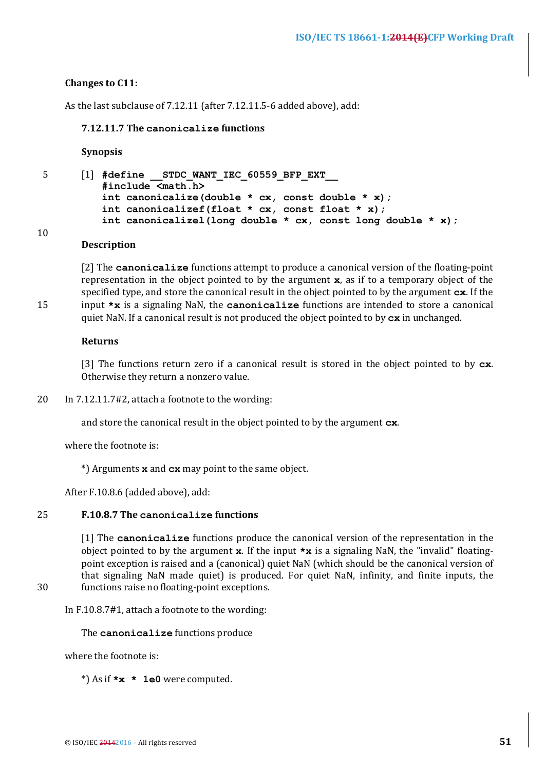## **Changes** to C11:

As the last subclause of 7.12.11 (after 7.12.11.5-6 added above), add:

#### **7.12.11.7 The canonicalize functions**

**Synopsis**

5 [1] **#define \_\_STDC\_WANT\_IEC\_60559\_BFP\_EXT\_\_ #include <math.h> int canonicalize(double \* cx, const double \* x); int canonicalizef(float \* cx, const float \* x); int canonicalizel(long double \* cx, const long double \* x);**

# 10

## **Description**

[2] The **canonicalize** functions attempt to produce a canonical version of the floating-point representation in the object pointed to by the argument **x**, as if to a temporary object of the specified type, and store the canonical result in the object pointed to by the argument  $c\mathbf{x}$ . If the 15 input **\*x** is a signaling NaN, the **canonicalize** functions are intended to store a canonical

quiet NaN. If a canonical result is not produced the object pointed to by  $c\mathbf{x}$  in unchanged.

#### **Returns**

[3] The functions return zero if a canonical result is stored in the object pointed to by  $c \times$ . Otherwise they return a nonzero value.

20 In  $7.12.11.7\#2$ , attach a footnote to the wording:

and store the canonical result in the object pointed to by the argument  $cx$ .

where the footnote is:

\*) Arguments **x** and **cx** may point to the same object.

After F.10.8.6 (added above), add:

## 25 **F.10.8.7 The canonicalize functions**

[1] The **canonicalize** functions produce the canonical version of the representation in the object pointed to by the argument  $x$ . If the input  $*x$  is a signaling NaN, the "invalid" floatingpoint exception is raised and a (canonical) quiet NaN (which should be the canonical version of that signaling NaN made quiet) is produced. For quiet NaN, infinity, and finite inputs, the 30 functions raise no floating-point exceptions.

In  $F.10.8.7#1$ , attach a footnote to the wording:

The **canonicalize** functions produce

where the footnote is:

\*) As if **\*x \* 1e0** were computed.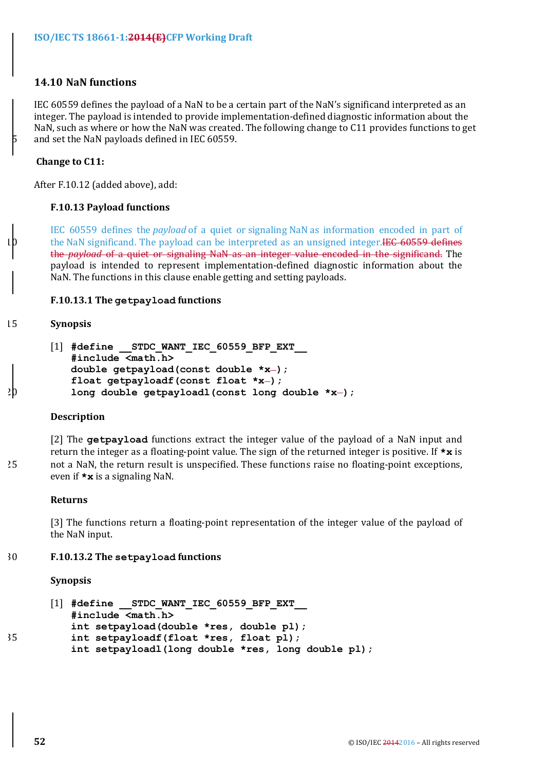## **14.10 NaN functions**

IEC 60559 defines the payload of a NaN to be a certain part of the NaN's significand interpreted as an integer. The payload is intended to provide implementation-defined diagnostic information about the NaN, such as where or how the NaN was created. The following change to C11 provides functions to get and set the NaN payloads defined in IEC 60559.

## **Change to C11:**

After F.10.12 (added above), add:

#### **F.10.13 Payload functions**

IEC 60559 defines the *payload* of a quiet or signaling NaN as information encoded in part of the NaN significand. The payload can be interpreted as an unsigned integer.HEC 60559 defines the *payload* of a quiet or signaling NaN as an integer value encoded in the significand. The payload is intended to represent implementation-defined diagnostic information about the NaN. The functions in this clause enable getting and setting payloads.

#### **F.10.13.1 The getpayload functions**

#### 15 **Synopsis**

```
[1] #define __STDC_WANT_IEC_60559_BFP_EXT__
          #include <math.h>
          double getpayload(const double *x-);
          float getpayloadf(const float *x-);
20 long double getpayloadl(const long double *x );
```
#### **Description**

[2] The **getpayload** functions extract the integer value of the payload of a NaN input and return the integer as a floating-point value. The sign of the returned integer is positive. If  $\star\mathbf{x}$  is 25 not a NaN, the return result is unspecified. These functions raise no floating-point exceptions, even if  $\star$ **x** is a signaling NaN.

#### **Returns**

[3] The functions return a floating-point representation of the integer value of the payload of the NaN input.

#### 30 **F.10.13.2 The setpayload functions**

**Synopsis**

```
[1] #define __STDC_WANT_IEC_60559_BFP_EXT__
          #include <math.h>
          int setpayload(double *res, double pl);
35 int setpayloadf(float *res, float pl);
          int setpayloadl(long double *res, long double pl);
```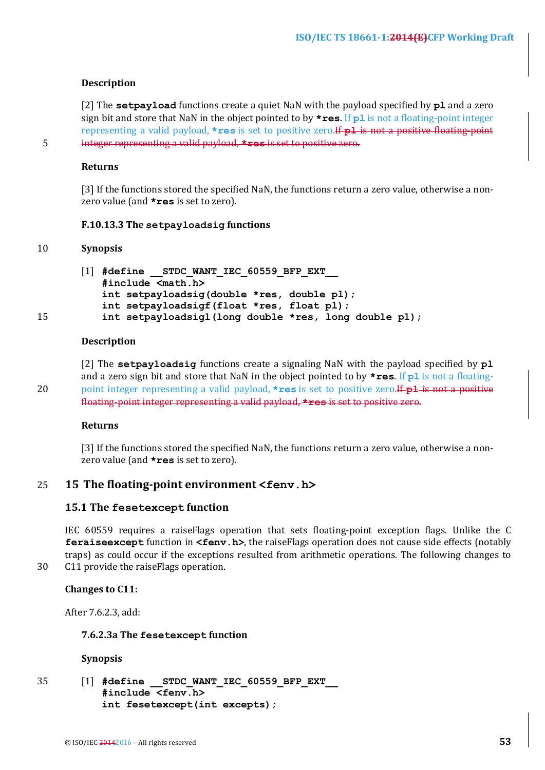#### **Description**

[2] The **setpayload** functions create a quiet NaN with the payload specified by  $p1$  and a zero sign bit and store that NaN in the object pointed to by **\*res**. If pl is not a floating-point integer representing a valid payload, **\*res** is set to positive zero.<del>If p1 is not a positive floating-point</del> 5 integer representing a valid payload, **\*res** is set to positive zero.

**Returns**

[3] If the functions stored the specified NaN, the functions return a zero value, otherwise a nonzero value (and **\*res** is set to zero).

#### **F.10.13.3 The setpayloadsig functions**

#### 10 **Synopsis**

[1] #define STDC WANT IEC 60559 BFP EXT **#include <math.h> int setpayloadsig(double \*res, double pl); int setpayloadsigf(float \*res, float pl);** 15 **int setpayloadsigl(long double \*res, long double pl);**

#### **Description**

[2] The **setpayloadsig** functions create a signaling NaN with the payload specified by **pl** and a zero sign bit and store that NaN in the object pointed to by  $\star$ **res**. If **pl** is not a floating-20 point integer representing a valid payload, **\*res** is set to positive zero. If pl is not a positive floating-point integer representing a valid payload, **\*res** is set to positive zero.

#### **Returns**

[3] If the functions stored the specified NaN, the functions return a zero value, otherwise a nonzero value (and **\*res** is set to zero).

## 25 **15** The floating-point environment <fenv.h>

#### **15.1 The fesetexcept function**

IEC 60559 requires a raiseFlags operation that sets floating-point exception flags. Unlike the C **feraiseexcept** function in **<fenv.h>**, the raiseFlags operation does not cause side effects (notably traps) as could occur if the exceptions resulted from arithmetic operations. The following changes to 30 C11 provide the raiseFlags operation.

#### **Changes** to C11:

After 7.6.2.3, add:

#### **7.6.2.3a The fesetexcept function**

#### **Synopsis**

35 [1] **#define \_\_STDC\_WANT\_IEC\_60559\_BFP\_EXT\_\_ #include <fenv.h> int fesetexcept(int excepts);**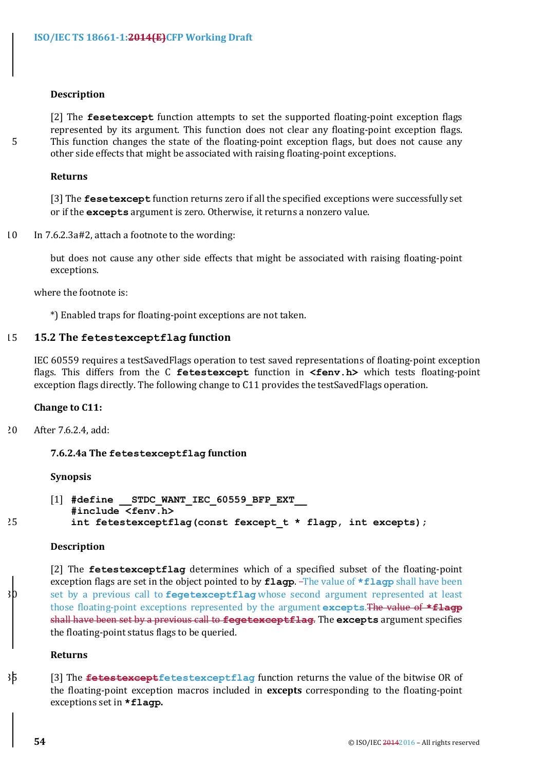#### **Description**

[2] The **fesetexcept** function attempts to set the supported floating-point exception flags represented by its argument. This function does not clear any floating-point exception flags. 5 This function changes the state of the floating-point exception flags, but does not cause any other side effects that might be associated with raising floating-point exceptions.

#### **Returns**

[3] The **fesetexcept** function returns zero if all the specified exceptions were successfully set or if the excepts argument is zero. Otherwise, it returns a nonzero value.

 $10$  In 7.6.2.3a#2, attach a footnote to the wording:

but does not cause any other side effects that might be associated with raising floating-point exceptions.

where the footnote is:

\*) Enabled traps for floating-point exceptions are not taken.

## 15 **15.2 The fetestexceptflag function**

IEC 60559 requires a testSavedFlags operation to test saved representations of floating-point exception flags. This differs from the C fetestexcept function in <fenv.h> which tests floating-point exception flags directly. The following change to C11 provides the testSavedFlags operation.

## **Change to C11:**

20 After 7.6.2.4, add:

## **7.6.2.4a The fetestexceptflag function**

## **Synopsis**

```
[1] #define STDC WANT IEC 60559 BFP EXT
         #include <fenv.h>
25 int fetestexceptflag(const fexcept_t * flagp, int excepts);
```
#### **Description**

[2] The **fetestexceptflag** determines which of a specified subset of the floating-point exception flags are set in the object pointed to by **flagp**. The value of **\*flagp** shall have been set by a previous call to **fegetexceptflag** whose second argument represented at least those floating-point exceptions represented by the argument **excepts**. The value of **\*flagp** shall have been set by a previous call to fegetexceptflag. The excepts argument specifies the floating-point status flags to be queried.

## **Returns**

35 [3] The <del>fetestexcept</del>fetestexceptflag function returns the value of the bitwise OR of the floating-point exception macros included in **excepts** corresponding to the floating-point exceptions set in **\*flagp**.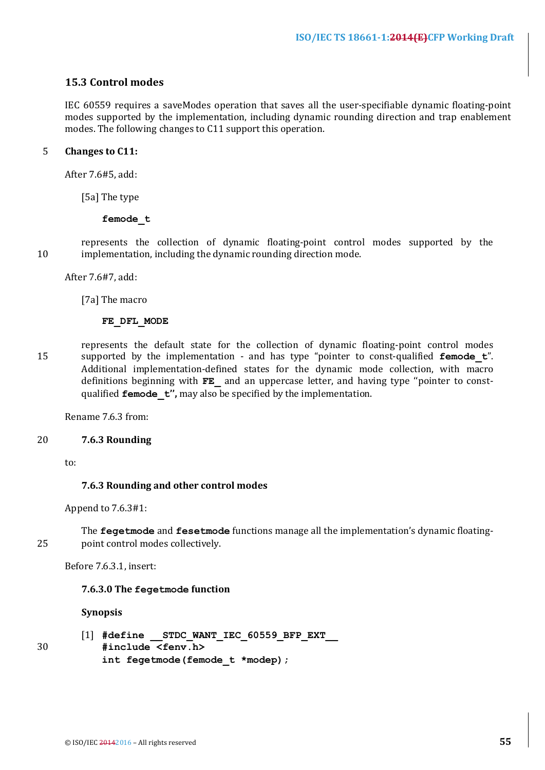## **15.3 Control modes**

IEC 60559 requires a saveModes operation that saves all the user-specifiable dynamic floating-point modes supported by the implementation, including dynamic rounding direction and trap enablement modes. The following changes to C11 support this operation.

## 5 **Changes** to C11:

After 7.6#5, add:

[5a] The type

#### **femode\_t**

represents the collection of dynamic floating-point control modes supported by the 10 implementation, including the dynamic rounding direction mode.

After 7.6#7, add:

[7a] The macro

## **FE\_DFL\_MODE**

represents the default state for the collection of dynamic floating-point control modes 15 supported by the implementation - and has type "pointer to const-qualified **femode t**". Additional implementation-defined states for the dynamic mode collection, with macro definitions beginning with **FE** and an uppercase letter, and having type "pointer to constqualified **femode t''**, may also be specified by the implementation.

Rename 7.6.3 from:

## 20 **7.6.3 Rounding**

to:

## **7.6.3 Rounding and other control modes**

Append to  $7.6.3#1$ :

The **fegetmode** and **fesetmode** functions manage all the implementation's dynamic floating-25 point control modes collectively.

Before 7.6.3.1, insert:

## **7.6.3.0 The fegetmode function**

## **Synopsis**

- 
- [1] **#define \_\_STDC\_WANT\_IEC\_60559\_BFP\_EXT\_\_** 30 **#include <fenv.h> int fegetmode(femode\_t \*modep);**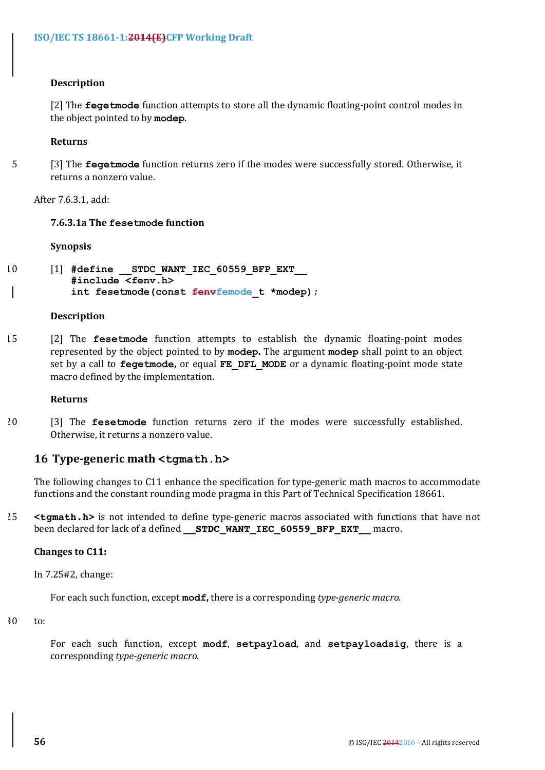## **Description**

[2] The **fegetmode** function attempts to store all the dynamic floating-point control modes in the object pointed to by modep.

#### **Returns**

5 [3] The **fegetmode** function returns zero if the modes were successfully stored. Otherwise, it returns a nonzero value.

After 7.6.3.1, add:

#### **7.6.3.1a** The fesetmode function

#### **Synopsis**

```
10 [1] #define __STDC_WANT_IEC_60559_BFP_EXT__
          #include <fenv.h>
          int fesetmode(const fenvfemode t *modep);
```
## **Description**

15 [2] The **fesetmode** function attempts to establish the dynamic floating-point modes represented by the object pointed to by modep. The argument modep shall point to an object set by a call to **fegetmode**, or equal FE DFL MODE or a dynamic floating-point mode state macro defined by the implementation.

#### **Returns**

20 [3] The **fesetmode** function returns zero if the modes were successfully established. Otherwise, it returns a nonzero value.

## **16 Type-generic math <tgmath.h>**

The following changes to C11 enhance the specification for type-generic math macros to accommodate functions and the constant rounding mode pragma in this Part of Technical Specification 18661.

25 <tgmath.h> is not intended to define type-generic macros associated with functions that have not been declared for lack of a defined **STDC WANT IEC 60559 BFP EXT** macro.

#### **Changes to C11:**

In 7.25#2, change:

For each such function, except **modf**, there is a corresponding *type-generic macro*.

30 to:

For each such function, except modf, setpayload, and setpayloadsig, there is a corresponding *type-generic macro*.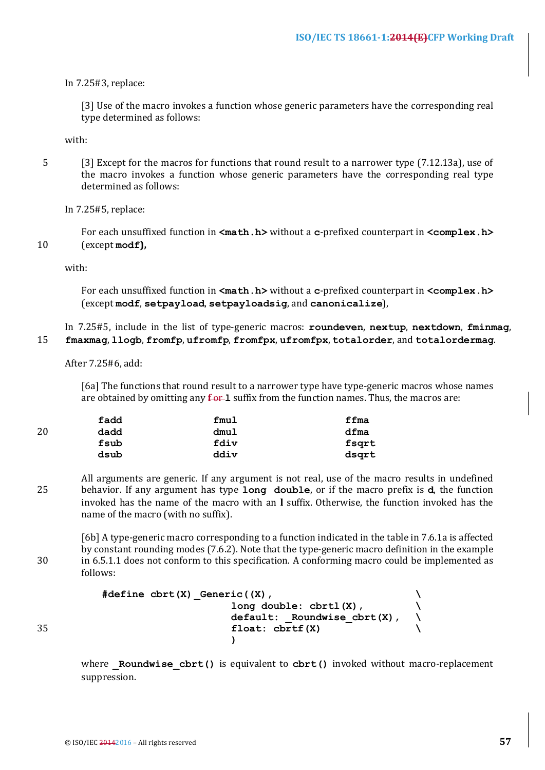## In 7.25#3, replace:

[3] Use of the macro invokes a function whose generic parameters have the corresponding real type determined as follows:

with:

5 [3] Except for the macros for functions that round result to a narrower type (7.12.13a), use of the macro invokes a function whose generic parameters have the corresponding real type determined as follows:

## In 7.25#5, replace:

For each unsuffixed function in  $\langle \text{match.h} \rangle$  without a c-prefixed counterpart in  $\langle \text{complex.h} \rangle$ 10 (except modf),

with:

For each unsuffixed function in  $\langle \text{match.h} \rangle$  without a c-prefixed counterpart in  $\langle \text{complex.h} \rangle$ (except **modf**, **setpayload**, **setpayloadsig**, and **canonicalize**),

In 7.25#5, include in the list of type-generic macros: **roundeven**, **nextup**, **nextdown**, **fminmag**, 15 **fmaxmag**, **llogb**, **fromfp**, **ufromfp**, **fromfpx**, **ufromfpx**, **totalorder**, and **totalordermag**.

After 7.25#6, add:

[6a] The functions that round result to a narrower type have type-generic macros whose names are obtained by omitting any  $f - 1$  suffix from the function names. Thus, the macros are:

|    | fadd | fmul | ffma  |
|----|------|------|-------|
| 20 | dadd | dmul | dfma  |
|    | fsub | fdiv | fsqrt |
|    | dsub | ddiv | dsgrt |

All arguments are generic. If any argument is not real, use of the macro results in undefined 25 behavior. If any argument has type **long double**, or if the macro prefix is **d**, the function invoked has the name of the macro with an I suffix. Otherwise, the function invoked has the name of the macro (with no suffix).

[6b] A type-generic macro corresponding to a function indicated in the table in 7.6.1a is affected by constant rounding modes (7.6.2). Note that the type-generic macro definition in the example 30 in 6.5.1.1 does not conform to this specification. A conforming macro could be implemented as follows:

```
#define cbrt(X)_Generic((X), \
                         long double: cbrtl(X), \
                         default: _Roundwise_cbrt(X), \
35 float: cbrtf(X) \
                         )
```
where **Roundwise cbrt()** is equivalent to **cbrt()** invoked without macro-replacement suppression.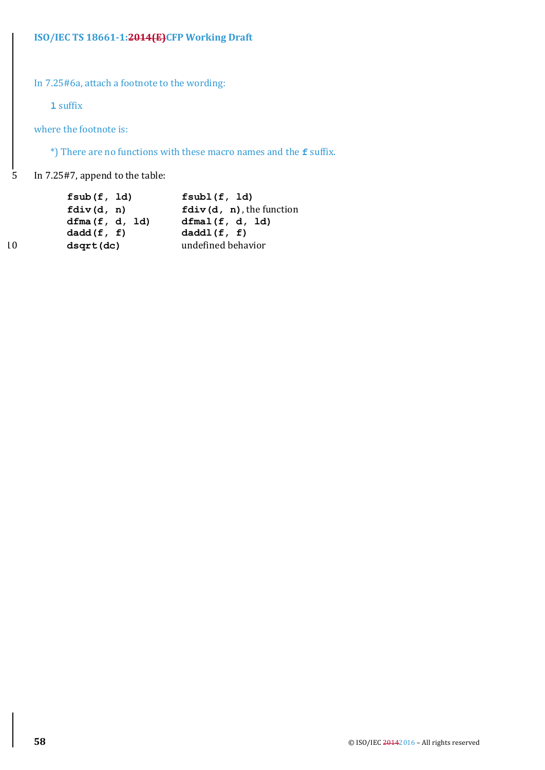In 7.25#6a, attach a footnote to the wording:

**l** suffix

where the footnote is:

\*) There are no functions with these macro names and the **f** suffix.

5 In 7.25#7, append to the table:

|                 | fsub(f, 1d)    | fsub1(f, 1d)                         |
|-----------------|----------------|--------------------------------------|
|                 | fdiv(d, n)     | $\texttt{fdiv}(d, n)$ , the function |
|                 | dfma(f, d, 1d) | dfmal(f, d, ld)                      |
|                 | dadd(f, f)     | daddl(f, f)                          |
| $\overline{10}$ | dsqrt(dc)      | undefined behavior                   |